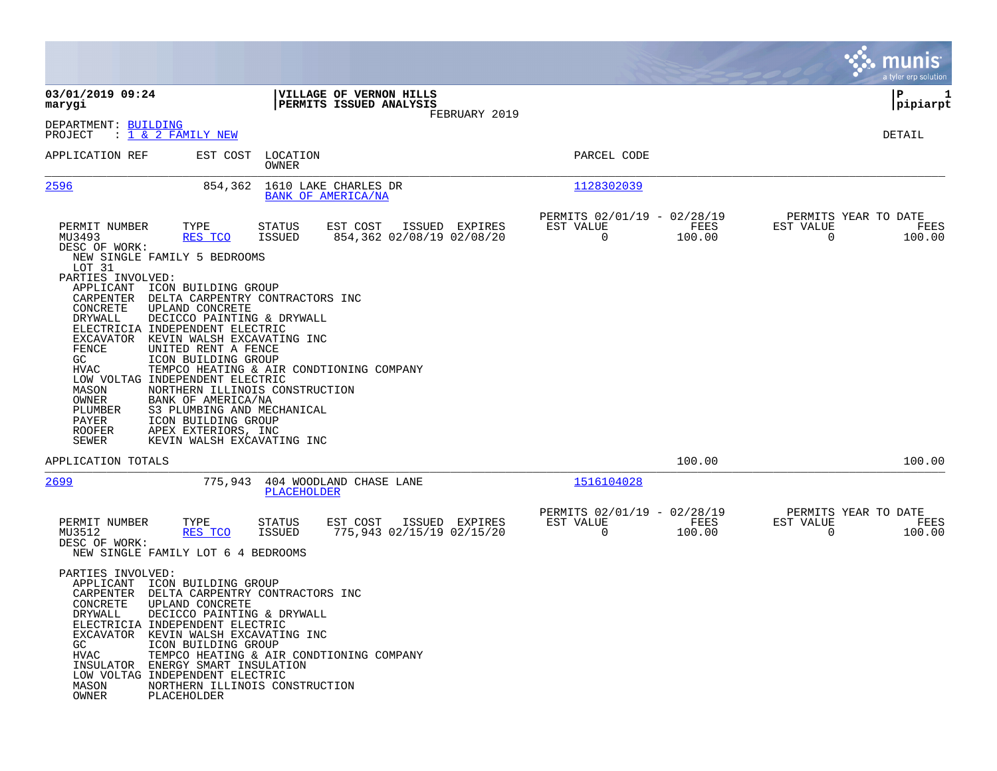|                                                                                                                                                                                                                                                                                            |                                                                                                                                                                                                                                                                                                                                                                                |                                                    |                |                                               |                |                                               | munis<br>a tyler erp solution |
|--------------------------------------------------------------------------------------------------------------------------------------------------------------------------------------------------------------------------------------------------------------------------------------------|--------------------------------------------------------------------------------------------------------------------------------------------------------------------------------------------------------------------------------------------------------------------------------------------------------------------------------------------------------------------------------|----------------------------------------------------|----------------|-----------------------------------------------|----------------|-----------------------------------------------|-------------------------------|
| 03/01/2019 09:24<br>marygi                                                                                                                                                                                                                                                                 |                                                                                                                                                                                                                                                                                                                                                                                | VILLAGE OF VERNON HILLS<br>PERMITS ISSUED ANALYSIS |                |                                               |                |                                               | P<br>1<br> pipiarpt           |
| DEPARTMENT: BUILDING<br>: <u>1 &amp; 2 FAMILY NEW</u><br>PROJECT                                                                                                                                                                                                                           |                                                                                                                                                                                                                                                                                                                                                                                |                                                    | FEBRUARY 2019  |                                               |                |                                               | <b>DETAIL</b>                 |
| APPLICATION REF                                                                                                                                                                                                                                                                            | EST COST<br>LOCATION<br><b>OWNER</b>                                                                                                                                                                                                                                                                                                                                           |                                                    |                | PARCEL CODE                                   |                |                                               |                               |
| 2596                                                                                                                                                                                                                                                                                       | 854,362                                                                                                                                                                                                                                                                                                                                                                        | 1610 LAKE CHARLES DR<br>BANK OF AMERICA/NA         |                | 1128302039                                    |                |                                               |                               |
| TYPE<br>PERMIT NUMBER<br>MU3493<br>DESC OF WORK:<br>NEW SINGLE FAMILY 5 BEDROOMS<br>LOT 31<br>PARTIES INVOLVED:                                                                                                                                                                            | STATUS<br>RES TCO<br><b>ISSUED</b>                                                                                                                                                                                                                                                                                                                                             | EST COST<br>854,362 02/08/19 02/08/20              | ISSUED EXPIRES | PERMITS 02/01/19 - 02/28/19<br>EST VALUE<br>0 | FEES<br>100.00 | PERMITS YEAR TO DATE<br>EST VALUE<br>$\Omega$ | FEES<br>100.00                |
| APPLICANT<br>CARPENTER<br>CONCRETE<br>UPLAND CONCRETE<br>DRYWALL<br>ELECTRICIA INDEPENDENT ELECTRIC<br>EXCAVATOR<br>FENCE<br>GC<br>HVAC<br>LOW VOLTAG INDEPENDENT ELECTRIC<br>MASON<br>OWNER<br>PLUMBER<br>PAYER<br><b>ROOFER</b><br>SEWER                                                 | ICON BUILDING GROUP<br>DELTA CARPENTRY CONTRACTORS INC<br>DECICCO PAINTING & DRYWALL<br>KEVIN WALSH EXCAVATING INC<br>UNITED RENT A FENCE<br>ICON BUILDING GROUP<br>TEMPCO HEATING & AIR CONDTIONING COMPANY<br>NORTHERN ILLINOIS CONSTRUCTION<br>BANK OF AMERICA/NA<br>S3 PLUMBING AND MECHANICAL<br>ICON BUILDING GROUP<br>APEX EXTERIORS, INC<br>KEVIN WALSH EXCAVATING INC |                                                    |                |                                               |                |                                               |                               |
| APPLICATION TOTALS                                                                                                                                                                                                                                                                         |                                                                                                                                                                                                                                                                                                                                                                                |                                                    |                |                                               | 100.00         |                                               | 100.00                        |
| 2699                                                                                                                                                                                                                                                                                       | 775,943<br>PLACEHOLDER                                                                                                                                                                                                                                                                                                                                                         | 404 WOODLAND CHASE LANE                            |                | 1516104028                                    |                |                                               |                               |
| PERMIT NUMBER<br>TYPE<br>MU3512<br>DESC OF WORK:<br>NEW SINGLE FAMILY LOT 6 4 BEDROOMS                                                                                                                                                                                                     | STATUS<br>RES TCO<br><b>ISSUED</b>                                                                                                                                                                                                                                                                                                                                             | EST COST<br>775,943 02/15/19 02/15/20              | ISSUED EXPIRES | PERMITS 02/01/19 - 02/28/19<br>EST VALUE<br>0 | FEES<br>100.00 | PERMITS YEAR TO DATE<br>EST VALUE<br>0        | FEES<br>100.00                |
| PARTIES INVOLVED:<br>APPLICANT ICON BUILDING GROUP<br>CARPENTER<br>CONCRETE<br>UPLAND CONCRETE<br>DRYWALL<br>ELECTRICIA INDEPENDENT ELECTRIC<br>EXCAVATOR KEVIN WALSH EXCAVATING INC<br>GC<br><b>HVAC</b><br>INSULATOR<br>LOW VOLTAG INDEPENDENT ELECTRIC<br>MASON<br>OWNER<br>PLACEHOLDER | DELTA CARPENTRY CONTRACTORS INC<br>DECICCO PAINTING & DRYWALL<br>ICON BUILDING GROUP<br>TEMPCO HEATING & AIR CONDTIONING COMPANY<br>ENERGY SMART INSULATION<br>NORTHERN ILLINOIS CONSTRUCTION                                                                                                                                                                                  |                                                    |                |                                               |                |                                               |                               |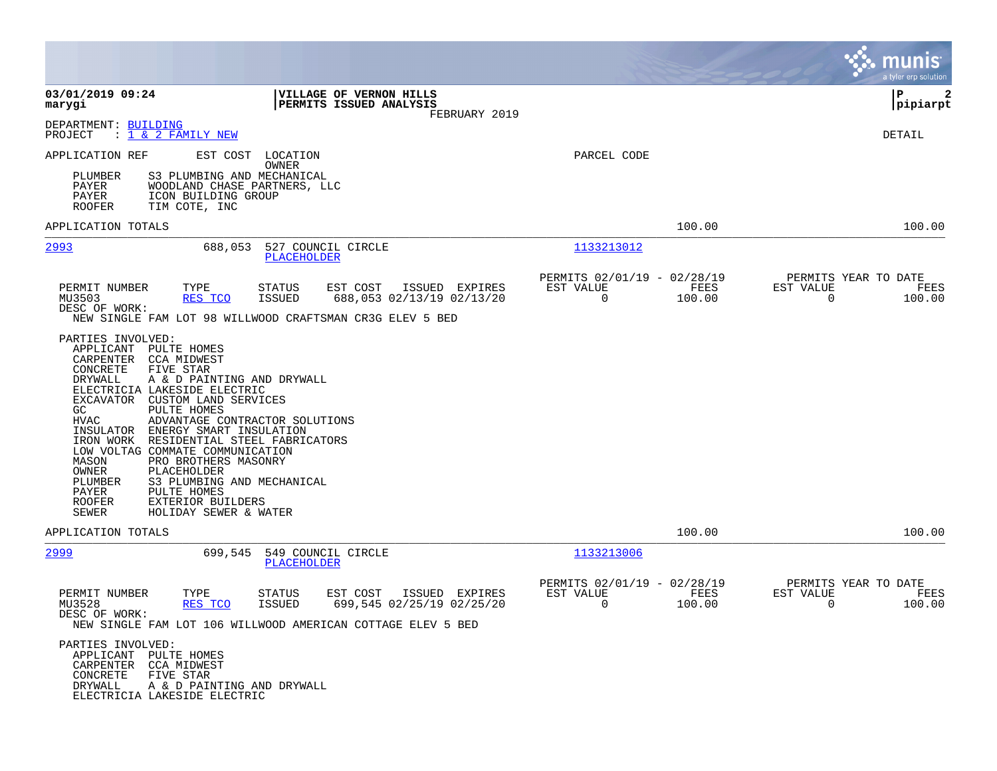|                                                                                                                                                                                                                                                                                                                                                                                        |                                                                                                                                                          |                                                         |                | munis<br>a tyler erp solution                                   |
|----------------------------------------------------------------------------------------------------------------------------------------------------------------------------------------------------------------------------------------------------------------------------------------------------------------------------------------------------------------------------------------|----------------------------------------------------------------------------------------------------------------------------------------------------------|---------------------------------------------------------|----------------|-----------------------------------------------------------------|
| 03/01/2019 09:24<br>marygi                                                                                                                                                                                                                                                                                                                                                             | VILLAGE OF VERNON HILLS<br>PERMITS ISSUED ANALYSIS<br>FEBRUARY 2019                                                                                      |                                                         |                | P<br>$\mathbf{2}$<br> pipiarpt                                  |
| DEPARTMENT: BUILDING<br>: 1 & 2 FAMILY NEW<br>PROJECT                                                                                                                                                                                                                                                                                                                                  |                                                                                                                                                          |                                                         |                | DETAIL                                                          |
| APPLICATION REF<br>S3 PLUMBING AND MECHANICAL<br>PLUMBER<br>PAYER<br>PAYER<br>ICON BUILDING GROUP<br>ROOFER<br>TIM COTE, INC                                                                                                                                                                                                                                                           | EST COST LOCATION<br>OWNER<br>WOODLAND CHASE PARTNERS, LLC                                                                                               | PARCEL CODE                                             |                |                                                                 |
| APPLICATION TOTALS                                                                                                                                                                                                                                                                                                                                                                     |                                                                                                                                                          |                                                         | 100.00         | 100.00                                                          |
| 2993<br>688,053                                                                                                                                                                                                                                                                                                                                                                        | 527 COUNCIL CIRCLE<br>PLACEHOLDER                                                                                                                        | 1133213012                                              |                |                                                                 |
| PERMIT NUMBER<br>TYPE<br>MU3503<br>RES TCO<br>DESC OF WORK:<br>PARTIES INVOLVED:<br>APPLICANT PULTE HOMES<br>CARPENTER CCA MIDWEST<br>CONCRETE<br>FIVE STAR<br>DRYWALL<br>A & D PAINTING AND DRYWALL                                                                                                                                                                                   | EST COST<br>ISSUED EXPIRES<br>STATUS<br>688,053 02/13/19 02/13/20<br><b>ISSUED</b><br>NEW SINGLE FAM LOT 98 WILLWOOD CRAFTSMAN CR3G ELEV 5 BED           | PERMITS 02/01/19 - 02/28/19<br>EST VALUE<br>$\mathbf 0$ | FEES<br>100.00 | PERMITS YEAR TO DATE<br>EST VALUE<br>FEES<br>$\Omega$<br>100.00 |
| ELECTRICIA LAKESIDE ELECTRIC<br>EXCAVATOR CUSTOM LAND SERVICES<br>GC<br>PULTE HOMES<br>HVAC<br>INSULATOR<br>ENERGY SMART INSULATION<br>IRON WORK<br>LOW VOLTAG COMMATE COMMUNICATION<br>MASON<br>PRO BROTHERS MASONRY<br>OWNER<br>PLACEHOLDER<br>S3 PLUMBING AND MECHANICAL<br>PLUMBER<br>PAYER<br>PULTE HOMES<br>EXTERIOR BUILDERS<br><b>ROOFER</b><br>SEWER<br>HOLIDAY SEWER & WATER | ADVANTAGE CONTRACTOR SOLUTIONS<br>RESIDENTIAL STEEL FABRICATORS                                                                                          |                                                         |                |                                                                 |
| APPLICATION TOTALS                                                                                                                                                                                                                                                                                                                                                                     |                                                                                                                                                          |                                                         | 100.00         | 100.00                                                          |
| 2999<br>699,545                                                                                                                                                                                                                                                                                                                                                                        | 549 COUNCIL CIRCLE<br><b>PLACEHOLDER</b>                                                                                                                 | 1133213006                                              |                |                                                                 |
| PERMIT NUMBER<br>TYPE<br>MU3528<br>RES TCO<br>DESC OF WORK:                                                                                                                                                                                                                                                                                                                            | <b>STATUS</b><br>EST COST<br>ISSUED EXPIRES<br>699,545 02/25/19 02/25/20<br><b>ISSUED</b><br>NEW SINGLE FAM LOT 106 WILLWOOD AMERICAN COTTAGE ELEV 5 BED | PERMITS 02/01/19 - 02/28/19<br>EST VALUE<br>0           | FEES<br>100.00 | PERMITS YEAR TO DATE<br>EST VALUE<br>FEES<br>100.00<br>0        |
| PARTIES INVOLVED:<br>APPLICANT PULTE HOMES<br>CARPENTER<br>CCA MIDWEST<br>CONCRETE<br>FIVE STAR<br>DRYWALL<br>A & D PAINTING AND DRYWALL<br>ELECTRICIA LAKESIDE ELECTRIC                                                                                                                                                                                                               |                                                                                                                                                          |                                                         |                |                                                                 |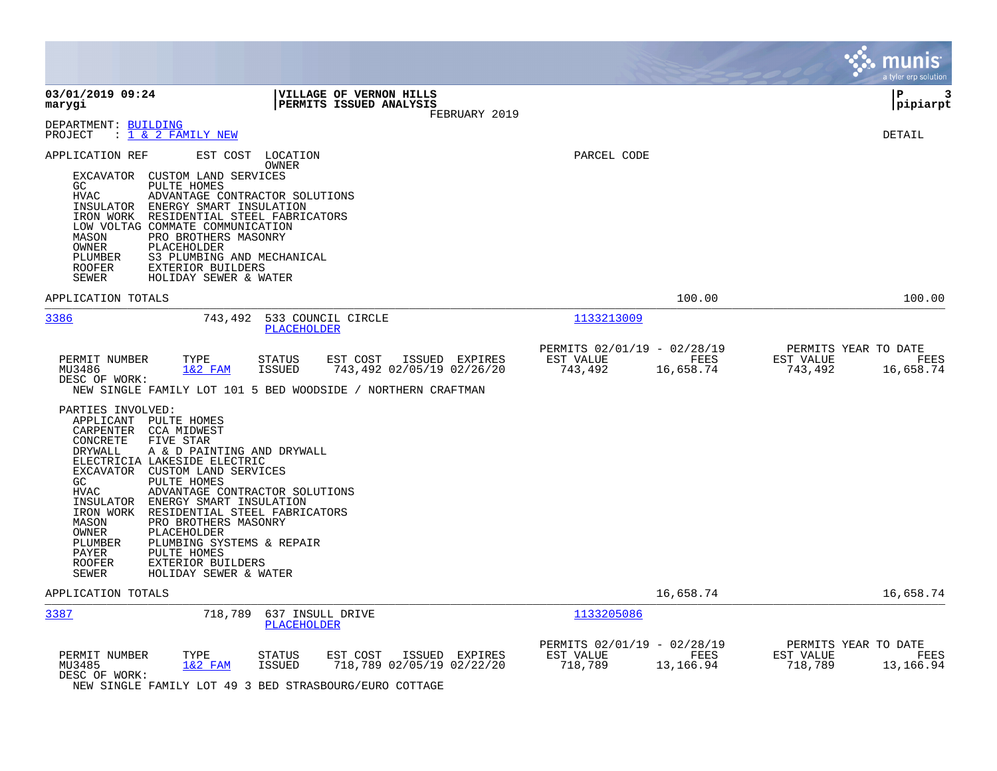|                                                                                                                                                                                                                                                                                                                                                                                                                                                                                                      |                                             |                                                     |                   |                      | a tyler erp solution                      |
|------------------------------------------------------------------------------------------------------------------------------------------------------------------------------------------------------------------------------------------------------------------------------------------------------------------------------------------------------------------------------------------------------------------------------------------------------------------------------------------------------|---------------------------------------------|-----------------------------------------------------|-------------------|----------------------|-------------------------------------------|
| 03/01/2019 09:24<br><b>VILLAGE OF VERNON HILLS</b><br>PERMITS ISSUED ANALYSIS<br>marygi                                                                                                                                                                                                                                                                                                                                                                                                              | FEBRUARY 2019                               |                                                     |                   |                      | l P<br>3<br> pipiarpt                     |
| DEPARTMENT: BUILDING<br>: 1 & 2 FAMILY NEW<br>PROJECT                                                                                                                                                                                                                                                                                                                                                                                                                                                |                                             |                                                     |                   |                      | DETAIL                                    |
| APPLICATION REF<br>EST COST<br>LOCATION<br>OWNER<br>EXCAVATOR<br>CUSTOM LAND SERVICES<br>PULTE HOMES<br>GC.<br><b>HVAC</b><br>ADVANTAGE CONTRACTOR SOLUTIONS<br>INSULATOR ENERGY SMART INSULATION<br>RESIDENTIAL STEEL FABRICATORS<br>IRON WORK<br>LOW VOLTAG COMMATE COMMUNICATION<br>MASON<br>PRO BROTHERS MASONRY<br>PLACEHOLDER<br>OWNER<br>PLUMBER<br>S3 PLUMBING AND MECHANICAL<br><b>ROOFER</b><br>EXTERIOR BUILDERS<br>HOLIDAY SEWER & WATER<br>SEWER                                        |                                             | PARCEL CODE                                         |                   |                      |                                           |
| APPLICATION TOTALS                                                                                                                                                                                                                                                                                                                                                                                                                                                                                   |                                             |                                                     | 100.00            |                      | 100.00                                    |
| 3386<br>743,492<br>533 COUNCIL CIRCLE<br><b>PLACEHOLDER</b>                                                                                                                                                                                                                                                                                                                                                                                                                                          |                                             | 1133213009                                          |                   |                      |                                           |
| PERMIT NUMBER<br>TYPE<br><b>STATUS</b><br>EST COST<br>MU3486<br>$1&2$ FAM<br><b>ISSUED</b><br>DESC OF WORK:<br>NEW SINGLE FAMILY LOT 101 5 BED WOODSIDE / NORTHERN CRAFTMAN<br>PARTIES INVOLVED:<br>APPLICANT<br>PULTE HOMES<br>CARPENTER<br>CCA MIDWEST                                                                                                                                                                                                                                             | ISSUED EXPIRES<br>743,492 02/05/19 02/26/20 | PERMITS 02/01/19 - 02/28/19<br>EST VALUE<br>743,492 | FEES<br>16,658.74 | EST VALUE<br>743,492 | PERMITS YEAR TO DATE<br>FEES<br>16,658.74 |
| CONCRETE<br>FIVE STAR<br>DRYWALL<br>A & D PAINTING AND DRYWALL<br>ELECTRICIA LAKESIDE ELECTRIC<br>EXCAVATOR CUSTOM LAND SERVICES<br>GC<br>PULTE HOMES<br><b>HVAC</b><br>ADVANTAGE CONTRACTOR SOLUTIONS<br>ENERGY SMART INSULATION<br>INSULATOR<br>IRON WORK<br>RESIDENTIAL STEEL FABRICATORS<br>PRO BROTHERS MASONRY<br>MASON<br>OWNER<br>PLACEHOLDER<br>PLUMBER<br>PLUMBING SYSTEMS & REPAIR<br>PULTE HOMES<br>PAYER<br><b>ROOFER</b><br>EXTERIOR BUILDERS<br><b>SEWER</b><br>HOLIDAY SEWER & WATER |                                             |                                                     |                   |                      |                                           |
| APPLICATION TOTALS                                                                                                                                                                                                                                                                                                                                                                                                                                                                                   |                                             |                                                     | 16,658.74         |                      | 16,658.74                                 |
| 3387<br>718,789<br>637 INSULL DRIVE<br>PLACEHOLDER                                                                                                                                                                                                                                                                                                                                                                                                                                                   |                                             | 1133205086                                          |                   |                      |                                           |
| PERMIT NUMBER<br>TYPE<br><b>STATUS</b><br>EST COST<br>MU3485<br>$1&2$ FAM<br><b>ISSUED</b><br>DESC OF WORK:<br>NEW SINGLE FAMILY LOT 49 3 BED STRASBOURG/EURO COTTAGE                                                                                                                                                                                                                                                                                                                                | ISSUED EXPIRES<br>718,789 02/05/19 02/22/20 | PERMITS 02/01/19 - 02/28/19<br>EST VALUE<br>718,789 | FEES<br>13,166.94 | EST VALUE<br>718,789 | PERMITS YEAR TO DATE<br>FEES<br>13,166.94 |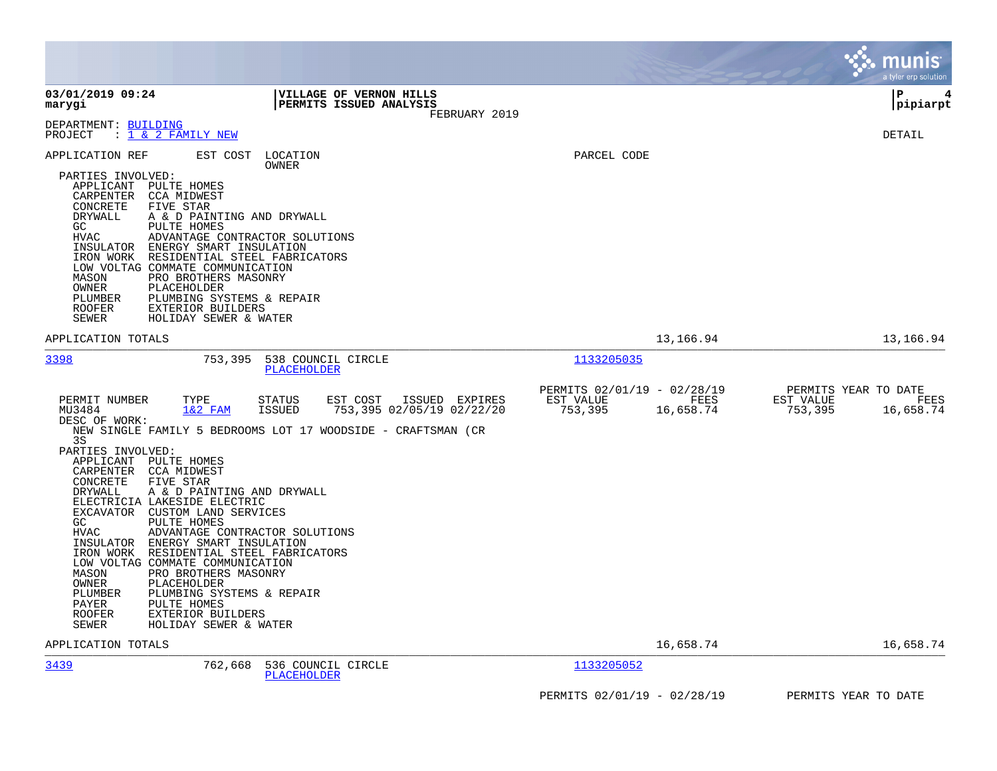|                                                                                                                                                                                                                               |                                                                                                                                                                                                                                                                                                                                                                                                                                                                                                                                                                                                                       |                                                                          | munis<br>a tyler erp solution                                     |
|-------------------------------------------------------------------------------------------------------------------------------------------------------------------------------------------------------------------------------|-----------------------------------------------------------------------------------------------------------------------------------------------------------------------------------------------------------------------------------------------------------------------------------------------------------------------------------------------------------------------------------------------------------------------------------------------------------------------------------------------------------------------------------------------------------------------------------------------------------------------|--------------------------------------------------------------------------|-------------------------------------------------------------------|
| 03/01/2019 09:24<br>marygi                                                                                                                                                                                                    | VILLAGE OF VERNON HILLS<br><b>PERMITS ISSUED ANALYSIS</b><br>FEBRUARY 2019                                                                                                                                                                                                                                                                                                                                                                                                                                                                                                                                            |                                                                          | l P<br>4<br> pipiarpt                                             |
| DEPARTMENT: BUILDING<br>PROJECT                                                                                                                                                                                               | : 1 & 2 FAMILY NEW                                                                                                                                                                                                                                                                                                                                                                                                                                                                                                                                                                                                    |                                                                          | DETAIL                                                            |
| APPLICATION REF<br>PARTIES INVOLVED:<br>CARPENTER<br>CONCRETE<br>DRYWALL<br>GC<br>HVAC<br>INSULATOR<br>IRON WORK<br>MASON<br>OWNER<br>PLUMBER<br>ROOFER                                                                       | EST COST<br>LOCATION<br>OWNER<br>APPLICANT PULTE HOMES<br>CCA MIDWEST<br>FIVE STAR<br>A & D PAINTING AND DRYWALL<br>PULTE HOMES<br>ADVANTAGE CONTRACTOR SOLUTIONS<br>ENERGY SMART INSULATION<br>RESIDENTIAL STEEL FABRICATORS<br>LOW VOLTAG COMMATE COMMUNICATION<br>PRO BROTHERS MASONRY<br>PLACEHOLDER<br>PLUMBING SYSTEMS & REPAIR<br>EXTERIOR BUILDERS                                                                                                                                                                                                                                                            | PARCEL CODE                                                              |                                                                   |
| SEWER<br>APPLICATION TOTALS                                                                                                                                                                                                   | HOLIDAY SEWER & WATER                                                                                                                                                                                                                                                                                                                                                                                                                                                                                                                                                                                                 | 13,166.94                                                                | 13,166.94                                                         |
| 3398                                                                                                                                                                                                                          | 538 COUNCIL CIRCLE<br>753,395<br>PLACEHOLDER                                                                                                                                                                                                                                                                                                                                                                                                                                                                                                                                                                          | 1133205035                                                               |                                                                   |
| PERMIT NUMBER<br>MU3484<br>DESC OF WORK:<br>3S<br>PARTIES INVOLVED:<br>APPLICANT<br>CARPENTER<br>CONCRETE<br><b>DRYWALL</b><br>GC<br><b>HVAC</b><br>IRON WORK<br>MASON<br>OWNER<br>PLUMBER<br>PAYER<br><b>ROOFER</b><br>SEWER | TYPE<br><b>STATUS</b><br>EST COST<br>ISSUED EXPIRES<br>$1&2$ FAM<br><b>ISSUED</b><br>753,395 02/05/19 02/22/20<br>NEW SINGLE FAMILY 5 BEDROOMS LOT 17 WOODSIDE - CRAFTSMAN (CR<br>PULTE HOMES<br>CCA MIDWEST<br>FIVE STAR<br>A & D PAINTING AND DRYWALL<br>ELECTRICIA LAKESIDE ELECTRIC<br>EXCAVATOR CUSTOM LAND SERVICES<br>PULTE HOMES<br>ADVANTAGE CONTRACTOR SOLUTIONS<br>INSULATOR ENERGY SMART INSULATION<br>RESIDENTIAL STEEL FABRICATORS<br>LOW VOLTAG COMMATE COMMUNICATION<br>PRO BROTHERS MASONRY<br>PLACEHOLDER<br>PLUMBING SYSTEMS & REPAIR<br>PULTE HOMES<br>EXTERIOR BUILDERS<br>HOLIDAY SEWER & WATER | PERMITS 02/01/19 - 02/28/19<br>EST VALUE<br>FEES<br>753,395<br>16,658.74 | PERMITS YEAR TO DATE<br>EST VALUE<br>FEES<br>753,395<br>16,658.74 |
| APPLICATION TOTALS                                                                                                                                                                                                            |                                                                                                                                                                                                                                                                                                                                                                                                                                                                                                                                                                                                                       | 16,658.74                                                                | 16,658.74                                                         |
| 3439                                                                                                                                                                                                                          | 762,668<br>536 COUNCIL CIRCLE<br><b>PLACEHOLDER</b>                                                                                                                                                                                                                                                                                                                                                                                                                                                                                                                                                                   | 1133205052                                                               |                                                                   |
|                                                                                                                                                                                                                               |                                                                                                                                                                                                                                                                                                                                                                                                                                                                                                                                                                                                                       | PERMITS 02/01/19 - 02/28/19                                              | PERMITS YEAR TO DATE                                              |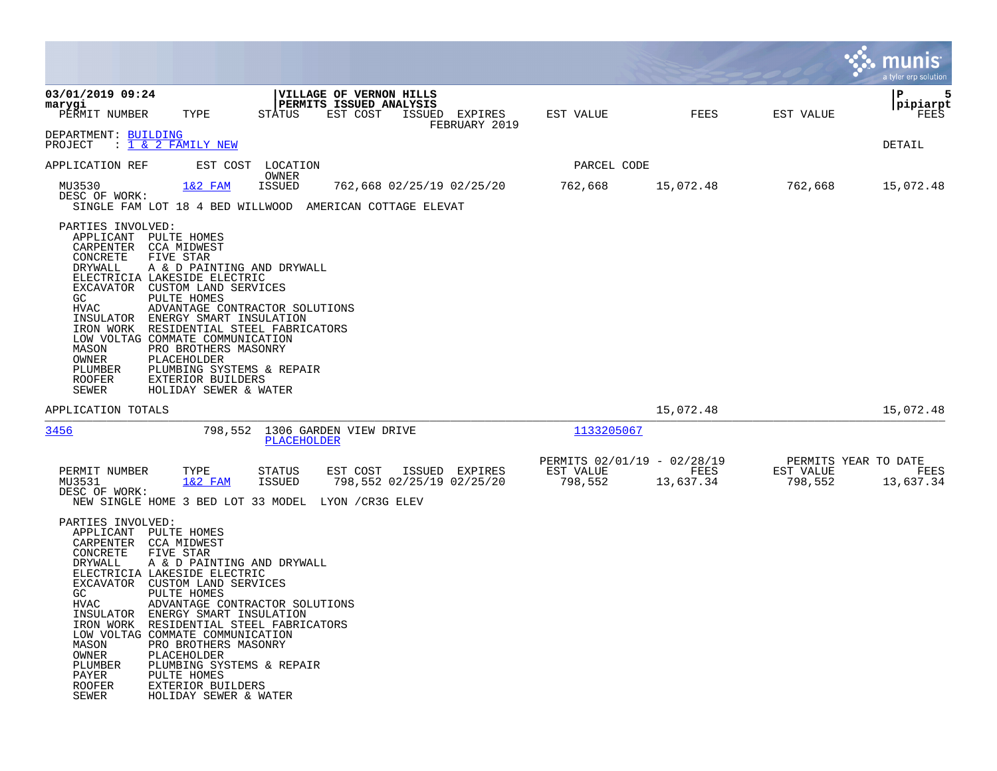|                                                                                                                                                                                                                                                                                                        |                                                                                                                                                                                                                                                                                                          |                                |                                                                       |                                 |                                                     |                   |                                              | a tyler erp solution       |
|--------------------------------------------------------------------------------------------------------------------------------------------------------------------------------------------------------------------------------------------------------------------------------------------------------|----------------------------------------------------------------------------------------------------------------------------------------------------------------------------------------------------------------------------------------------------------------------------------------------------------|--------------------------------|-----------------------------------------------------------------------|---------------------------------|-----------------------------------------------------|-------------------|----------------------------------------------|----------------------------|
| 03/01/2019 09:24<br>marygi<br>PERMIT NUMBER                                                                                                                                                                                                                                                            | TYPE                                                                                                                                                                                                                                                                                                     | <b>STATUS</b>                  | <b>VILLAGE OF VERNON HILLS</b><br>PERMITS ISSUED ANALYSIS<br>EST COST | ISSUED EXPIRES<br>FEBRUARY 2019 | EST VALUE                                           | FEES              | EST VALUE                                    | 5<br>Р<br>pipiarpt<br>FEES |
| DEPARTMENT: BUILDING<br>PROJECT                                                                                                                                                                                                                                                                        | $: 1 \& 2$ FAMILY NEW                                                                                                                                                                                                                                                                                    |                                |                                                                       |                                 |                                                     |                   |                                              | DETAIL                     |
| APPLICATION REF                                                                                                                                                                                                                                                                                        | EST COST                                                                                                                                                                                                                                                                                                 | LOCATION<br>OWNER              |                                                                       |                                 | PARCEL CODE                                         |                   |                                              |                            |
| MU3530<br>DESC OF WORK:<br>SINGLE FAM LOT 18 4 BED WILLWOOD AMERICAN COTTAGE ELEVAT                                                                                                                                                                                                                    | $1&2$ FAM                                                                                                                                                                                                                                                                                                | <b>ISSUED</b>                  | 762,668 02/25/19 02/25/20                                             |                                 | 762,668                                             | 15,072.48         | 762,668                                      | 15,072.48                  |
| PARTIES INVOLVED:<br>APPLICANT PULTE HOMES<br>CARPENTER CCA MIDWEST<br>CONCRETE<br>DRYWALL<br>ELECTRICIA LAKESIDE ELECTRIC<br>EXCAVATOR<br>GC<br>HVAC<br>INSULATOR<br>IRON WORK<br>LOW VOLTAG COMMATE COMMUNICATION<br>MASON<br>OWNER<br>PLUMBER<br><b>ROOFER</b><br><b>SEWER</b>                      | FIVE STAR<br>A & D PAINTING AND DRYWALL<br>CUSTOM LAND SERVICES<br>PULTE HOMES<br>ADVANTAGE CONTRACTOR SOLUTIONS<br>ENERGY SMART INSULATION<br>RESIDENTIAL STEEL FABRICATORS<br>PRO BROTHERS MASONRY<br>PLACEHOLDER<br>PLUMBING SYSTEMS & REPAIR<br>EXTERIOR BUILDERS<br>HOLIDAY SEWER & WATER           |                                |                                                                       |                                 |                                                     |                   |                                              |                            |
| APPLICATION TOTALS                                                                                                                                                                                                                                                                                     |                                                                                                                                                                                                                                                                                                          |                                |                                                                       |                                 |                                                     | 15,072.48         |                                              | 15,072.48                  |
| 3456                                                                                                                                                                                                                                                                                                   | 798,552                                                                                                                                                                                                                                                                                                  | PLACEHOLDER                    | 1306 GARDEN VIEW DRIVE                                                |                                 | 1133205067                                          |                   |                                              |                            |
| PERMIT NUMBER<br>MU3531<br>DESC OF WORK:<br>NEW SINGLE HOME 3 BED LOT 33 MODEL                                                                                                                                                                                                                         | TYPE<br>$1&2$ FAM                                                                                                                                                                                                                                                                                        | <b>STATUS</b><br><b>ISSUED</b> | EST COST<br>798,552 02/25/19 02/25/20<br>LYON / CR3G ELEV             | ISSUED EXPIRES                  | PERMITS 02/01/19 - 02/28/19<br>EST VALUE<br>798,552 | FEES<br>13,637.34 | PERMITS YEAR TO DATE<br>EST VALUE<br>798,552 | FEES<br>13,637.34          |
| PARTIES INVOLVED:<br>APPLICANT PULTE HOMES<br>CARPENTER<br>CONCRETE<br>DRYWALL<br>ELECTRICIA LAKESIDE ELECTRIC<br>EXCAVATOR<br>GC<br>HVAC<br>INSULATOR ENERGY SMART INSULATION<br>IRON WORK<br>LOW VOLTAG COMMATE COMMUNICATION<br>MASON<br>OWNER<br>PLUMBER<br>PAYER<br><b>ROOFER</b><br><b>SEWER</b> | <b>CCA MIDWEST</b><br>FIVE STAR<br>A & D PAINTING AND DRYWALL<br>CUSTOM LAND SERVICES<br>PULTE HOMES<br>ADVANTAGE CONTRACTOR SOLUTIONS<br>RESIDENTIAL STEEL FABRICATORS<br>PRO BROTHERS MASONRY<br>PLACEHOLDER<br>PLUMBING SYSTEMS & REPAIR<br>PULTE HOMES<br>EXTERIOR BUILDERS<br>HOLIDAY SEWER & WATER |                                |                                                                       |                                 |                                                     |                   |                                              |                            |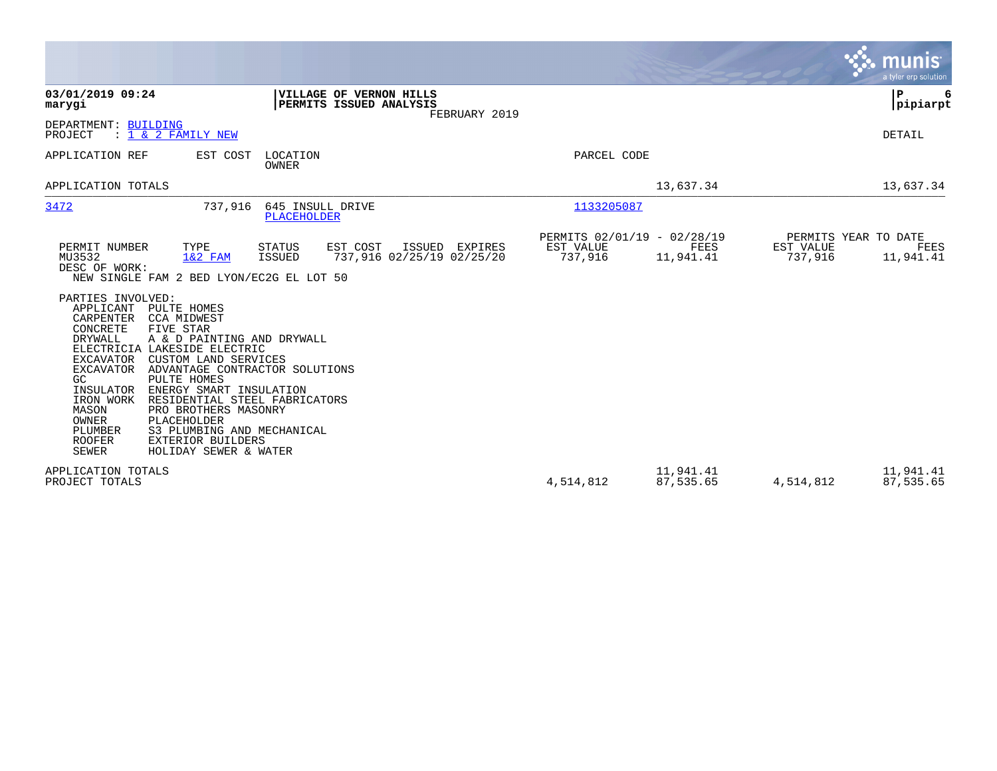|                                                                                                                                                                                                                                  |                                                                                                                                                                                                                                                                                                                                                                                                                                       |                                        |                                                           |                |                                                     |                        |                      | <b>munis</b><br>a tyler erp solution      |
|----------------------------------------------------------------------------------------------------------------------------------------------------------------------------------------------------------------------------------|---------------------------------------------------------------------------------------------------------------------------------------------------------------------------------------------------------------------------------------------------------------------------------------------------------------------------------------------------------------------------------------------------------------------------------------|----------------------------------------|-----------------------------------------------------------|----------------|-----------------------------------------------------|------------------------|----------------------|-------------------------------------------|
| 03/01/2019 09:24<br>marygi                                                                                                                                                                                                       |                                                                                                                                                                                                                                                                                                                                                                                                                                       |                                        | <b>VILLAGE OF VERNON HILLS</b><br>PERMITS ISSUED ANALYSIS | FEBRUARY 2019  |                                                     |                        |                      | ∣P<br> pipiarpt                           |
| DEPARTMENT: BUILDING<br>PROJECT                                                                                                                                                                                                  | $: 1 \& 2$ FAMILY NEW                                                                                                                                                                                                                                                                                                                                                                                                                 |                                        |                                                           |                |                                                     |                        |                      | DETAIL                                    |
| APPLICATION REF                                                                                                                                                                                                                  | EST COST                                                                                                                                                                                                                                                                                                                                                                                                                              | LOCATION<br>OWNER                      |                                                           |                | PARCEL CODE                                         |                        |                      |                                           |
| APPLICATION TOTALS                                                                                                                                                                                                               |                                                                                                                                                                                                                                                                                                                                                                                                                                       |                                        |                                                           |                |                                                     | 13,637.34              |                      | 13,637.34                                 |
| 3472                                                                                                                                                                                                                             | 737,916                                                                                                                                                                                                                                                                                                                                                                                                                               | 645 INSULL DRIVE<br><b>PLACEHOLDER</b> |                                                           |                | 1133205087                                          |                        |                      |                                           |
| PERMIT NUMBER<br>MU3532<br>DESC OF WORK:<br>PARTIES INVOLVED:<br>APPLICANT<br>CARPENTER<br>CONCRETE<br>DRYWALL<br>EXCAVATOR<br>EXCAVATOR<br>GC.<br>INSULATOR<br>IRON WORK<br>MASON<br>OWNER<br>PLUMBER<br><b>ROOFER</b><br>SEWER | TYPE<br>$1&2$ FAM<br>NEW SINGLE FAM 2 BED LYON/EC2G EL LOT 50<br>PULTE HOMES<br>CCA MIDWEST<br>FIVE STAR<br>A & D PAINTING AND DRYWALL<br>ELECTRICIA LAKESIDE ELECTRIC<br>CUSTOM LAND SERVICES<br>ADVANTAGE CONTRACTOR SOLUTIONS<br>PULTE HOMES<br>ENERGY SMART INSULATION<br>RESIDENTIAL STEEL FABRICATORS<br>PRO BROTHERS MASONRY<br>PLACEHOLDER<br>S3 PLUMBING AND MECHANICAL<br><b>EXTERIOR BUILDERS</b><br>HOLIDAY SEWER & WATER | STATUS<br><b>ISSUED</b>                | EST COST<br>737,916 02/25/19 02/25/20                     | ISSUED EXPIRES | PERMITS 02/01/19 - 02/28/19<br>EST VALUE<br>737,916 | FEES<br>11,941.41      | EST VALUE<br>737,916 | PERMITS YEAR TO DATE<br>FEES<br>11,941.41 |
| APPLICATION TOTALS<br>PROJECT TOTALS                                                                                                                                                                                             |                                                                                                                                                                                                                                                                                                                                                                                                                                       |                                        |                                                           |                | 4,514,812                                           | 11,941.41<br>87,535.65 | 4,514,812            | 11,941.41<br>87,535.65                    |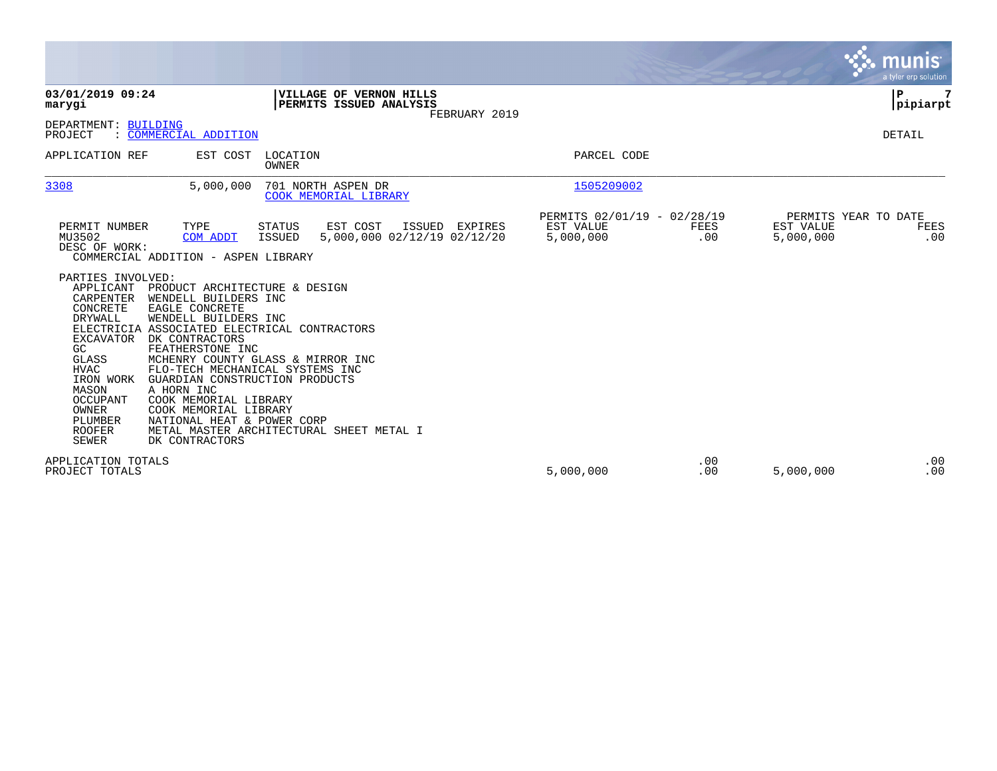|                                                                                                                                                                                                                                                                                                                                                                                                                                                                                                                                                                                                                                                                                |                                                                      | munis<br>a tyler erp solution                                 |
|--------------------------------------------------------------------------------------------------------------------------------------------------------------------------------------------------------------------------------------------------------------------------------------------------------------------------------------------------------------------------------------------------------------------------------------------------------------------------------------------------------------------------------------------------------------------------------------------------------------------------------------------------------------------------------|----------------------------------------------------------------------|---------------------------------------------------------------|
| 03/01/2019 09:24<br>VILLAGE OF VERNON HILLS<br>PERMITS ISSUED ANALYSIS<br>marygi<br>FEBRUARY 2019                                                                                                                                                                                                                                                                                                                                                                                                                                                                                                                                                                              |                                                                      | P<br> pipiarpt                                                |
| DEPARTMENT: BUILDING<br>PROJECT<br>: COMMERCIAL ADDITION                                                                                                                                                                                                                                                                                                                                                                                                                                                                                                                                                                                                                       |                                                                      | DETAIL                                                        |
| APPLICATION REF<br>EST COST<br>LOCATION<br>OWNER                                                                                                                                                                                                                                                                                                                                                                                                                                                                                                                                                                                                                               | PARCEL CODE                                                          |                                                               |
| 3308<br>5,000,000<br>701 NORTH ASPEN DR<br>COOK MEMORIAL LIBRARY                                                                                                                                                                                                                                                                                                                                                                                                                                                                                                                                                                                                               | 1505209002                                                           |                                                               |
| TYPE<br>ISSUED EXPIRES<br>PERMIT NUMBER<br>STATUS<br>EST COST<br>MU3502<br>ISSUED<br>5,000,000 02/12/19 02/12/20<br>COM ADDT<br>DESC OF WORK:<br>COMMERCIAL ADDITION - ASPEN LIBRARY                                                                                                                                                                                                                                                                                                                                                                                                                                                                                           | PERMITS 02/01/19 - 02/28/19<br>EST VALUE<br>FEES<br>5,000,000<br>.00 | PERMITS YEAR TO DATE<br>EST VALUE<br>FEES<br>5,000,000<br>.00 |
| PARTIES INVOLVED:<br>APPLICANT PRODUCT ARCHITECTURE & DESIGN<br>CARPENTER<br>WENDELL BUILDERS INC<br>CONCRETE<br>EAGLE CONCRETE<br><b>DRYWALL</b><br>WENDELL BUILDERS INC<br>ELECTRICIA ASSOCIATED ELECTRICAL CONTRACTORS<br>DK CONTRACTORS<br>EXCAVATOR<br>FEATHERSTONE INC<br>GC<br>MCHENRY COUNTY GLASS & MIRROR INC<br>GLASS<br><b>HVAC</b><br>FLO-TECH MECHANICAL SYSTEMS INC<br>IRON WORK<br>GUARDIAN CONSTRUCTION PRODUCTS<br>MASON<br>A HORN INC<br>OCCUPANT<br>COOK MEMORIAL LIBRARY<br>OWNER<br>COOK MEMORIAL LIBRARY<br><b>PLUMBER</b><br>NATIONAL HEAT & POWER CORP<br><b>ROOFER</b><br>METAL MASTER ARCHITECTURAL SHEET METAL I<br><b>SEWER</b><br>DK CONTRACTORS |                                                                      |                                                               |
| APPLICATION TOTALS<br>PROJECT TOTALS                                                                                                                                                                                                                                                                                                                                                                                                                                                                                                                                                                                                                                           | .00<br>5,000,000<br>.00                                              | .00<br>.00<br>5,000,000                                       |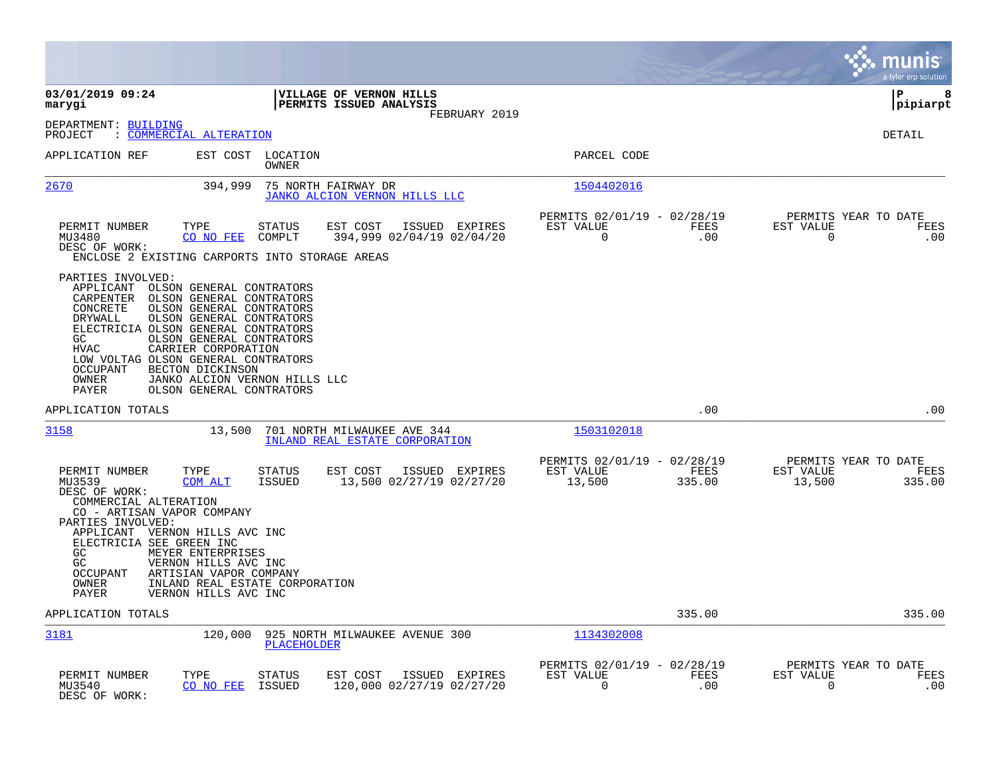|                                                                                                                                                                                                                            |                                                                                                                                                                                                                                                  |                                   |                                                               |                                                         |                    | munis<br>a tyler erp solution                                   |
|----------------------------------------------------------------------------------------------------------------------------------------------------------------------------------------------------------------------------|--------------------------------------------------------------------------------------------------------------------------------------------------------------------------------------------------------------------------------------------------|-----------------------------------|---------------------------------------------------------------|---------------------------------------------------------|--------------------|-----------------------------------------------------------------|
| 03/01/2019 09:24<br>marygi                                                                                                                                                                                                 |                                                                                                                                                                                                                                                  |                                   | VILLAGE OF VERNON HILLS<br>PERMITS ISSUED ANALYSIS            |                                                         |                    | P<br>8<br> pipiarpt                                             |
| DEPARTMENT: BUILDING<br>PROJECT                                                                                                                                                                                            | : COMMERCIAL ALTERATION                                                                                                                                                                                                                          |                                   | FEBRUARY 2019                                                 |                                                         |                    | <b>DETAIL</b>                                                   |
| APPLICATION REF                                                                                                                                                                                                            |                                                                                                                                                                                                                                                  | EST COST LOCATION<br><b>OWNER</b> |                                                               | PARCEL CODE                                             |                    |                                                                 |
| 2670                                                                                                                                                                                                                       | 394,999                                                                                                                                                                                                                                          |                                   | 75 NORTH FAIRWAY DR<br>JANKO ALCION VERNON HILLS LLC          | 1504402016                                              |                    |                                                                 |
| PERMIT NUMBER<br>MU3480<br>DESC OF WORK:<br>ENCLOSE 2 EXISTING CARPORTS INTO STORAGE AREAS                                                                                                                                 | TYPE<br>CO NO FEE                                                                                                                                                                                                                                | STATUS<br>COMPLT                  | EST COST<br>ISSUED EXPIRES<br>394,999 02/04/19 02/04/20       | PERMITS 02/01/19 - 02/28/19<br>EST VALUE<br>$\mathbf 0$ | FEES<br>.00        | PERMITS YEAR TO DATE<br>EST VALUE<br>FEES<br>$\mathbf 0$<br>.00 |
| PARTIES INVOLVED:<br>APPLICANT<br>CARPENTER<br>CONCRETE<br>DRYWALL<br>ELECTRICIA OLSON GENERAL CONTRATORS<br>GC<br><b>HVAC</b><br>LOW VOLTAG OLSON GENERAL CONTRATORS<br>OCCUPANT<br>OWNER<br>PAYER                        | OLSON GENERAL CONTRATORS<br>OLSON GENERAL CONTRATORS<br>OLSON GENERAL CONTRATORS<br>OLSON GENERAL CONTRATORS<br>OLSON GENERAL CONTRATORS<br>CARRIER CORPORATION<br>BECTON DICKINSON<br>JANKO ALCION VERNON HILLS LLC<br>OLSON GENERAL CONTRATORS |                                   |                                                               |                                                         |                    |                                                                 |
| APPLICATION TOTALS                                                                                                                                                                                                         |                                                                                                                                                                                                                                                  |                                   |                                                               |                                                         | .00                | .00                                                             |
| 3158                                                                                                                                                                                                                       | 13,500                                                                                                                                                                                                                                           |                                   | 701 NORTH MILWAUKEE AVE 344<br>INLAND REAL ESTATE CORPORATION | 1503102018                                              |                    |                                                                 |
| PERMIT NUMBER<br>MU3539<br>DESC OF WORK:<br>COMMERCIAL ALTERATION<br>CO - ARTISAN VAPOR COMPANY<br>PARTIES INVOLVED:<br>APPLICANT VERNON HILLS AVC INC<br>ELECTRICIA SEE GREEN INC<br>GC<br>GC<br><b>OCCUPANT</b><br>OWNER | TYPE<br>COM ALT<br>MEYER ENTERPRISES<br>VERNON HILLS AVC INC<br>ARTISIAN VAPOR COMPANY<br>INLAND REAL ESTATE CORPORATION                                                                                                                         | <b>STATUS</b><br><b>ISSUED</b>    | EST COST<br>ISSUED EXPIRES<br>13,500 02/27/19 02/27/20        | PERMITS 02/01/19 - 02/28/19<br>EST VALUE<br>13,500      | FEES<br>335.00     | PERMITS YEAR TO DATE<br>EST VALUE<br>FEES<br>13,500<br>335.00   |
| PAYER                                                                                                                                                                                                                      | VERNON HILLS AVC INC                                                                                                                                                                                                                             |                                   |                                                               |                                                         |                    |                                                                 |
| APPLICATION TOTALS                                                                                                                                                                                                         |                                                                                                                                                                                                                                                  |                                   |                                                               |                                                         | 335.00             | 335.00                                                          |
| <u>3181</u>                                                                                                                                                                                                                | 120,000                                                                                                                                                                                                                                          | <b>PLACEHOLDER</b>                | 925 NORTH MILWAUKEE AVENUE 300                                | 1134302008                                              |                    |                                                                 |
| PERMIT NUMBER<br>MU3540<br>DESC OF WORK:                                                                                                                                                                                   | TYPE<br>CO NO FEE                                                                                                                                                                                                                                | STATUS<br>ISSUED                  | EST COST<br>ISSUED EXPIRES<br>120,000 02/27/19 02/27/20       | PERMITS 02/01/19 - 02/28/19<br>EST VALUE<br>0           | <b>FEES</b><br>.00 | PERMITS YEAR TO DATE<br>EST VALUE<br>FEES<br>0<br>.00           |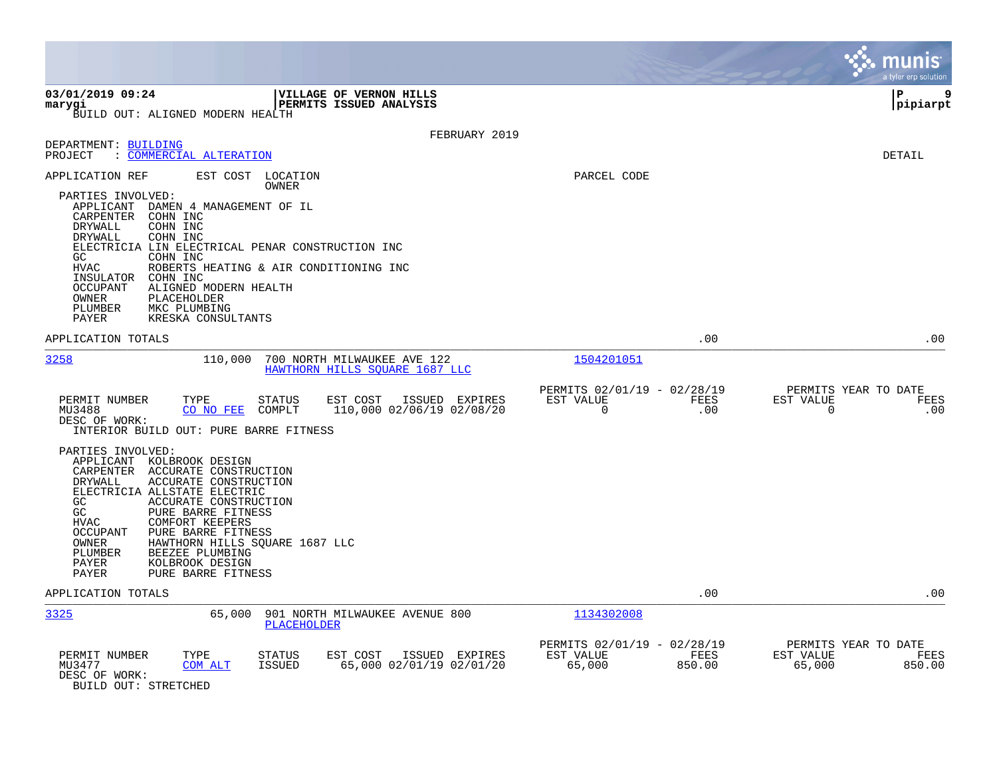|                                                                                                                                                                                                                                                                                                                                                                                                                                 |                                                                        | munis<br>a tyler erp solution                                   |
|---------------------------------------------------------------------------------------------------------------------------------------------------------------------------------------------------------------------------------------------------------------------------------------------------------------------------------------------------------------------------------------------------------------------------------|------------------------------------------------------------------------|-----------------------------------------------------------------|
| 03/01/2019 09:24<br>VILLAGE OF VERNON HILLS<br>PERMITS ISSUED ANALYSIS<br>marygi<br>BUILD OUT: ALIGNED MODERN HEALTH                                                                                                                                                                                                                                                                                                            |                                                                        | 9<br>l P<br> pipiarpt                                           |
| FEBRUARY 2019                                                                                                                                                                                                                                                                                                                                                                                                                   |                                                                        |                                                                 |
| DEPARTMENT: BUILDING<br>PROJECT<br>: COMMERCIAL ALTERATION                                                                                                                                                                                                                                                                                                                                                                      |                                                                        | DETAIL                                                          |
| APPLICATION REF<br>EST COST LOCATION<br>OWNER<br>PARTIES INVOLVED:<br>APPLICANT<br>DAMEN 4 MANAGEMENT OF IL<br>CARPENTER<br>COHN INC<br>DRYWALL<br>COHN INC<br>DRYWALL<br>COHN INC<br>ELECTRICIA LIN ELECTRICAL PENAR CONSTRUCTION INC<br>GC<br>COHN INC<br><b>HVAC</b><br>ROBERTS HEATING & AIR CONDITIONING INC<br>INSULATOR<br>COHN INC<br>OCCUPANT<br>ALIGNED MODERN HEALTH<br>OWNER<br>PLACEHOLDER                         | PARCEL CODE                                                            |                                                                 |
| PLUMBER<br>MKC PLUMBING<br>PAYER<br>KRESKA CONSULTANTS                                                                                                                                                                                                                                                                                                                                                                          |                                                                        |                                                                 |
| APPLICATION TOTALS                                                                                                                                                                                                                                                                                                                                                                                                              | .00                                                                    | .00                                                             |
| 3258<br>110,000<br>700 NORTH MILWAUKEE AVE 122<br>HAWTHORN HILLS SOUARE 1687 LLC                                                                                                                                                                                                                                                                                                                                                | 1504201051                                                             |                                                                 |
| PERMIT NUMBER<br>TYPE<br>EST COST<br>STATUS<br>ISSUED EXPIRES<br>CO NO FEE<br>COMPLT<br>110,000 02/06/19 02/08/20<br>MU3488<br>DESC OF WORK:<br>INTERIOR BUILD OUT: PURE BARRE FITNESS                                                                                                                                                                                                                                          | PERMITS 02/01/19 - 02/28/19<br>EST VALUE<br>FEES<br>$\mathbf 0$<br>.00 | PERMITS YEAR TO DATE<br>EST VALUE<br>FEES<br>$\mathbf 0$<br>.00 |
| PARTIES INVOLVED:<br>APPLICANT KOLBROOK DESIGN<br>CARPENTER ACCURATE CONSTRUCTION<br>DRYWALL<br>ACCURATE CONSTRUCTION<br>ELECTRICIA ALLSTATE ELECTRIC<br>ACCURATE CONSTRUCTION<br>GC<br>GC<br>PURE BARRE FITNESS<br><b>HVAC</b><br><b>COMFORT KEEPERS</b><br>OCCUPANT<br>PURE BARRE FITNESS<br>OWNER<br>HAWTHORN HILLS SQUARE 1687 LLC<br>BEEZEE PLUMBING<br>PLUMBER<br>PAYER<br>KOLBROOK DESIGN<br>PAYER<br>PURE BARRE FITNESS |                                                                        |                                                                 |
| APPLICATION TOTALS                                                                                                                                                                                                                                                                                                                                                                                                              | .00                                                                    | .00                                                             |
| 3325<br>65,000<br>901 NORTH MILWAUKEE AVENUE 800<br>PLACEHOLDER                                                                                                                                                                                                                                                                                                                                                                 | 1134302008                                                             |                                                                 |
| PERMIT NUMBER<br>EST COST<br>TYPE<br>STATUS<br>ISSUED EXPIRES<br>65,000 02/01/19 02/01/20<br>MU3477<br>COM ALT<br><b>ISSUED</b><br>DESC OF WORK:<br>BUILD OUT: STRETCHED                                                                                                                                                                                                                                                        | PERMITS 02/01/19 - 02/28/19<br>EST VALUE<br>FEES<br>65,000<br>850.00   | PERMITS YEAR TO DATE<br>EST VALUE<br>FEES<br>65,000<br>850.00   |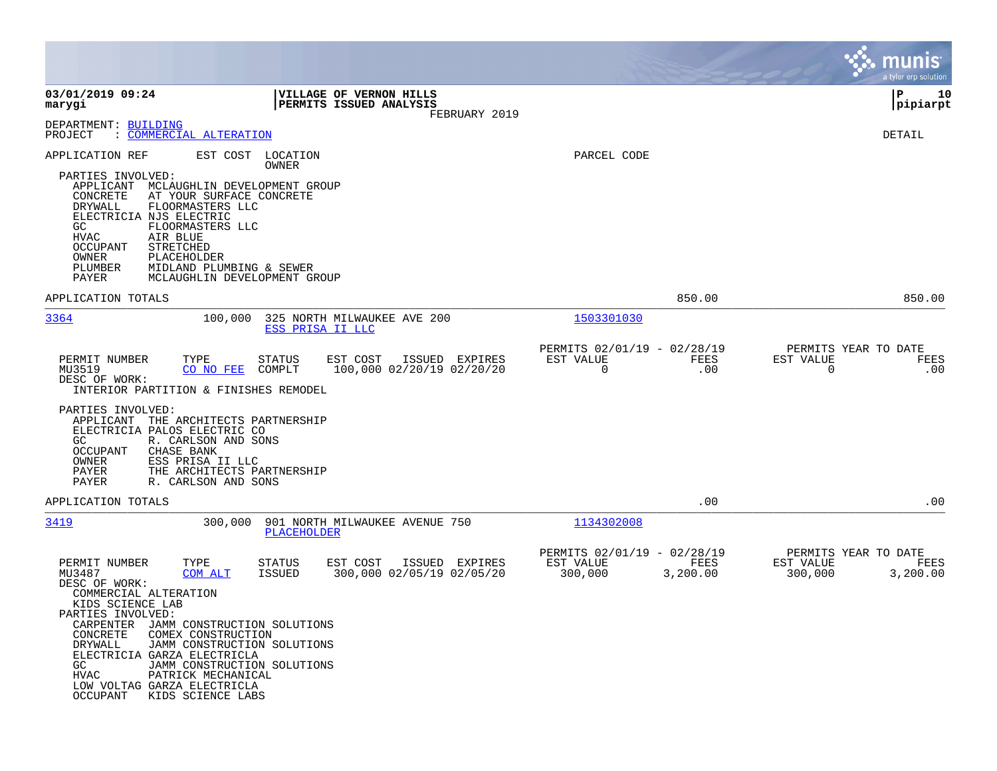|                                                                                                                                                                                                                                                                                                                                                                                                                                                                                                                    |                                                                         | munis<br>a tyler erp solution                                    |
|--------------------------------------------------------------------------------------------------------------------------------------------------------------------------------------------------------------------------------------------------------------------------------------------------------------------------------------------------------------------------------------------------------------------------------------------------------------------------------------------------------------------|-------------------------------------------------------------------------|------------------------------------------------------------------|
| 03/01/2019 09:24<br>VILLAGE OF VERNON HILLS<br>PERMITS ISSUED ANALYSIS<br>marygi<br>FEBRUARY 2019                                                                                                                                                                                                                                                                                                                                                                                                                  |                                                                         | ΙP<br>10<br> pipiarpt                                            |
| DEPARTMENT: BUILDING<br>: COMMERCIAL ALTERATION<br>PROJECT                                                                                                                                                                                                                                                                                                                                                                                                                                                         |                                                                         | DETAIL                                                           |
| APPLICATION REF<br>EST COST<br>LOCATION<br>OWNER<br>PARTIES INVOLVED:<br>APPLICANT<br>MCLAUGHLIN DEVELOPMENT GROUP<br>CONCRETE<br>AT YOUR SURFACE CONCRETE<br>DRYWALL<br>FLOORMASTERS LLC<br>ELECTRICIA NJS ELECTRIC<br>GC.<br>FLOORMASTERS LLC<br>HVAC<br>AIR BLUE<br>OCCUPANT<br>STRETCHED<br>OWNER<br>PLACEHOLDER<br>PLUMBER<br>MIDLAND PLUMBING & SEWER<br>MCLAUGHLIN DEVELOPMENT GROUP<br>PAYER                                                                                                               | PARCEL CODE                                                             |                                                                  |
| APPLICATION TOTALS                                                                                                                                                                                                                                                                                                                                                                                                                                                                                                 | 850.00                                                                  | 850.00                                                           |
| 3364<br>100,000<br>325 NORTH MILWAUKEE AVE 200<br>ESS PRISA II LLC                                                                                                                                                                                                                                                                                                                                                                                                                                                 | 1503301030                                                              |                                                                  |
| TYPE<br>ISSUED EXPIRES<br>PERMIT NUMBER<br>STATUS<br>EST COST<br>100,000 02/20/19 02/20/20<br>MU3519<br>CO NO FEE<br>COMPLT<br>DESC OF WORK:<br>INTERIOR PARTITION & FINISHES REMODEL<br>PARTIES INVOLVED:<br>APPLICANT<br>THE ARCHITECTS PARTNERSHIP<br>ELECTRICIA PALOS ELECTRIC CO<br>R. CARLSON AND SONS<br>GC.<br>CHASE BANK<br>OCCUPANT<br>OWNER<br>ESS PRISA II LLC<br>THE ARCHITECTS PARTNERSHIP<br>PAYER                                                                                                  | PERMITS 02/01/19 - 02/28/19<br>EST VALUE<br>FEES<br>0<br>.00            | PERMITS YEAR TO DATE<br>EST VALUE<br>FEES<br>0<br>.00            |
| PAYER<br>R. CARLSON AND SONS<br>APPLICATION TOTALS                                                                                                                                                                                                                                                                                                                                                                                                                                                                 | .00                                                                     | .00                                                              |
| 3419<br>300,000<br>901 NORTH MILWAUKEE AVENUE 750<br>PLACEHOLDER                                                                                                                                                                                                                                                                                                                                                                                                                                                   | 1134302008                                                              |                                                                  |
| PERMIT NUMBER<br>TYPE<br><b>STATUS</b><br>ISSUED EXPIRES<br>EST COST<br>MU3487<br>COM ALT<br><b>ISSUED</b><br>300,000 02/05/19 02/05/20<br>DESC OF WORK:<br>COMMERCIAL ALTERATION<br>KIDS SCIENCE LAB<br>PARTIES INVOLVED:<br>CARPENTER JAMM CONSTRUCTION SOLUTIONS<br>CONCRETE<br>COMEX CONSTRUCTION<br>DRYWALL<br>JAMM CONSTRUCTION SOLUTIONS<br>ELECTRICIA GARZA ELECTRICLA<br>GC.<br>JAMM CONSTRUCTION SOLUTIONS<br>PATRICK MECHANICAL<br>HVAC<br>LOW VOLTAG GARZA ELECTRICLA<br>OCCUPANT<br>KIDS SCIENCE LABS | PERMITS 02/01/19 - 02/28/19<br>EST VALUE<br>FEES<br>300,000<br>3,200.00 | PERMITS YEAR TO DATE<br>EST VALUE<br>FEES<br>300,000<br>3,200.00 |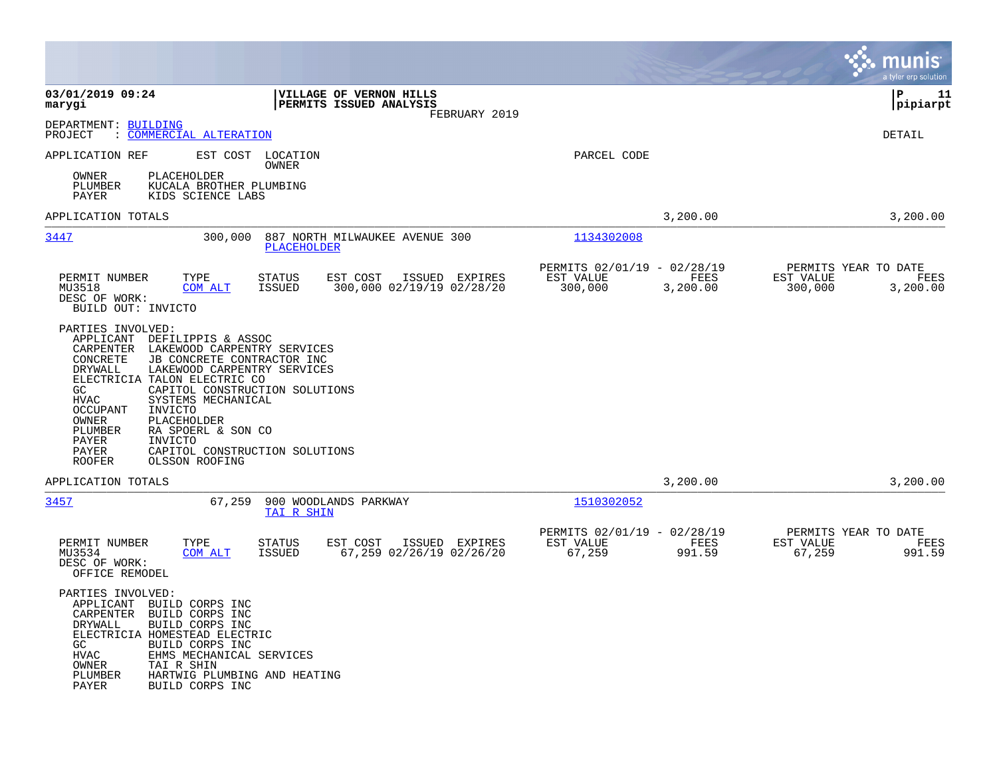|                                                                                                                                                                                                                                                                                                                                                                                                                                                                                     |                                                                                           |                                                                         | munis<br>a tyler erp solution                                    |
|-------------------------------------------------------------------------------------------------------------------------------------------------------------------------------------------------------------------------------------------------------------------------------------------------------------------------------------------------------------------------------------------------------------------------------------------------------------------------------------|-------------------------------------------------------------------------------------------|-------------------------------------------------------------------------|------------------------------------------------------------------|
| 03/01/2019 09:24<br>marygi                                                                                                                                                                                                                                                                                                                                                                                                                                                          | VILLAGE OF VERNON HILLS<br>PERMITS ISSUED ANALYSIS<br>FEBRUARY 2019                       |                                                                         | l P<br>11<br> pipiarpt                                           |
| DEPARTMENT: BUILDING<br>PROJECT<br>: COMMERCIAL ALTERATION                                                                                                                                                                                                                                                                                                                                                                                                                          |                                                                                           |                                                                         | DETAIL                                                           |
| APPLICATION REF                                                                                                                                                                                                                                                                                                                                                                                                                                                                     | EST COST LOCATION<br>OWNER                                                                | PARCEL CODE                                                             |                                                                  |
| PLACEHOLDER<br>OWNER<br>PLUMBER<br>KUCALA BROTHER PLUMBING<br>PAYER<br>KIDS SCIENCE LABS                                                                                                                                                                                                                                                                                                                                                                                            |                                                                                           |                                                                         |                                                                  |
| APPLICATION TOTALS                                                                                                                                                                                                                                                                                                                                                                                                                                                                  |                                                                                           | 3,200.00                                                                | 3,200.00                                                         |
| 3447<br>300,000                                                                                                                                                                                                                                                                                                                                                                                                                                                                     | 887 NORTH MILWAUKEE AVENUE 300<br>PLACEHOLDER                                             | 1134302008                                                              |                                                                  |
| TYPE<br>PERMIT NUMBER<br>MU3518<br>COM ALT<br>DESC OF WORK:<br>BUILD OUT: INVICTO                                                                                                                                                                                                                                                                                                                                                                                                   | EST COST<br>ISSUED EXPIRES<br><b>STATUS</b><br>300,000 02/19/19 02/28/20<br><b>ISSUED</b> | PERMITS 02/01/19 - 02/28/19<br>EST VALUE<br>FEES<br>300,000<br>3,200.00 | PERMITS YEAR TO DATE<br>EST VALUE<br>FEES<br>300,000<br>3,200.00 |
| PARTIES INVOLVED:<br>APPLICANT<br>DEFILIPPIS & ASSOC<br>LAKEWOOD CARPENTRY SERVICES<br>CARPENTER<br>CONCRETE<br>JB CONCRETE CONTRACTOR INC<br>DRYWALL<br>LAKEWOOD CARPENTRY SERVICES<br>ELECTRICIA TALON ELECTRIC CO<br>GC<br>CAPITOL CONSTRUCTION SOLUTIONS<br>SYSTEMS MECHANICAL<br>HVAC<br><b>OCCUPANT</b><br>INVICTO<br>PLACEHOLDER<br>OWNER<br>RA SPOERL & SON CO<br>PLUMBER<br>PAYER<br>INVICTO<br>PAYER<br>CAPITOL CONSTRUCTION SOLUTIONS<br><b>ROOFER</b><br>OLSSON ROOFING |                                                                                           |                                                                         |                                                                  |
| APPLICATION TOTALS                                                                                                                                                                                                                                                                                                                                                                                                                                                                  |                                                                                           | 3,200.00                                                                | 3,200.00                                                         |
| 3457<br>67,259                                                                                                                                                                                                                                                                                                                                                                                                                                                                      | 900 WOODLANDS PARKWAY<br>TAI R SHIN                                                       | 1510302052                                                              |                                                                  |
| PERMIT NUMBER<br>TYPE<br>MU3534<br>COM ALT<br>DESC OF WORK:<br>OFFICE REMODEL                                                                                                                                                                                                                                                                                                                                                                                                       | <b>STATUS</b><br>EST COST<br>ISSUED EXPIRES<br>67,259 02/26/19 02/26/20<br><b>ISSUED</b>  | PERMITS 02/01/19 - 02/28/19<br>EST VALUE<br>FEES<br>67,259<br>991.59    | PERMITS YEAR TO DATE<br>EST VALUE<br>FEES<br>67,259<br>991.59    |
| PARTIES INVOLVED:<br>APPLICANT BUILD CORPS INC<br>BUILD CORPS INC<br>CARPENTER<br>BUILD CORPS INC<br>DRYWALL<br>ELECTRICIA HOMESTEAD ELECTRIC<br>BUILD CORPS INC<br>GC<br>EHMS MECHANICAL SERVICES<br>HVAC<br>OWNER<br>TAI R SHIN<br>PLUMBER<br>HARTWIG PLUMBING AND HEATING<br>PAYER<br>BUILD CORPS INC                                                                                                                                                                            |                                                                                           |                                                                         |                                                                  |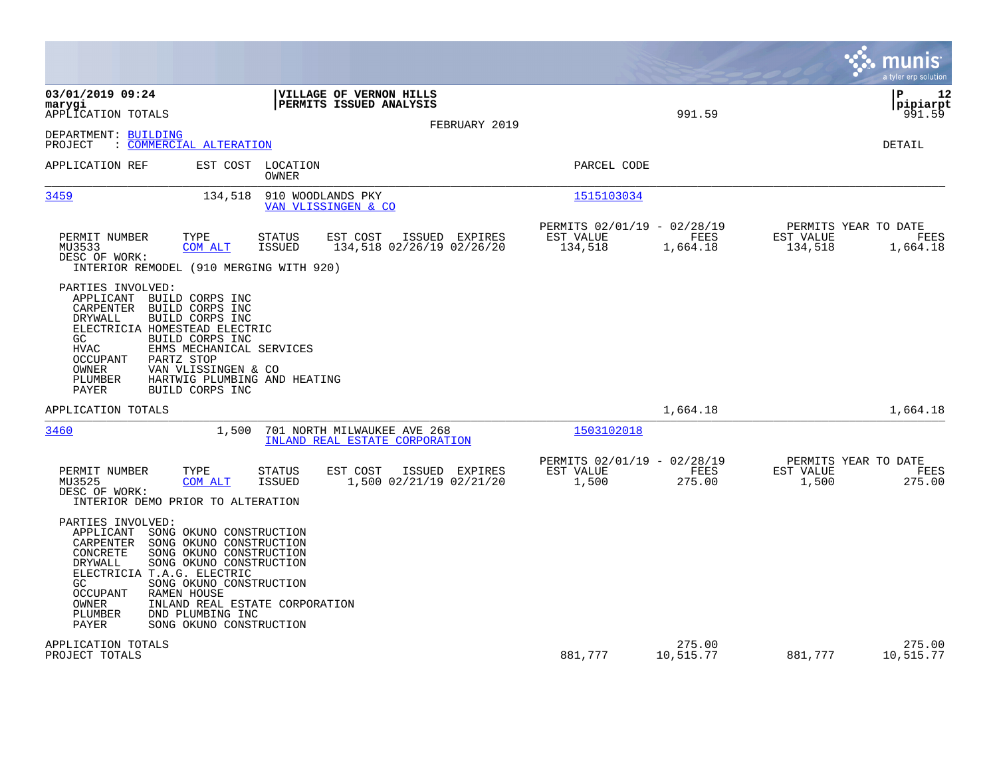|                                                                                                                                                                                                                                                                                                                                                                                                      |                                                                                | munis<br>a tyler erp solution                                    |
|------------------------------------------------------------------------------------------------------------------------------------------------------------------------------------------------------------------------------------------------------------------------------------------------------------------------------------------------------------------------------------------------------|--------------------------------------------------------------------------------|------------------------------------------------------------------|
| 03/01/2019 09:24<br>VILLAGE OF VERNON HILLS<br>PERMITS ISSUED ANALYSIS<br>marygi<br>APPLICATION TOTALS<br>FEBRUARY 2019                                                                                                                                                                                                                                                                              | 991.59                                                                         | l P<br>12<br> pipiarpt<br>991.59                                 |
| DEPARTMENT: BUILDING<br>: COMMERCIAL ALTERATION<br>PROJECT                                                                                                                                                                                                                                                                                                                                           |                                                                                | <b>DETAIL</b>                                                    |
| EST COST<br>LOCATION<br>APPLICATION REF<br><b>OWNER</b>                                                                                                                                                                                                                                                                                                                                              | PARCEL CODE                                                                    |                                                                  |
| 3459<br>134,518<br>910 WOODLANDS PKY<br>VAN VLISSINGEN & CO                                                                                                                                                                                                                                                                                                                                          | 1515103034                                                                     |                                                                  |
| PERMIT NUMBER<br>TYPE<br><b>STATUS</b><br>EST COST<br>ISSUED EXPIRES<br>134,518 02/26/19 02/26/20<br>MU3533<br>COM ALT<br><b>ISSUED</b><br>DESC OF WORK:<br>INTERIOR REMODEL (910 MERGING WITH 920)                                                                                                                                                                                                  | PERMITS 02/01/19 - 02/28/19<br>EST VALUE<br><b>FEES</b><br>134,518<br>1,664.18 | PERMITS YEAR TO DATE<br>EST VALUE<br>FEES<br>134,518<br>1,664.18 |
| PARTIES INVOLVED:<br>APPLICANT BUILD CORPS INC<br>CARPENTER<br>BUILD CORPS INC<br>BUILD CORPS INC<br>DRYWALL<br>ELECTRICIA HOMESTEAD ELECTRIC<br>BUILD CORPS INC<br>GC<br><b>HVAC</b><br>EHMS MECHANICAL SERVICES<br><b>OCCUPANT</b><br>PARTZ STOP<br>OWNER<br>VAN VLISSINGEN & CO<br>HARTWIG PLUMBING AND HEATING<br>PLUMBER<br><b>PAYER</b><br>BUILD CORPS INC                                     |                                                                                |                                                                  |
| APPLICATION TOTALS                                                                                                                                                                                                                                                                                                                                                                                   | 1,664.18                                                                       | 1,664.18                                                         |
| 3460<br>1,500<br>701 NORTH MILWAUKEE AVE 268<br>INLAND REAL ESTATE CORPORATION                                                                                                                                                                                                                                                                                                                       | 1503102018                                                                     |                                                                  |
| PERMIT NUMBER<br>TYPE<br>STATUS<br>EST COST<br>ISSUED EXPIRES<br>MU3525<br>COM ALT<br><b>ISSUED</b><br>1,500 02/21/19 02/21/20<br>DESC OF WORK:<br>INTERIOR DEMO PRIOR TO ALTERATION                                                                                                                                                                                                                 | PERMITS 02/01/19 - 02/28/19<br>EST VALUE<br>FEES<br>1,500<br>275.00            | PERMITS YEAR TO DATE<br>EST VALUE<br>FEES<br>1,500<br>275.00     |
| PARTIES INVOLVED:<br>APPLICANT<br>SONG OKUNO CONSTRUCTION<br>CARPENTER<br>SONG OKUNO CONSTRUCTION<br>CONCRETE<br>SONG OKUNO CONSTRUCTION<br>SONG OKUNO CONSTRUCTION<br>DRYWALL<br>ELECTRICIA T.A.G. ELECTRIC<br>SONG OKUNO CONSTRUCTION<br>GC<br><b>OCCUPANT</b><br><b>RAMEN HOUSE</b><br>INLAND REAL ESTATE CORPORATION<br>OWNER<br>PLUMBER<br>DND PLUMBING INC<br>PAYER<br>SONG OKUNO CONSTRUCTION |                                                                                |                                                                  |
| APPLICATION TOTALS<br>PROJECT TOTALS                                                                                                                                                                                                                                                                                                                                                                 | 275.00<br>881,777<br>10,515.77                                                 | 275.00<br>881,777<br>10,515.77                                   |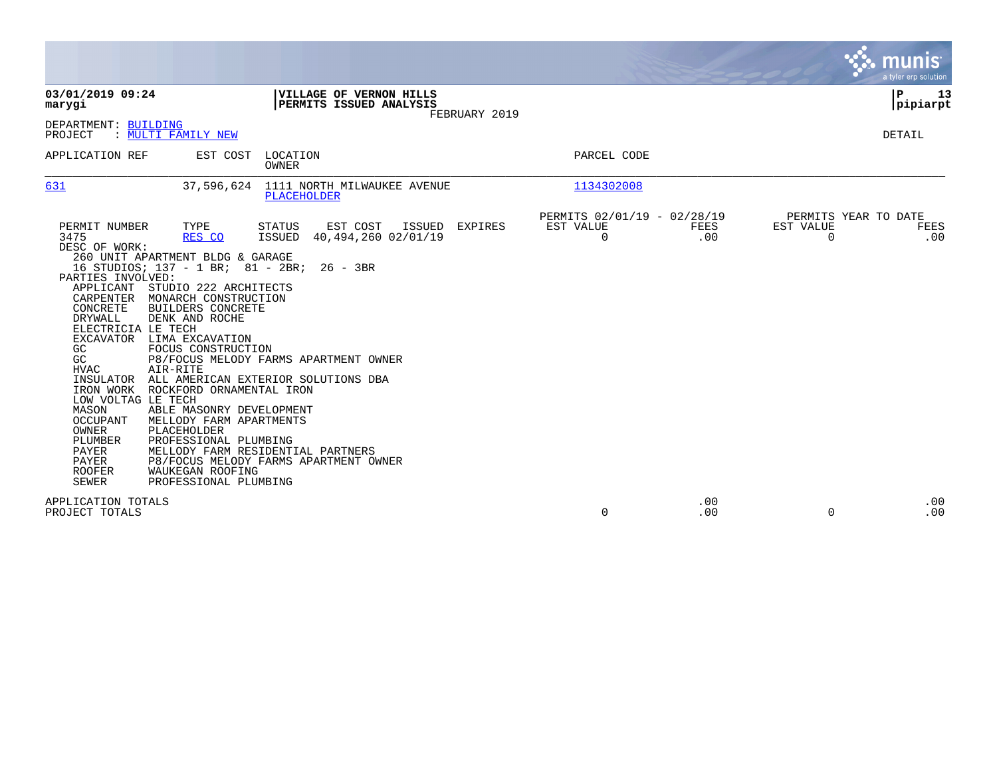|                                                                                                                                                                                                                                                                                                                         |                                                                                                                                                                                                                                                                                                                                                                                                                               |                                                                                                                                                                                                                                                  |                |                                               |             |                          | munis<br>a tyler erp solution       |
|-------------------------------------------------------------------------------------------------------------------------------------------------------------------------------------------------------------------------------------------------------------------------------------------------------------------------|-------------------------------------------------------------------------------------------------------------------------------------------------------------------------------------------------------------------------------------------------------------------------------------------------------------------------------------------------------------------------------------------------------------------------------|--------------------------------------------------------------------------------------------------------------------------------------------------------------------------------------------------------------------------------------------------|----------------|-----------------------------------------------|-------------|--------------------------|-------------------------------------|
| 03/01/2019 09:24<br>marygi                                                                                                                                                                                                                                                                                              |                                                                                                                                                                                                                                                                                                                                                                                                                               | VILLAGE OF VERNON HILLS<br>PERMITS ISSUED ANALYSIS                                                                                                                                                                                               | FEBRUARY 2019  |                                               |             |                          | P<br>13<br> pipiarpt                |
| DEPARTMENT: BUILDING<br>PROJECT                                                                                                                                                                                                                                                                                         | : MULTI FAMILY NEW                                                                                                                                                                                                                                                                                                                                                                                                            |                                                                                                                                                                                                                                                  |                |                                               |             |                          | DETAIL                              |
| APPLICATION REF                                                                                                                                                                                                                                                                                                         |                                                                                                                                                                                                                                                                                                                                                                                                                               | EST COST LOCATION<br>OWNER                                                                                                                                                                                                                       |                | PARCEL CODE                                   |             |                          |                                     |
| 631                                                                                                                                                                                                                                                                                                                     | 37,596,624                                                                                                                                                                                                                                                                                                                                                                                                                    | 1111 NORTH MILWAUKEE AVENUE<br>PLACEHOLDER                                                                                                                                                                                                       |                | 1134302008                                    |             |                          |                                     |
| PERMIT NUMBER<br>3475<br>DESC OF WORK:<br>PARTIES INVOLVED:<br>APPLICANT<br>CARPENTER<br>CONCRETE<br><b>DRYWALL</b><br>ELECTRICIA LE TECH<br>GC<br>GC<br><b>HVAC</b><br>INSULATOR<br>IRON WORK<br>LOW VOLTAG LE TECH<br>MASON<br>OCCUPANT<br>OWNER<br><b>PLUMBER</b><br>PAYER<br>PAYER<br><b>ROOFER</b><br><b>SEWER</b> | TYPE<br>RES CO<br>260 UNIT APARTMENT BLDG & GARAGE<br>16 STUDIOS; 137 - 1 BR; 81 - 2BR;<br>STUDIO 222 ARCHITECTS<br>MONARCH CONSTRUCTION<br><b>BUILDERS CONCRETE</b><br>DENK AND ROCHE<br>EXCAVATOR LIMA EXCAVATION<br>FOCUS CONSTRUCTION<br>AIR-RITE<br>ROCKFORD ORNAMENTAL IRON<br>ABLE MASONRY DEVELOPMENT<br>MELLODY FARM APARTMENTS<br>PLACEHOLDER<br>PROFESSIONAL PLUMBING<br>WAUKEGAN ROOFING<br>PROFESSIONAL PLUMBING | EST COST<br>ISSUED<br>STATUS<br><b>ISSUED</b><br>40,494,260 02/01/19<br>$26 - 3BR$<br>P8/FOCUS MELODY FARMS APARTMENT OWNER<br>ALL AMERICAN EXTERIOR SOLUTIONS DBA<br>MELLODY FARM RESIDENTIAL PARTNERS<br>P8/FOCUS MELODY FARMS APARTMENT OWNER | <b>EXPIRES</b> | PERMITS 02/01/19 - 02/28/19<br>EST VALUE<br>0 | FEES<br>.00 | EST VALUE<br>$\mathbf 0$ | PERMITS YEAR TO DATE<br>FEES<br>.00 |
| APPLICATION TOTALS<br>PROJECT TOTALS                                                                                                                                                                                                                                                                                    |                                                                                                                                                                                                                                                                                                                                                                                                                               |                                                                                                                                                                                                                                                  |                | 0                                             | .00<br>.00  | $\Omega$                 | .00<br>.00                          |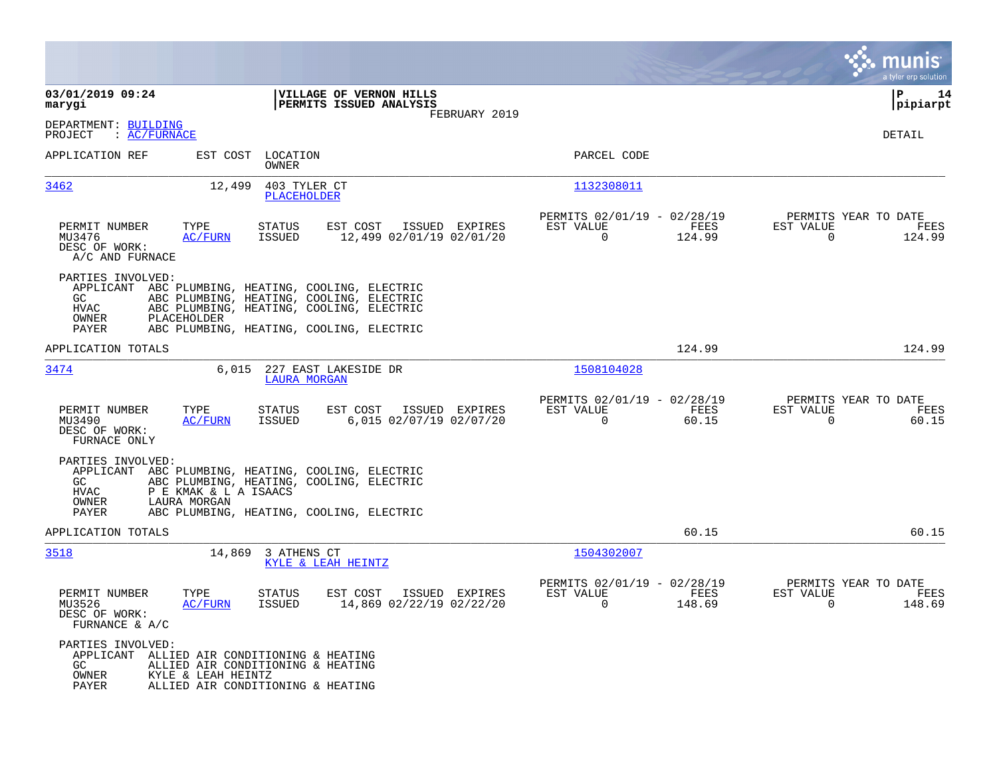|                                                                           |                                                                                                                                                                                        |                                                                           | munis<br>a tyler erp solution                                         |
|---------------------------------------------------------------------------|----------------------------------------------------------------------------------------------------------------------------------------------------------------------------------------|---------------------------------------------------------------------------|-----------------------------------------------------------------------|
| 03/01/2019 09:24<br>marygi                                                | VILLAGE OF VERNON HILLS<br>PERMITS ISSUED ANALYSIS<br>FEBRUARY 2019                                                                                                                    |                                                                           | ΙP<br>14<br> pipiarpt                                                 |
| DEPARTMENT: BUILDING<br>: AC/FURNACE<br>PROJECT                           |                                                                                                                                                                                        |                                                                           | <b>DETAIL</b>                                                         |
| APPLICATION REF                                                           | EST COST LOCATION<br><b>OWNER</b>                                                                                                                                                      | PARCEL CODE                                                               |                                                                       |
| 3462                                                                      | 12,499<br>403 TYLER CT<br>PLACEHOLDER                                                                                                                                                  | 1132308011                                                                |                                                                       |
| PERMIT NUMBER<br>TYPE<br>MU3476<br>DESC OF WORK:<br>A/C AND FURNACE       | <b>STATUS</b><br>EST COST<br>ISSUED EXPIRES<br><b>ISSUED</b><br>12,499 02/01/19 02/01/20<br><b>AC/FURN</b>                                                                             | PERMITS 02/01/19 - 02/28/19<br>EST VALUE<br>FEES<br>$\mathbf 0$<br>124.99 | PERMITS YEAR TO DATE<br>EST VALUE<br>FEES<br>$\mathbf 0$<br>124.99    |
| PARTIES INVOLVED:<br>GC<br>HVAC<br>OWNER<br>PLACEHOLDER<br>PAYER          | APPLICANT ABC PLUMBING, HEATING, COOLING, ELECTRIC<br>ABC PLUMBING, HEATING, COOLING, ELECTRIC<br>ABC PLUMBING, HEATING, COOLING, ELECTRIC<br>ABC PLUMBING, HEATING, COOLING, ELECTRIC |                                                                           |                                                                       |
| APPLICATION TOTALS                                                        |                                                                                                                                                                                        | 124.99                                                                    | 124.99                                                                |
| 3474                                                                      | 6,015<br>227 EAST LAKESIDE DR<br><b>LAURA MORGAN</b>                                                                                                                                   | 1508104028                                                                |                                                                       |
| PERMIT NUMBER<br>TYPE<br>MU3490<br>DESC OF WORK:<br>FURNACE ONLY          | EST COST<br>STATUS<br>ISSUED EXPIRES<br><b>ISSUED</b><br>6,015 02/07/19 02/07/20<br><u>AC/FURN</u>                                                                                     | PERMITS 02/01/19 - 02/28/19<br>EST VALUE<br>FEES<br>$\Omega$<br>60.15     | PERMITS YEAR TO DATE<br>EST VALUE<br>FEES<br>$\Omega$<br>60.15        |
| PARTIES INVOLVED:<br>GC.<br><b>HVAC</b><br>OWNER<br>LAURA MORGAN<br>PAYER | APPLICANT ABC PLUMBING, HEATING, COOLING, ELECTRIC<br>ABC PLUMBING, HEATING, COOLING, ELECTRIC<br>P E KMAK & L A ISAACS<br>ABC PLUMBING, HEATING, COOLING, ELECTRIC                    |                                                                           |                                                                       |
| APPLICATION TOTALS                                                        |                                                                                                                                                                                        | 60.15                                                                     | 60.15                                                                 |
| 3518                                                                      | 14,869<br>3 ATHENS CT<br>KYLE & LEAH HEINTZ                                                                                                                                            | 1504302007                                                                |                                                                       |
| PERMIT NUMBER<br>TYPE<br>MU3526<br>DESC OF WORK:<br>FURNANCE & A/C        | <b>STATUS</b><br>EST COST<br>ISSUED EXPIRES<br>AC/FURN<br>ISSUED<br>14,869 02/22/19 02/22/20                                                                                           | PERMITS 02/01/19 - 02/28/19<br>EST VALUE<br>FEES<br>0<br>148.69           | PERMITS YEAR TO DATE<br>EST VALUE<br>FEES<br>$\overline{0}$<br>148.69 |
| PARTIES INVOLVED:<br>GC.<br>OWNER<br>PAYER                                | APPLICANT ALLIED AIR CONDITIONING & HEATING<br>ALLIED AIR CONDITIONING & HEATING<br>KYLE & LEAH HEINTZ<br>ALLIED AIR CONDITIONING & HEATING                                            |                                                                           |                                                                       |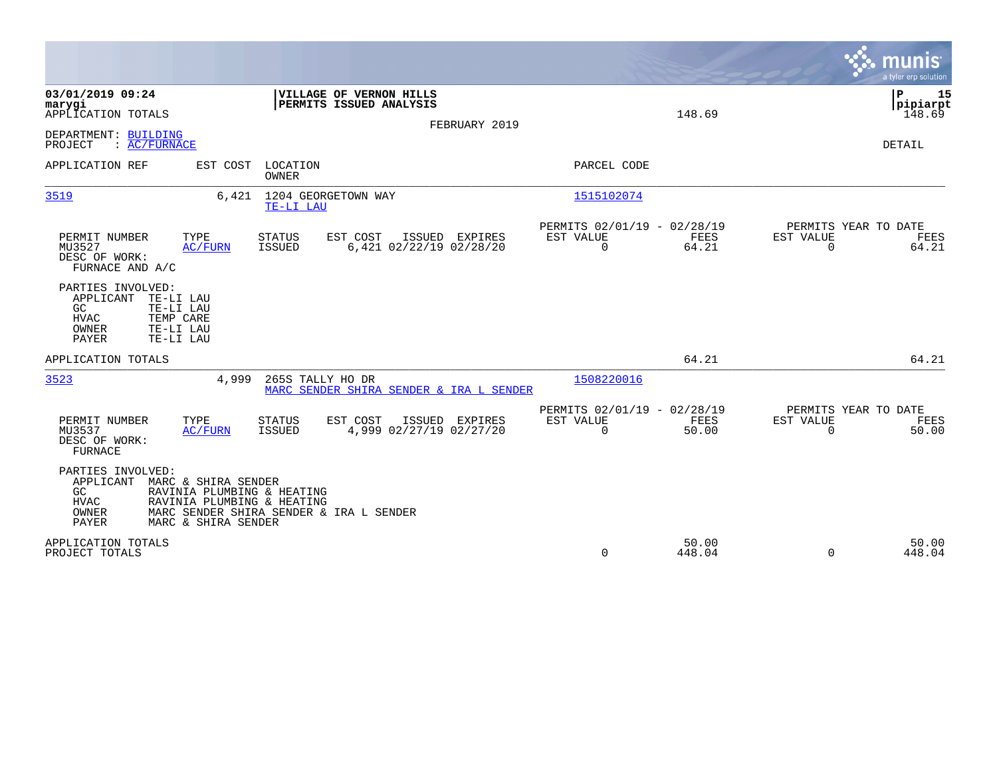|                                                                                                                                                                                                                     |                                                         |                            | munis<br>a tyler erp solution                           |
|---------------------------------------------------------------------------------------------------------------------------------------------------------------------------------------------------------------------|---------------------------------------------------------|----------------------------|---------------------------------------------------------|
| 03/01/2019 09:24<br>VILLAGE OF VERNON HILLS<br>PERMITS ISSUED ANALYSIS<br>marygi<br>APPLICATION TOTALS<br>FEBRUARY 2019                                                                                             |                                                         | 148.69                     | P<br>15<br> pipiarpt<br>148.69                          |
| DEPARTMENT: BUILDING<br>PROJECT<br>: AC/FURNACE                                                                                                                                                                     |                                                         |                            | <b>DETAIL</b>                                           |
| APPLICATION REF<br>EST COST LOCATION<br>OWNER                                                                                                                                                                       | PARCEL CODE                                             |                            |                                                         |
| 3519<br>6,421<br>1204 GEORGETOWN WAY<br>TE-LI LAU                                                                                                                                                                   | 1515102074                                              |                            |                                                         |
| PERMIT NUMBER<br>TYPE<br><b>STATUS</b><br>EST COST<br>ISSUED EXPIRES<br><b>ISSUED</b><br>6,421 02/22/19 02/28/20<br>MU3527<br>AC/FURN<br>DESC OF WORK:<br>FURNACE AND A/C                                           | PERMITS 02/01/19 - 02/28/19<br>EST VALUE<br>$\mathbf 0$ | FEES<br>EST VALUE<br>64.21 | PERMITS YEAR TO DATE<br>FEES<br>64.21<br>$\overline{0}$ |
| PARTIES INVOLVED:<br>APPLICANT<br>TE-LI LAU<br>GC.<br>TE-LI LAU<br><b>HVAC</b><br>TEMP CARE<br>OWNER<br>TE-LI LAU<br>PAYER<br>TE-LI LAU                                                                             |                                                         |                            |                                                         |
| APPLICATION TOTALS                                                                                                                                                                                                  |                                                         | 64.21                      | 64.21                                                   |
| 3523<br>4,999<br>265S TALLY HO DR<br>MARC SENDER SHIRA SENDER & IRA L SENDER                                                                                                                                        | 1508220016                                              |                            |                                                         |
| TYPE<br>EST COST<br>ISSUED EXPIRES<br>PERMIT NUMBER<br><b>STATUS</b><br>4,999 02/27/19 02/27/20<br>MU3537<br><b>ISSUED</b><br>AC/FURN<br>DESC OF WORK:<br>FURNACE                                                   | PERMITS 02/01/19 - 02/28/19<br>EST VALUE<br>$\Omega$    | FEES<br>EST VALUE<br>50.00 | PERMITS YEAR TO DATE<br>FEES<br>$\Omega$<br>50.00       |
| PARTIES INVOLVED:<br>MARC & SHIRA SENDER<br>APPLICANT<br>GC<br>RAVINIA PLUMBING & HEATING<br>RAVINIA PLUMBING & HEATING<br>HVAC<br>OWNER<br>MARC SENDER SHIRA SENDER & IRA L SENDER<br>PAYER<br>MARC & SHIRA SENDER |                                                         |                            |                                                         |
| APPLICATION TOTALS<br>PROJECT TOTALS                                                                                                                                                                                | $\mathbf 0$                                             | 50.00<br>448.04            | 50.00<br>$\Omega$<br>448.04                             |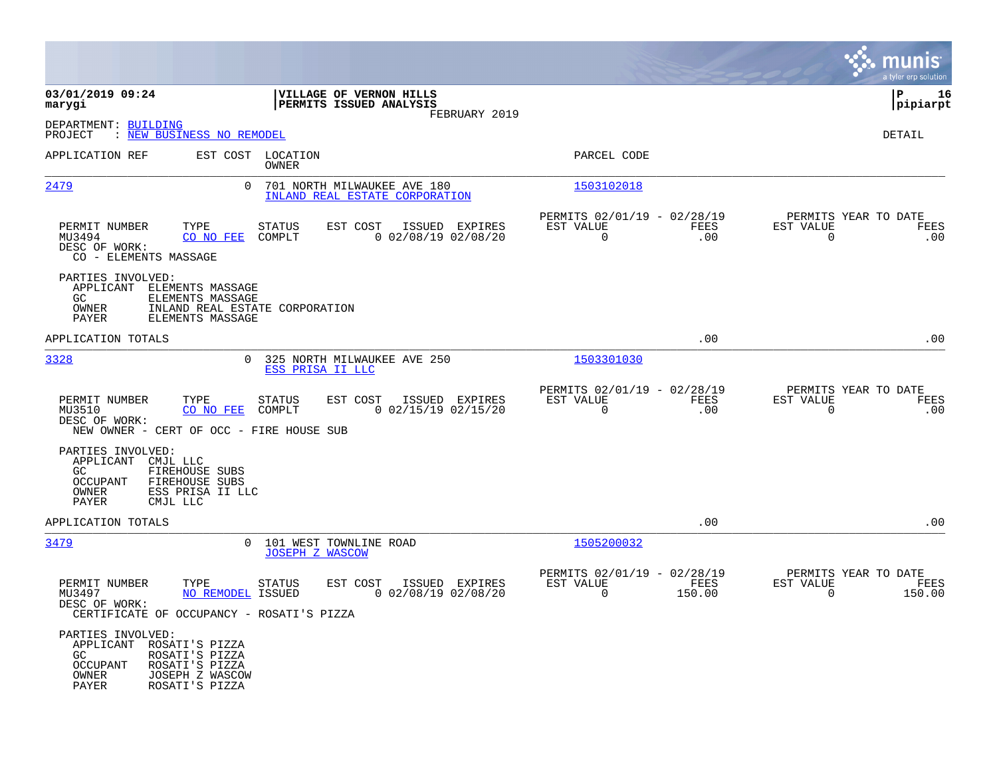|                                                                                                                                                                    |                                                                                |                                                                           | munis<br>a tyler erp solution                                      |
|--------------------------------------------------------------------------------------------------------------------------------------------------------------------|--------------------------------------------------------------------------------|---------------------------------------------------------------------------|--------------------------------------------------------------------|
| 03/01/2019 09:24<br>marygi                                                                                                                                         | VILLAGE OF VERNON HILLS<br>PERMITS ISSUED ANALYSIS<br>FEBRUARY 2019            |                                                                           | ∣P<br>16<br> pipiarpt                                              |
| DEPARTMENT: BUILDING<br>: NEW BUSINESS NO REMODEL<br>PROJECT                                                                                                       |                                                                                |                                                                           | <b>DETAIL</b>                                                      |
| APPLICATION REF                                                                                                                                                    | EST COST LOCATION<br>OWNER                                                     | PARCEL CODE                                                               |                                                                    |
| <u> 2479</u><br>$\mathbf{0}$                                                                                                                                       | 701 NORTH MILWAUKEE AVE 180<br>INLAND REAL ESTATE CORPORATION                  | 1503102018                                                                |                                                                    |
| TYPE<br>PERMIT NUMBER<br>MU3494<br>CO NO FEE<br>DESC OF WORK:<br>CO - ELEMENTS MASSAGE                                                                             | EST COST<br>STATUS<br>ISSUED EXPIRES<br>COMPLT<br>$0$ 02/08/19 02/08/20        | PERMITS 02/01/19 - 02/28/19<br>EST VALUE<br>FEES<br>$\mathbf 0$<br>.00    | PERMITS YEAR TO DATE<br>EST VALUE<br>FEES<br>$\mathbf 0$<br>.00    |
| PARTIES INVOLVED:<br>APPLICANT<br>ELEMENTS MASSAGE<br>GC.<br>ELEMENTS MASSAGE<br>INLAND REAL ESTATE CORPORATION<br>OWNER<br>ELEMENTS MASSAGE<br>PAYER              |                                                                                |                                                                           |                                                                    |
| APPLICATION TOTALS                                                                                                                                                 |                                                                                | .00                                                                       | .00                                                                |
| 3328<br>$\Omega$                                                                                                                                                   | 325 NORTH MILWAUKEE AVE 250<br>ESS PRISA II LLC                                | 1503301030                                                                |                                                                    |
| TYPE<br>PERMIT NUMBER<br>MU3510<br>CO NO FEE<br>DESC OF WORK:<br>NEW OWNER - CERT OF OCC - FIRE HOUSE SUB                                                          | <b>STATUS</b><br>EST COST<br>ISSUED EXPIRES<br>COMPLT<br>$0$ 02/15/19 02/15/20 | PERMITS 02/01/19 - 02/28/19<br>EST VALUE<br>FEES<br>0<br>.00              | PERMITS YEAR TO DATE<br>EST VALUE<br>FEES<br>$\mathbf 0$<br>.00    |
| PARTIES INVOLVED:<br>APPLICANT CMJL LLC<br>GC.<br>FIREHOUSE SUBS<br><b>OCCUPANT</b><br>FIREHOUSE SUBS<br>OWNER<br>ESS PRISA II LLC<br><b>PAYER</b><br>CMJL LLC     |                                                                                |                                                                           |                                                                    |
| APPLICATION TOTALS                                                                                                                                                 |                                                                                | .00                                                                       | .00                                                                |
| 3479<br>$\mathbf{0}$                                                                                                                                               | 101 WEST TOWNLINE ROAD<br><b>JOSEPH Z WASCOW</b>                               | 1505200032                                                                |                                                                    |
| PERMIT NUMBER<br>TYPE<br>MU3497<br>NO REMODEL ISSUED<br>DESC OF WORK:<br>CERTIFICATE OF OCCUPANCY - ROSATI'S PIZZA                                                 | STATUS<br>EST COST<br>ISSUED EXPIRES<br>$0$ 02/08/19 02/08/20                  | PERMITS 02/01/19 - 02/28/19<br>EST VALUE<br>FEES<br>$\mathbf 0$<br>150.00 | PERMITS YEAR TO DATE<br>EST VALUE<br>FEES<br>$\mathbf 0$<br>150.00 |
| PARTIES INVOLVED:<br>APPLICANT ROSATI'S PIZZA<br>ROSATI'S PIZZA<br>GC.<br><b>OCCUPANT</b><br>ROSATI'S PIZZA<br>JOSEPH Z WASCOW<br>OWNER<br>ROSATI'S PIZZA<br>PAYER |                                                                                |                                                                           |                                                                    |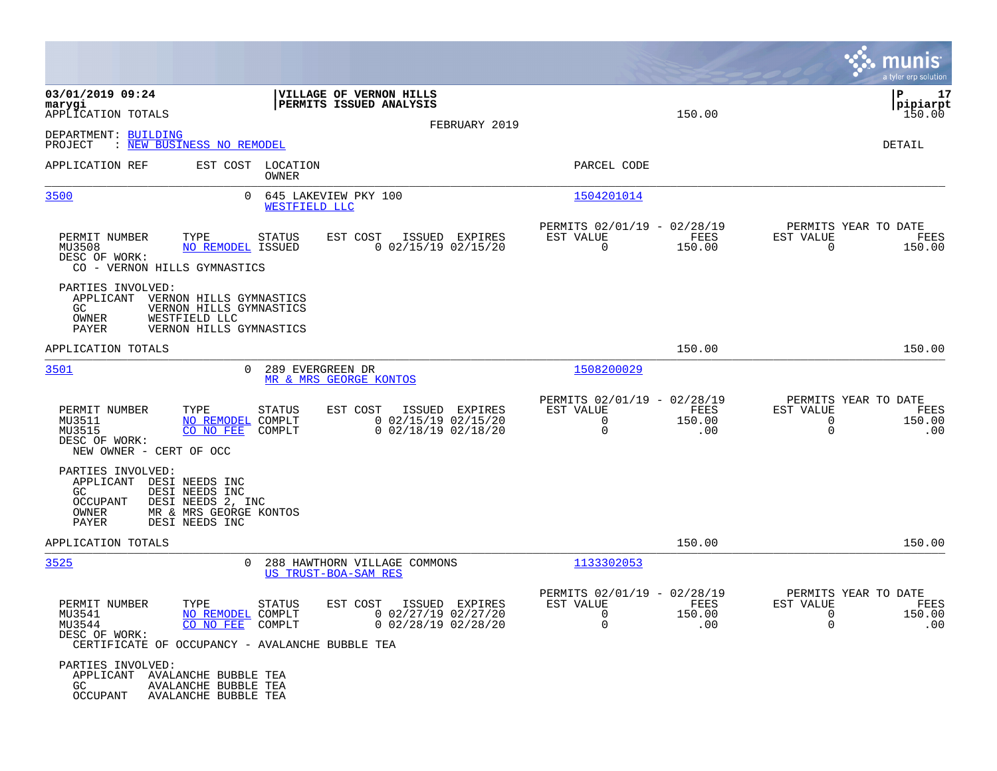|                                                                                           | munis <sup>'</sup><br>a tyler erp solution                                  |
|-------------------------------------------------------------------------------------------|-----------------------------------------------------------------------------|
| 150.00                                                                                    | l P<br>17<br> pipiarpt<br>150.00                                            |
|                                                                                           | DETAIL                                                                      |
| PARCEL CODE                                                                               |                                                                             |
| 1504201014                                                                                |                                                                             |
| PERMITS 02/01/19 - 02/28/19<br>EST VALUE<br>FEES<br>0<br>150.00                           | PERMITS YEAR TO DATE<br>EST VALUE<br>FEES<br>$\Omega$<br>150.00             |
|                                                                                           |                                                                             |
| 150.00                                                                                    | 150.00                                                                      |
| 1508200029                                                                                |                                                                             |
| PERMITS 02/01/19 - 02/28/19<br>EST VALUE<br>FEES<br>0<br>150.00<br>0<br>.00               | PERMITS YEAR TO DATE<br>EST VALUE<br>FEES<br>150.00<br>0<br>0<br>.00        |
|                                                                                           |                                                                             |
| 150.00                                                                                    | 150.00                                                                      |
| 1133302053                                                                                |                                                                             |
| PERMITS 02/01/19 - 02/28/19<br>EST VALUE<br>FEES<br>$\sim$ 0<br>150.00<br>$\Omega$<br>.00 | PERMITS YEAR TO DATE<br>EST VALUE<br>FEES<br>150.00<br>0<br>$\Omega$<br>.00 |
|                                                                                           |                                                                             |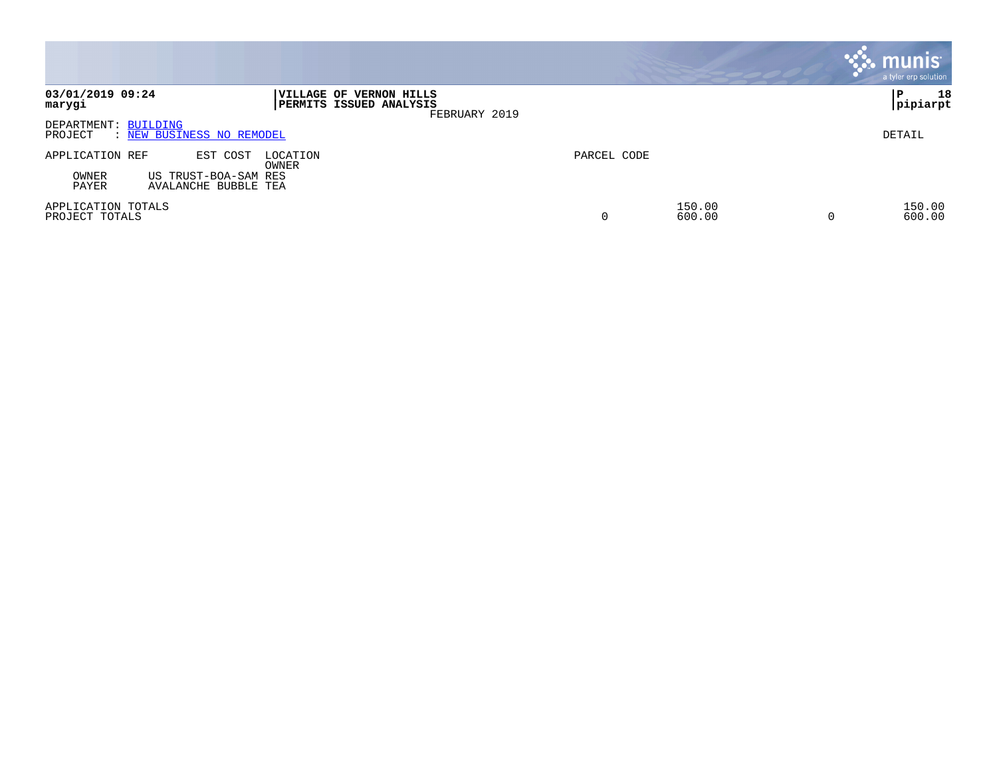|                                                                |                                                                     |             |                  | <b>munis</b><br>a tyler erp solution |
|----------------------------------------------------------------|---------------------------------------------------------------------|-------------|------------------|--------------------------------------|
| 03/01/2019 09:24<br>marygi                                     | VILLAGE OF VERNON HILLS<br>PERMITS ISSUED ANALYSIS<br>FEBRUARY 2019 |             |                  | 18<br>ΙP<br> pipiarpt                |
| DEPARTMENT: BUILDING<br>: NEW BUSINESS NO REMODEL<br>PROJECT   |                                                                     |             |                  | DETAIL                               |
| APPLICATION REF<br>EST COST<br>LOCATION<br>OWNER               |                                                                     | PARCEL CODE |                  |                                      |
| OWNER<br>US TRUST-BOA-SAM RES<br>PAYER<br>AVALANCHE BUBBLE TEA |                                                                     |             |                  |                                      |
| APPLICATION TOTALS<br>PROJECT TOTALS                           |                                                                     | 0           | 150.00<br>600.00 | 150.00<br>600.00                     |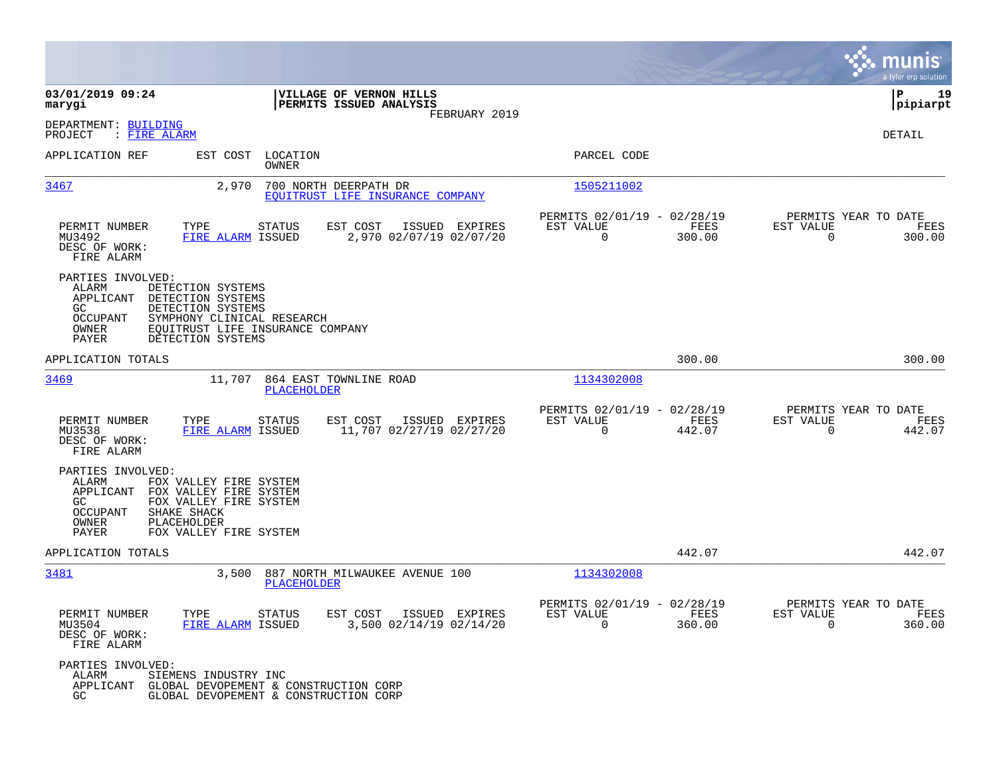|                                                                              |                                                                                                                                                    |                                           |                                                      |                |                                               | munis<br>a tyler erp solution |
|------------------------------------------------------------------------------|----------------------------------------------------------------------------------------------------------------------------------------------------|-------------------------------------------|------------------------------------------------------|----------------|-----------------------------------------------|-------------------------------|
| 03/01/2019 09:24<br>marygi                                                   | VILLAGE OF VERNON HILLS<br>PERMITS ISSUED ANALYSIS                                                                                                 | FEBRUARY 2019                             |                                                      |                |                                               | ΙP<br>19<br> pipiarpt         |
| DEPARTMENT: BUILDING<br>PROJECT<br>: FIRE ALARM                              |                                                                                                                                                    |                                           |                                                      |                |                                               | DETAIL                        |
| APPLICATION REF                                                              | EST COST<br>LOCATION<br>OWNER                                                                                                                      |                                           | PARCEL CODE                                          |                |                                               |                               |
| 3467                                                                         | 2,970<br>700 NORTH DEERPATH DR<br>EQUITRUST LIFE INSURANCE COMPANY                                                                                 |                                           | 1505211002                                           |                |                                               |                               |
| PERMIT NUMBER<br>MU3492<br>DESC OF WORK:<br>FIRE ALARM                       | EST COST<br>TYPE<br><b>STATUS</b><br>FIRE ALARM ISSUED                                                                                             | ISSUED EXPIRES<br>2,970 02/07/19 02/07/20 | PERMITS 02/01/19 - 02/28/19<br>EST VALUE<br>$\Omega$ | FEES<br>300.00 | PERMITS YEAR TO DATE<br>EST VALUE<br>$\Omega$ | FEES<br>300.00                |
| PARTIES INVOLVED:<br>ALARM<br>APPLICANT<br>GC.<br>OCCUPANT<br>OWNER<br>PAYER | DETECTION SYSTEMS<br>DETECTION SYSTEMS<br>DETECTION SYSTEMS<br>SYMPHONY CLINICAL RESEARCH<br>EQUITRUST LIFE INSURANCE COMPANY<br>DETECTION SYSTEMS |                                           |                                                      |                |                                               |                               |
| APPLICATION TOTALS                                                           |                                                                                                                                                    |                                           |                                                      | 300.00         |                                               | 300.00                        |
| 3469                                                                         | 11,707<br>864 EAST TOWNLINE ROAD<br>PLACEHOLDER                                                                                                    |                                           | 1134302008                                           |                |                                               |                               |
| PERMIT NUMBER<br>MU3538<br>DESC OF WORK:<br>FIRE ALARM                       | TYPE<br><b>STATUS</b><br>EST COST<br>FIRE ALARM ISSUED<br>11,707 02/27/19 02/27/20                                                                 | ISSUED EXPIRES                            | PERMITS 02/01/19 - 02/28/19<br>EST VALUE<br>0        | FEES<br>442.07 | PERMITS YEAR TO DATE<br>EST VALUE<br>0        | FEES<br>442.07                |
| PARTIES INVOLVED:<br>ALARM<br>APPLICANT<br>GC.<br>OCCUPANT<br>OWNER<br>PAYER | FOX VALLEY FIRE SYSTEM<br>FOX VALLEY FIRE SYSTEM<br>FOX VALLEY FIRE SYSTEM<br>SHAKE SHACK<br>PLACEHOLDER<br>FOX VALLEY FIRE SYSTEM                 |                                           |                                                      |                |                                               |                               |
| APPLICATION TOTALS                                                           |                                                                                                                                                    |                                           |                                                      | 442.07         |                                               | 442.07                        |
| 3481                                                                         | 3,500<br>887 NORTH MILWAUKEE AVENUE 100<br><b>PLACEHOLDER</b>                                                                                      |                                           | 1134302008                                           |                |                                               |                               |
| PERMIT NUMBER<br>MU3504<br>DESC OF WORK:<br>FIRE ALARM                       | EST COST<br>TYPE<br><b>STATUS</b><br>3,500 02/14/19 02/14/20<br>FIRE ALARM ISSUED                                                                  | ISSUED EXPIRES                            | PERMITS 02/01/19 - 02/28/19<br>EST VALUE<br>0        | FEES<br>360.00 | PERMITS YEAR TO DATE<br>EST VALUE<br>$\Omega$ | FEES<br>360.00                |
| PARTIES INVOLVED:<br>ALARM<br>APPLICANT<br>GC.                               | SIEMENS INDUSTRY INC<br>GLOBAL DEVOPEMENT & CONSTRUCTION CORP<br>GLOBAL DEVOPEMENT & CONSTRUCTION CORP                                             |                                           |                                                      |                |                                               |                               |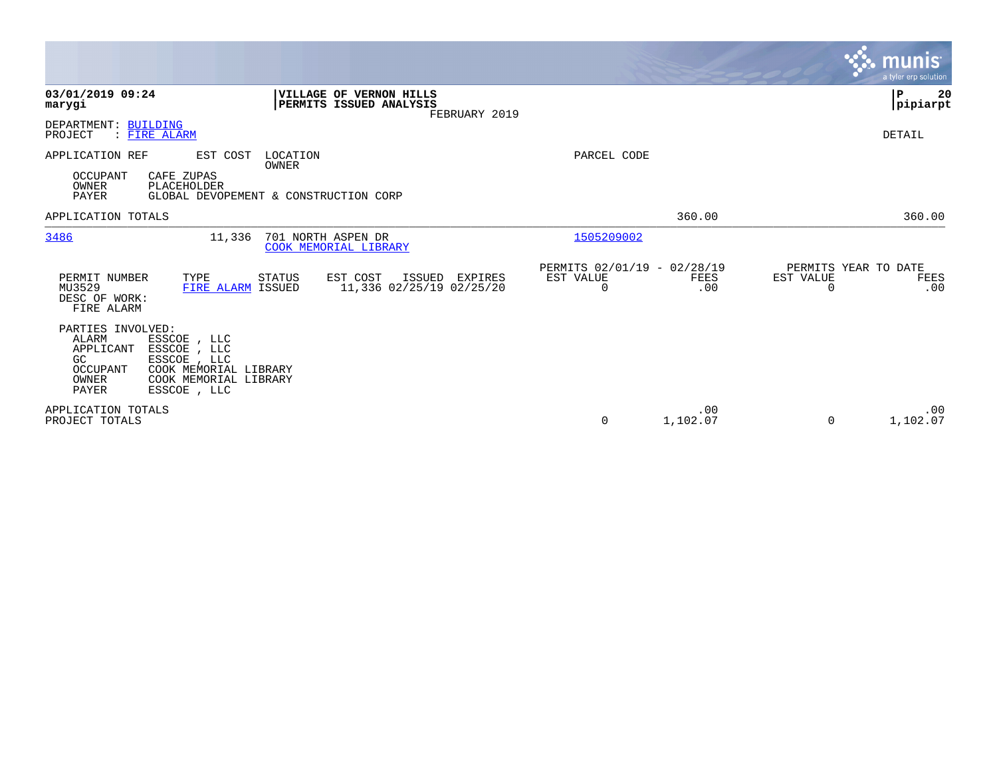|                                                                                                                                                                                             |                                                                     |                                                      |                 |                                               | munis<br>a tyler erp solution |
|---------------------------------------------------------------------------------------------------------------------------------------------------------------------------------------------|---------------------------------------------------------------------|------------------------------------------------------|-----------------|-----------------------------------------------|-------------------------------|
| 03/01/2019 09:24<br>marygi                                                                                                                                                                  | VILLAGE OF VERNON HILLS<br>PERMITS ISSUED ANALYSIS<br>FEBRUARY 2019 |                                                      |                 |                                               | l P<br>20<br> pipiarpt        |
| DEPARTMENT: BUILDING<br>: FIRE ALARM<br>PROJECT                                                                                                                                             |                                                                     |                                                      |                 |                                               | <b>DETAIL</b>                 |
| APPLICATION REF<br>EST COST<br>OCCUPANT<br>CAFE ZUPAS<br>PLACEHOLDER<br>OWNER<br>PAYER                                                                                                      | LOCATION<br>OWNER<br>GLOBAL DEVOPEMENT & CONSTRUCTION CORP          | PARCEL CODE                                          |                 |                                               |                               |
| APPLICATION TOTALS                                                                                                                                                                          |                                                                     |                                                      | 360.00          |                                               | 360.00                        |
| 3486<br>11,336                                                                                                                                                                              | 701 NORTH ASPEN DR<br>COOK MEMORIAL LIBRARY                         | 1505209002                                           |                 |                                               |                               |
| PERMIT NUMBER<br>TYPE<br>MU3529<br>FIRE ALARM ISSUED<br>DESC OF WORK:<br>FIRE ALARM                                                                                                         | EST COST<br>STATUS<br>ISSUED EXPIRES<br>11,336 02/25/19 02/25/20    | PERMITS 02/01/19 - 02/28/19<br>EST VALUE<br>$\Omega$ | FEES<br>.00     | PERMITS YEAR TO DATE<br>EST VALUE<br>$\Omega$ | FEES<br>.00                   |
| PARTIES INVOLVED:<br>ALARM<br>ESSCOE, LLC<br>APPLICANT<br>ESSCOE, LLC<br>GC<br>ESSCOE , LLC<br>OCCUPANT<br>COOK MEMORIAL LIBRARY<br>COOK MEMORIAL LIBRARY<br>OWNER<br>PAYER<br>ESSCOE , LLC |                                                                     |                                                      |                 |                                               |                               |
| APPLICATION TOTALS<br>PROJECT TOTALS                                                                                                                                                        |                                                                     | 0                                                    | .00<br>1,102.07 | $\Omega$                                      | .00<br>1,102.07               |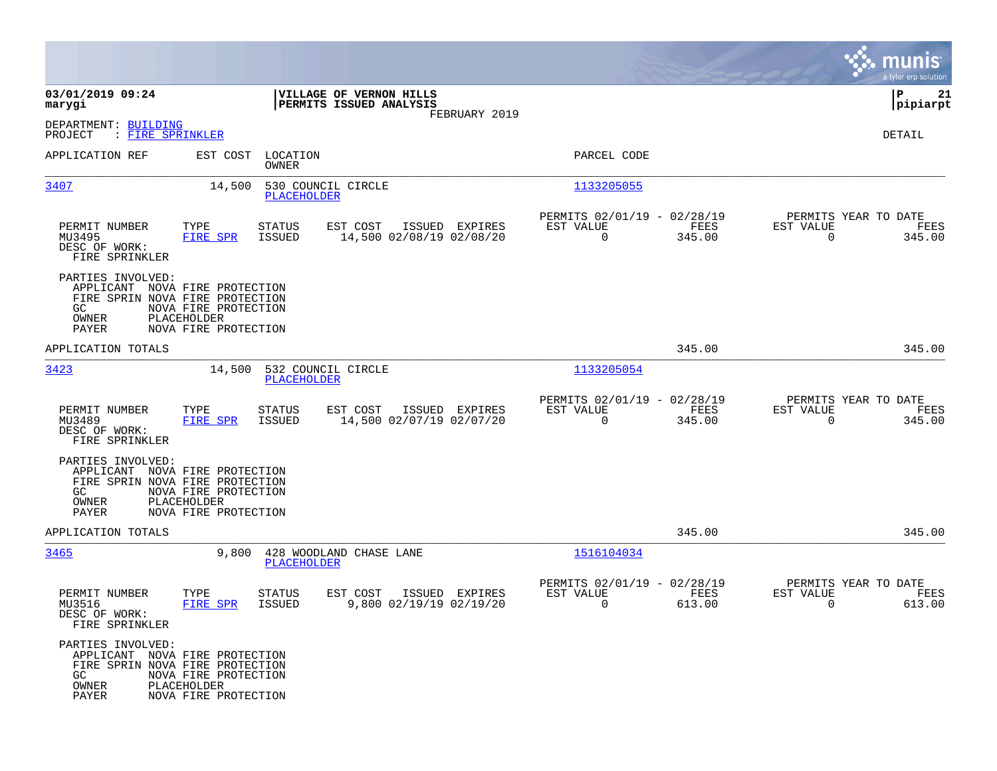|                                                                                                                 |                                                             |                          |                                                    |                |                                                         |                |                                                  | munis<br>a tyler erp solution |
|-----------------------------------------------------------------------------------------------------------------|-------------------------------------------------------------|--------------------------|----------------------------------------------------|----------------|---------------------------------------------------------|----------------|--------------------------------------------------|-------------------------------|
| 03/01/2019 09:24<br>marygi                                                                                      |                                                             |                          | VILLAGE OF VERNON HILLS<br>PERMITS ISSUED ANALYSIS | FEBRUARY 2019  |                                                         |                |                                                  | 21<br>IΡ<br> pipiarpt         |
| DEPARTMENT: BUILDING<br>PROJECT<br>: <u>FIRE SPRINKLER</u>                                                      |                                                             |                          |                                                    |                |                                                         |                |                                                  | DETAIL                        |
| APPLICATION REF                                                                                                 | EST COST                                                    | LOCATION<br><b>OWNER</b> |                                                    |                | PARCEL CODE                                             |                |                                                  |                               |
| 3407                                                                                                            | 14,500                                                      | <b>PLACEHOLDER</b>       | 530 COUNCIL CIRCLE                                 |                | 1133205055                                              |                |                                                  |                               |
| PERMIT NUMBER<br>MU3495<br>DESC OF WORK:<br>FIRE SPRINKLER                                                      | TYPE<br>FIRE SPR                                            | STATUS<br>ISSUED         | EST COST<br>14,500 02/08/19 02/08/20               | ISSUED EXPIRES | PERMITS 02/01/19 - 02/28/19<br>EST VALUE<br>$\mathbf 0$ | FEES<br>345.00 | PERMITS YEAR TO DATE<br>EST VALUE<br>$\mathbf 0$ | FEES<br>345.00                |
| PARTIES INVOLVED:<br>APPLICANT NOVA FIRE PROTECTION<br>FIRE SPRIN NOVA FIRE PROTECTION<br>GC.<br>OWNER<br>PAYER | NOVA FIRE PROTECTION<br>PLACEHOLDER<br>NOVA FIRE PROTECTION |                          |                                                    |                |                                                         |                |                                                  |                               |
| APPLICATION TOTALS                                                                                              |                                                             |                          |                                                    |                |                                                         | 345.00         |                                                  | 345.00                        |
| 3423                                                                                                            | 14,500                                                      | <b>PLACEHOLDER</b>       | 532 COUNCIL CIRCLE                                 |                | 1133205054                                              |                |                                                  |                               |
| PERMIT NUMBER<br>MU3489<br>DESC OF WORK:<br>FIRE SPRINKLER                                                      | TYPE<br>FIRE SPR                                            | STATUS<br>ISSUED         | EST COST<br>14,500 02/07/19 02/07/20               | ISSUED EXPIRES | PERMITS 02/01/19 - 02/28/19<br>EST VALUE<br>$\mathbf 0$ | FEES<br>345.00 | PERMITS YEAR TO DATE<br>EST VALUE<br>$\Omega$    | FEES<br>345.00                |
| PARTIES INVOLVED:<br>APPLICANT NOVA FIRE PROTECTION<br>FIRE SPRIN NOVA FIRE PROTECTION<br>GC.<br>OWNER<br>PAYER | NOVA FIRE PROTECTION<br>PLACEHOLDER<br>NOVA FIRE PROTECTION |                          |                                                    |                |                                                         |                |                                                  |                               |
| APPLICATION TOTALS                                                                                              |                                                             |                          |                                                    |                |                                                         | 345.00         |                                                  | 345.00                        |
| 3465                                                                                                            | 9,800                                                       | <b>PLACEHOLDER</b>       | 428 WOODLAND CHASE LANE                            |                | 1516104034                                              |                |                                                  |                               |
| PERMIT NUMBER<br>MU3516<br>DESC OF WORK:<br>FIRE SPRINKLER                                                      | TYPE<br>FIRE SPR                                            | STATUS<br>ISSUED         | EST COST<br>9,800 02/19/19 02/19/20                | ISSUED EXPIRES | PERMITS 02/01/19 - 02/28/19<br>EST VALUE<br>0           | FEES<br>613.00 | PERMITS YEAR TO DATE<br>EST VALUE<br>0           | FEES<br>613.00                |
| PARTIES INVOLVED:<br>APPLICANT NOVA FIRE PROTECTION<br>FIRE SPRIN NOVA FIRE PROTECTION<br>GC<br>OWNER<br>PAYER  | NOVA FIRE PROTECTION<br>PLACEHOLDER<br>NOVA FIRE PROTECTION |                          |                                                    |                |                                                         |                |                                                  |                               |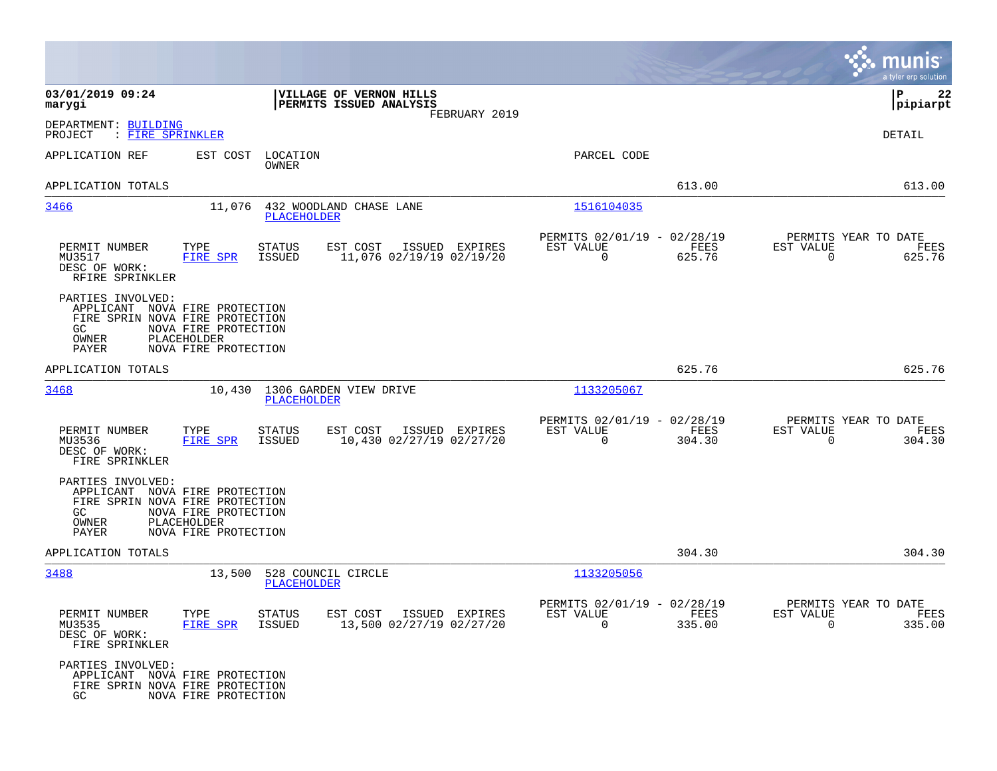|                                                             |                                                                                                                                  |                                                                     |                                                         |                |                                                  | munis<br>a tyler erp solution |
|-------------------------------------------------------------|----------------------------------------------------------------------------------------------------------------------------------|---------------------------------------------------------------------|---------------------------------------------------------|----------------|--------------------------------------------------|-------------------------------|
| 03/01/2019 09:24<br>marygi                                  |                                                                                                                                  | VILLAGE OF VERNON HILLS<br>PERMITS ISSUED ANALYSIS<br>FEBRUARY 2019 |                                                         |                |                                                  | ΙP<br>22<br> pipiarpt         |
| DEPARTMENT: BUILDING<br>PROJECT<br>: FIRE SPRINKLER         |                                                                                                                                  |                                                                     |                                                         |                |                                                  | DETAIL                        |
| APPLICATION REF                                             | EST COST<br>LOCATION<br>OWNER                                                                                                    |                                                                     | PARCEL CODE                                             |                |                                                  |                               |
| APPLICATION TOTALS                                          |                                                                                                                                  |                                                                     |                                                         | 613.00         |                                                  | 613.00                        |
| 3466                                                        | 11,076<br>PLACEHOLDER                                                                                                            | 432 WOODLAND CHASE LANE                                             | 1516104035                                              |                |                                                  |                               |
| PERMIT NUMBER<br>MU3517<br>DESC OF WORK:<br>RFIRE SPRINKLER | <b>STATUS</b><br>TYPE<br><b>ISSUED</b><br>FIRE SPR                                                                               | EST COST<br>ISSUED EXPIRES<br>11,076 02/19/19 02/19/20              | PERMITS 02/01/19 - 02/28/19<br>EST VALUE<br>$\mathbf 0$ | FEES<br>625.76 | PERMITS YEAR TO DATE<br>EST VALUE<br>$\mathbf 0$ | FEES<br>625.76                |
| PARTIES INVOLVED:<br>GC<br>OWNER<br>PAYER                   | APPLICANT NOVA FIRE PROTECTION<br>FIRE SPRIN NOVA FIRE PROTECTION<br>NOVA FIRE PROTECTION<br>PLACEHOLDER<br>NOVA FIRE PROTECTION |                                                                     |                                                         |                |                                                  |                               |
| APPLICATION TOTALS                                          |                                                                                                                                  |                                                                     |                                                         | 625.76         |                                                  | 625.76                        |
| 3468                                                        | 10,430<br><b>PLACEHOLDER</b>                                                                                                     | 1306 GARDEN VIEW DRIVE                                              | 1133205067                                              |                |                                                  |                               |
| PERMIT NUMBER<br>MU3536<br>DESC OF WORK:<br>FIRE SPRINKLER  | TYPE<br><b>STATUS</b><br><b>FIRE SPR</b><br><b>ISSUED</b>                                                                        | EST COST<br>ISSUED EXPIRES<br>10,430 02/27/19 02/27/20              | PERMITS 02/01/19 - 02/28/19<br>EST VALUE<br>$\mathbf 0$ | FEES<br>304.30 | PERMITS YEAR TO DATE<br>EST VALUE<br>$\mathbf 0$ | FEES<br>304.30                |
| PARTIES INVOLVED:<br>GC.<br>OWNER<br>PAYER                  | APPLICANT NOVA FIRE PROTECTION<br>FIRE SPRIN NOVA FIRE PROTECTION<br>NOVA FIRE PROTECTION<br>PLACEHOLDER<br>NOVA FIRE PROTECTION |                                                                     |                                                         |                |                                                  |                               |
| APPLICATION TOTALS                                          |                                                                                                                                  |                                                                     |                                                         | 304.30         |                                                  | 304.30                        |
| 3488                                                        | 13,500<br>PLACEHOLDER                                                                                                            | 528 COUNCIL CIRCLE                                                  | 1133205056                                              |                |                                                  |                               |
| PERMIT NUMBER<br>MU3535<br>DESC OF WORK:<br>FIRE SPRINKLER  | STATUS<br>TYPE<br>FIRE SPR<br>ISSUED                                                                                             | EST COST ISSUED EXPIRES<br>13,500 02/27/19 02/27/20                 | PERMITS 02/01/19 - 02/28/19<br>EST VALUE<br>$\Omega$    | FEES<br>335.00 | PERMITS YEAR TO DATE<br>EST VALUE<br>$\Omega$    | FEES<br>335.00                |
| PARTIES INVOLVED:<br>GC.                                    | APPLICANT NOVA FIRE PROTECTION<br>FIRE SPRIN NOVA FIRE PROTECTION<br>NOVA FIRE PROTECTION                                        |                                                                     |                                                         |                |                                                  |                               |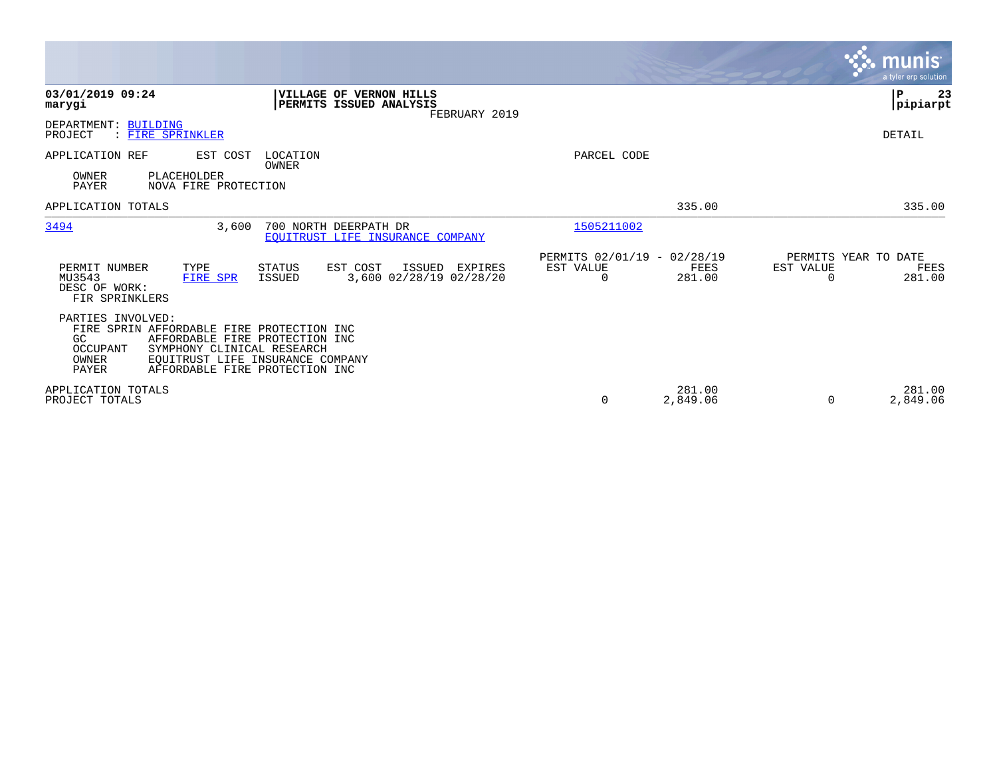|                                                              |                                                                                                                                             |                                                           |                                              |                                               |                    |                                               | <b>munis</b><br>a tyler erp solution |
|--------------------------------------------------------------|---------------------------------------------------------------------------------------------------------------------------------------------|-----------------------------------------------------------|----------------------------------------------|-----------------------------------------------|--------------------|-----------------------------------------------|--------------------------------------|
| 03/01/2019 09:24<br>marygi                                   |                                                                                                                                             | VILLAGE OF VERNON HILLS<br>PERMITS ISSUED ANALYSIS        | FEBRUARY 2019                                |                                               |                    |                                               | ∣P<br>23<br> pipiarpt                |
| DEPARTMENT: BUILDING<br>PROJECT                              | : FIRE SPRINKLER                                                                                                                            |                                                           |                                              |                                               |                    |                                               | DETAIL                               |
| APPLICATION REF<br>OWNER<br><b>PAYER</b>                     | EST COST<br>PLACEHOLDER<br>NOVA FIRE PROTECTION                                                                                             | LOCATION<br>OWNER                                         |                                              | PARCEL CODE                                   |                    |                                               |                                      |
| APPLICATION TOTALS                                           |                                                                                                                                             |                                                           |                                              |                                               | 335.00             |                                               | 335.00                               |
| 3494                                                         | 3,600                                                                                                                                       | 700 NORTH DEERPATH DR<br>EQUITRUST LIFE INSURANCE COMPANY |                                              | 1505211002                                    |                    |                                               |                                      |
| PERMIT NUMBER<br>MU3543<br>DESC OF WORK:<br>FIR SPRINKLERS   | TYPE<br>FIRE SPR                                                                                                                            | STATUS<br>EST COST<br><b>ISSUED</b>                       | ISSUED<br>EXPIRES<br>3,600 02/28/19 02/28/20 | PERMITS 02/01/19 - 02/28/19<br>EST VALUE<br>0 | FEES<br>281.00     | PERMITS YEAR TO DATE<br>EST VALUE<br>$\Omega$ | FEES<br>281.00                       |
| PARTIES INVOLVED:<br>GC<br>OCCUPANT<br>OWNER<br><b>PAYER</b> | FIRE SPRIN AFFORDABLE FIRE PROTECTION INC<br>AFFORDABLE FIRE PROTECTION INC<br>SYMPHONY CLINICAL RESEARCH<br>AFFORDABLE FIRE PROTECTION INC | EQUITRUST LIFE INSURANCE COMPANY                          |                                              |                                               |                    |                                               |                                      |
| APPLICATION TOTALS<br>PROJECT TOTALS                         |                                                                                                                                             |                                                           |                                              | 0                                             | 281.00<br>2,849.06 | $\Omega$                                      | 281.00<br>2,849.06                   |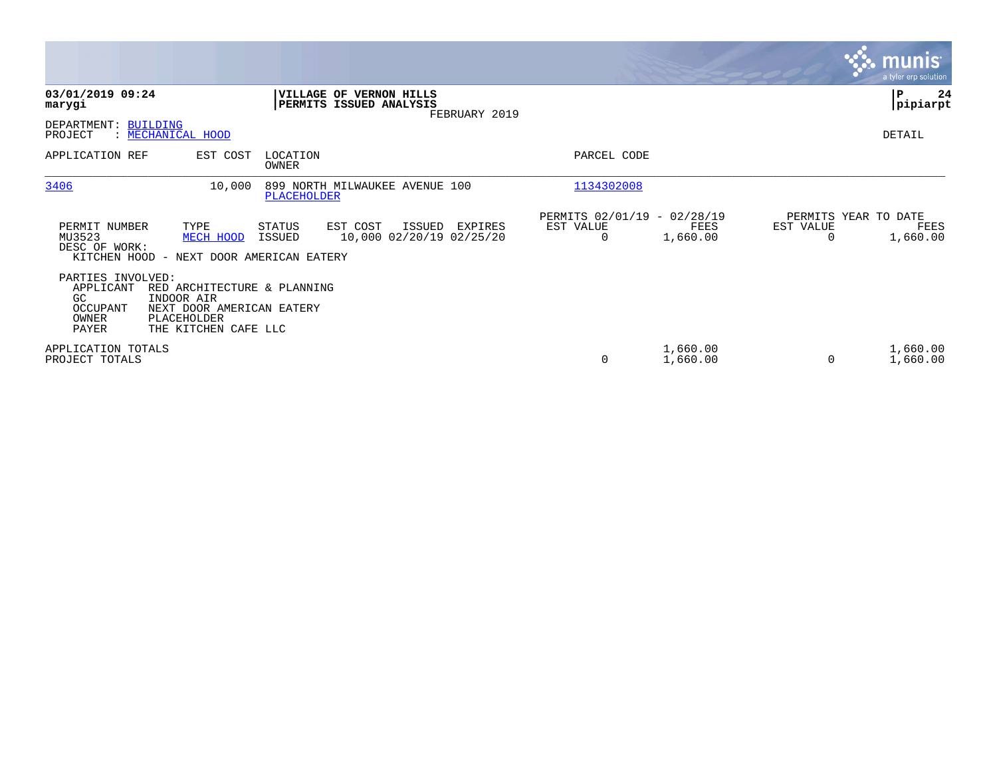|                                                                     |                                                                                                               |                    |                                                                 |                                               |                      |                                   | <b>munis</b><br>a tyler erp solution |
|---------------------------------------------------------------------|---------------------------------------------------------------------------------------------------------------|--------------------|-----------------------------------------------------------------|-----------------------------------------------|----------------------|-----------------------------------|--------------------------------------|
| 03/01/2019 09:24<br>marygi                                          |                                                                                                               | <b>VILLAGE OF</b>  | <b>VERNON HILLS</b><br>PERMITS ISSUED ANALYSIS<br>FEBRUARY 2019 |                                               |                      |                                   | ∣₽<br>24<br> pipiarpt                |
| DEPARTMENT: BUILDING<br>PROJECT                                     | : MECHANICAL HOOD                                                                                             |                    |                                                                 |                                               |                      |                                   | DETAIL                               |
| APPLICATION REF                                                     | EST COST                                                                                                      | LOCATION<br>OWNER  |                                                                 | PARCEL CODE                                   |                      |                                   |                                      |
| 3406                                                                | 10,000                                                                                                        | <b>PLACEHOLDER</b> | 899 NORTH MILWAUKEE AVENUE 100                                  | 1134302008                                    |                      |                                   |                                      |
| PERMIT NUMBER<br>MU3523<br>DESC OF WORK:                            | TYPE<br>MECH HOOD<br>KITCHEN HOOD - NEXT DOOR AMERICAN EATERY                                                 | STATUS<br>ISSUED   | EST COST<br>ISSUED<br>EXPIRES<br>10,000 02/20/19 02/25/20       | PERMITS 02/01/19 - 02/28/19<br>EST VALUE<br>0 | FEES<br>1,660.00     | PERMITS YEAR TO DATE<br>EST VALUE | FEES<br>1,660.00                     |
| PARTIES INVOLVED:<br>APPLICANT<br>GC.<br>OCCUPANT<br>OWNER<br>PAYER | RED ARCHITECTURE & PLANNING<br>INDOOR AIR<br>NEXT DOOR AMERICAN EATERY<br>PLACEHOLDER<br>THE KITCHEN CAFE LLC |                    |                                                                 |                                               |                      |                                   |                                      |
| APPLICATION TOTALS<br>PROJECT TOTALS                                |                                                                                                               |                    |                                                                 | 0                                             | 1,660.00<br>1,660.00 |                                   | 1,660.00<br>1,660.00                 |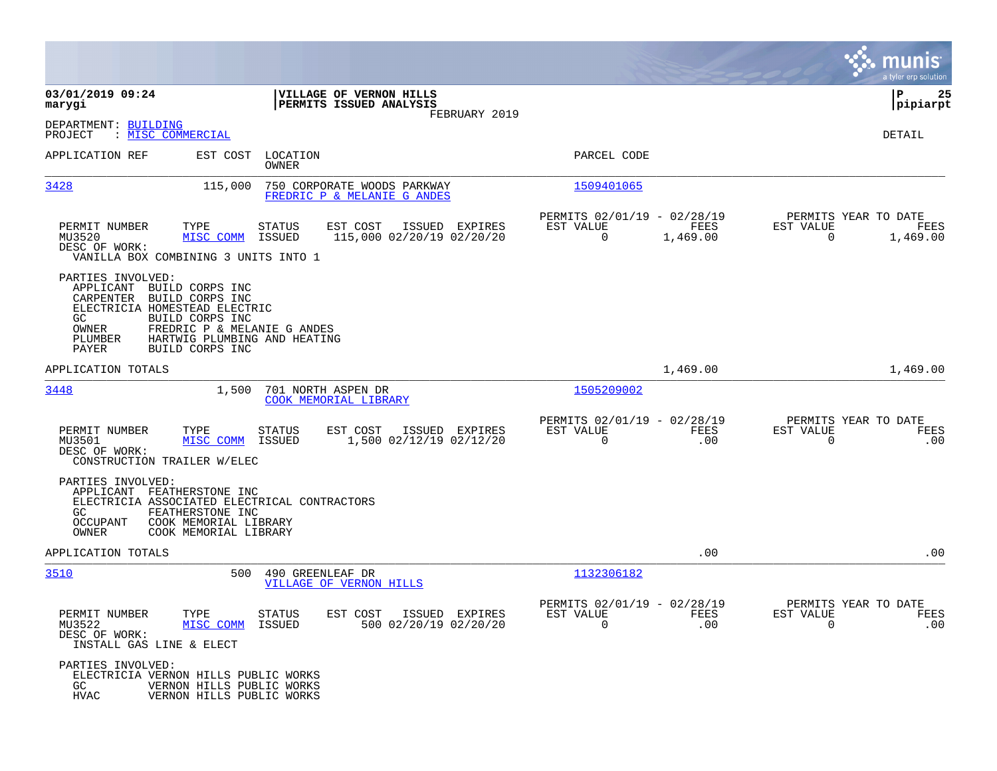|                                                                                                                                                                                                                                                       |                                                                                    |                                                                                | munis<br>a tyler erp solution                                            |
|-------------------------------------------------------------------------------------------------------------------------------------------------------------------------------------------------------------------------------------------------------|------------------------------------------------------------------------------------|--------------------------------------------------------------------------------|--------------------------------------------------------------------------|
| 03/01/2019 09:24<br>marygi                                                                                                                                                                                                                            | <b>VILLAGE OF VERNON HILLS</b><br>PERMITS ISSUED ANALYSIS                          |                                                                                | l P<br>25<br> pipiarpt                                                   |
| DEPARTMENT: BUILDING<br>: MISC COMMERCIAL<br>PROJECT                                                                                                                                                                                                  | FEBRUARY 2019                                                                      |                                                                                | DETAIL                                                                   |
| APPLICATION REF                                                                                                                                                                                                                                       | EST COST LOCATION<br>OWNER                                                         | PARCEL CODE                                                                    |                                                                          |
| 3428<br>115,000                                                                                                                                                                                                                                       | 750 CORPORATE WOODS PARKWAY<br>FREDRIC P & MELANIE G ANDES                         | 1509401065                                                                     |                                                                          |
| PERMIT NUMBER<br>TYPE<br>MU3520<br>MISC COMM<br>DESC OF WORK:<br>VANILLA BOX COMBINING 3 UNITS INTO 1                                                                                                                                                 | EST COST<br>ISSUED EXPIRES<br><b>STATUS</b><br>115,000 02/20/19 02/20/20<br>ISSUED | PERMITS 02/01/19 - 02/28/19<br>EST VALUE<br>FEES<br>$\overline{0}$<br>1,469.00 | PERMITS YEAR TO DATE<br>EST VALUE<br>FEES<br>1,469.00<br>$\Omega$        |
| PARTIES INVOLVED:<br>APPLICANT BUILD CORPS INC<br>CARPENTER BUILD CORPS INC<br>ELECTRICIA HOMESTEAD ELECTRIC<br>GC.<br>BUILD CORPS INC<br>FREDRIC P & MELANIE G ANDES<br>OWNER<br>HARTWIG PLUMBING AND HEATING<br>PLUMBER<br>PAYER<br>BUILD CORPS INC |                                                                                    |                                                                                |                                                                          |
| APPLICATION TOTALS                                                                                                                                                                                                                                    |                                                                                    | 1,469.00                                                                       | 1,469.00                                                                 |
| 3448<br>1,500                                                                                                                                                                                                                                         | 701 NORTH ASPEN DR<br>COOK MEMORIAL LIBRARY                                        | 1505209002                                                                     |                                                                          |
| PERMIT NUMBER<br>TYPE<br>MU3501<br>MISC COMM<br>DESC OF WORK:<br>CONSTRUCTION TRAILER W/ELEC                                                                                                                                                          | STATUS<br>EST COST<br>ISSUED EXPIRES<br>1,500 02/12/19 02/12/20<br>ISSUED          | PERMITS 02/01/19 - 02/28/19<br>EST VALUE<br>0                                  | PERMITS YEAR TO DATE<br>FEES<br>EST VALUE<br>FEES<br>.00<br>.00<br>0     |
| PARTIES INVOLVED:<br>APPLICANT FEATHERSTONE INC<br>ELECTRICIA ASSOCIATED ELECTRICAL CONTRACTORS<br>FEATHERSTONE INC<br>GC<br>OCCUPANT<br>COOK MEMORIAL LIBRARY<br>OWNER<br>COOK MEMORIAL LIBRARY                                                      |                                                                                    |                                                                                |                                                                          |
| APPLICATION TOTALS                                                                                                                                                                                                                                    |                                                                                    |                                                                                | .00<br>.00                                                               |
| 3510<br>500                                                                                                                                                                                                                                           | 490 GREENLEAF DR<br>VILLAGE OF VERNON HILLS                                        | 1132306182                                                                     |                                                                          |
| PERMIT NUMBER<br>TYPE<br>MU3522<br>MISC COMM ISSUED<br>DESC OF WORK:<br>INSTALL GAS LINE & ELECT                                                                                                                                                      | STATUS<br>EST COST ISSUED EXPIRES<br>500 02/20/19 02/20/20                         | PERMITS 02/01/19 - 02/28/19<br>EST VALUE<br>FEES<br>$\Omega$                   | PERMITS YEAR TO DATE<br>EST VALUE<br>FEES<br>.00<br>$\Omega$<br>$.00 \,$ |
| PARTIES INVOLVED:<br>ELECTRICIA VERNON HILLS PUBLIC WORKS<br>GC<br>VERNON HILLS PUBLIC WORKS<br>HVAC<br>VERNON HILLS PUBLIC WORKS                                                                                                                     |                                                                                    |                                                                                |                                                                          |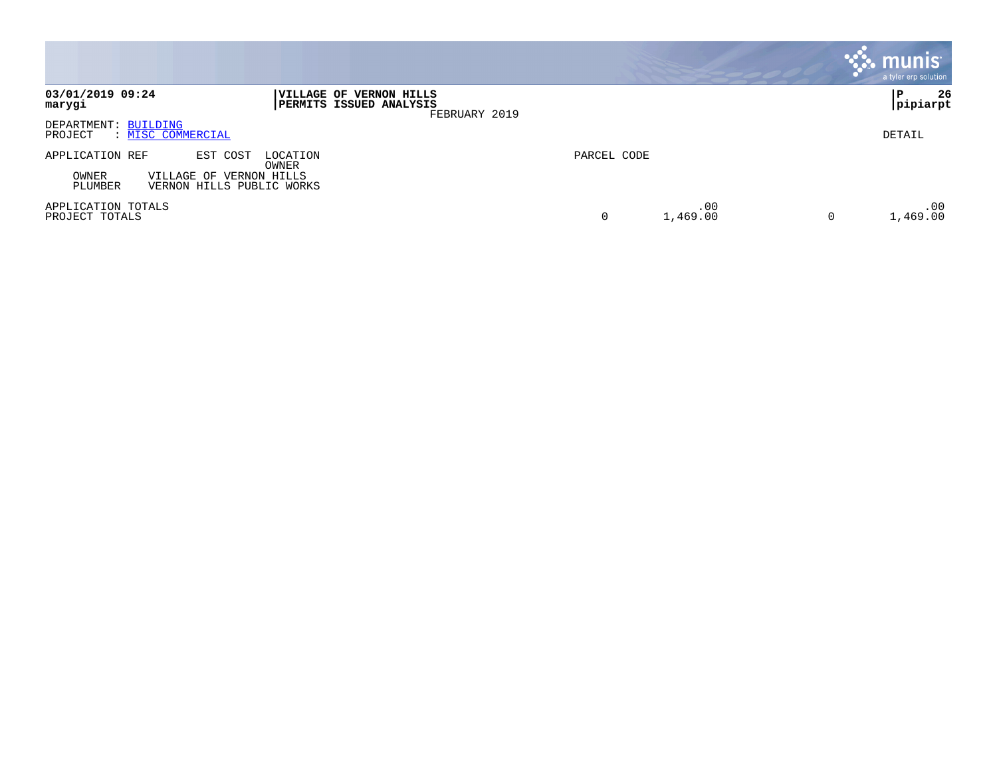|                                                                                                                              |                      | <b>munis</b><br>a tyler erp solution |
|------------------------------------------------------------------------------------------------------------------------------|----------------------|--------------------------------------|
| 03/01/2019 09:24<br>VILLAGE OF VERNON HILLS<br><b>PERMITS ISSUED ANALYSIS</b><br>marygi<br>FEBRUARY 2019                     |                      | 26<br>P<br> pipiarpt                 |
| DEPARTMENT: BUILDING<br>PROJECT<br>: MISC COMMERCIAL                                                                         |                      | DETAIL                               |
| EST COST<br>LOCATION<br>APPLICATION REF<br>OWNER<br>VILLAGE OF VERNON HILLS<br>OWNER<br>PLUMBER<br>VERNON HILLS PUBLIC WORKS | PARCEL CODE          |                                      |
| APPLICATION TOTALS<br>PROJECT TOTALS                                                                                         | .00<br>1,469.00<br>0 | .00<br>1,469.00<br>0                 |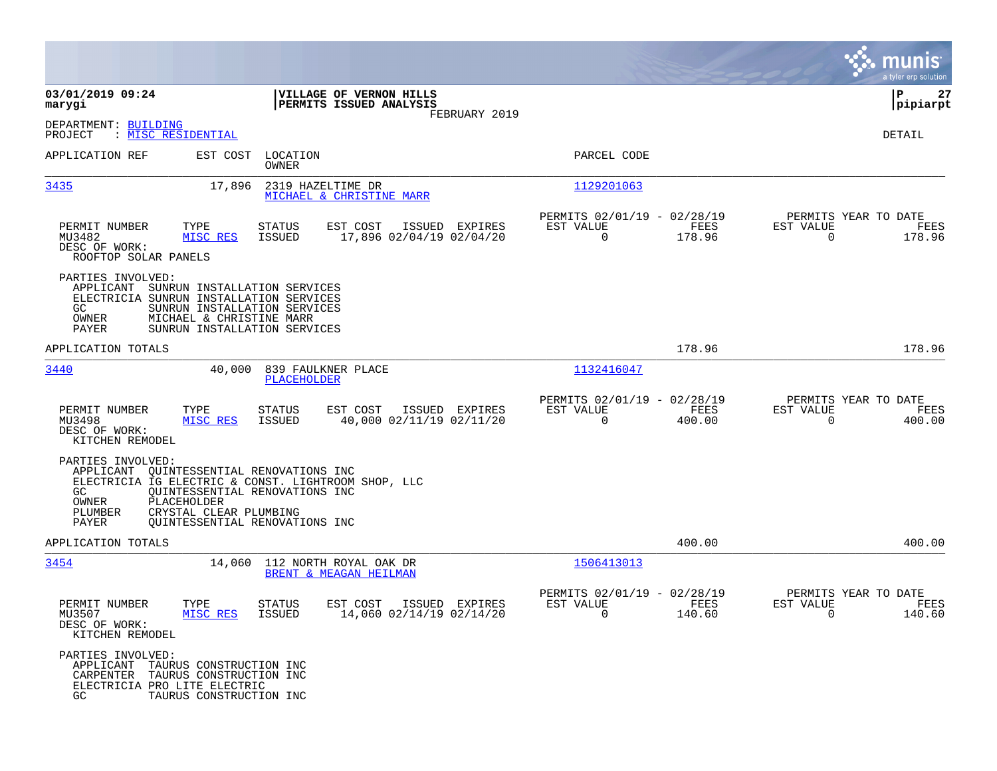|                                                                                                                                   |                                                                                            |                                                         |                |                                                         |                |                                                     | munis<br>a tyler erp solution |
|-----------------------------------------------------------------------------------------------------------------------------------|--------------------------------------------------------------------------------------------|---------------------------------------------------------|----------------|---------------------------------------------------------|----------------|-----------------------------------------------------|-------------------------------|
| 03/01/2019 09:24<br>marygi                                                                                                        |                                                                                            | VILLAGE OF VERNON HILLS<br>PERMITS ISSUED ANALYSIS      | FEBRUARY 2019  |                                                         |                |                                                     | 27<br>ΙP<br> pipiarpt         |
| DEPARTMENT: BUILDING<br>PROJECT<br>: MISC RESIDENTIAL                                                                             |                                                                                            |                                                         |                |                                                         |                |                                                     | DETAIL                        |
| APPLICATION REF                                                                                                                   | EST COST LOCATION<br>OWNER                                                                 |                                                         |                | PARCEL CODE                                             |                |                                                     |                               |
| 3435                                                                                                                              | 17,896                                                                                     | 2319 HAZELTIME DR<br>MICHAEL & CHRISTINE MARR           |                | 1129201063                                              |                |                                                     |                               |
| PERMIT NUMBER<br>MU3482<br>DESC OF WORK:<br>ROOFTOP SOLAR PANELS                                                                  | TYPE<br>STATUS<br>MISC RES<br>ISSUED                                                       | EST COST<br>17,896 02/04/19 02/04/20                    | ISSUED EXPIRES | PERMITS 02/01/19 - 02/28/19<br>EST VALUE<br>$\mathbf 0$ | FEES<br>178.96 | PERMITS YEAR TO DATE<br>EST VALUE<br>$\Omega$       | FEES<br>178.96                |
| PARTIES INVOLVED:<br>APPLICANT SUNRUN INSTALLATION SERVICES<br>ELECTRICIA SUNRUN INSTALLATION SERVICES<br>GC.<br>OWNER<br>PAYER   | SUNRUN INSTALLATION SERVICES<br>MICHAEL & CHRISTINE MARR<br>SUNRUN INSTALLATION SERVICES   |                                                         |                |                                                         |                |                                                     |                               |
| APPLICATION TOTALS                                                                                                                |                                                                                            |                                                         |                |                                                         | 178.96         |                                                     | 178.96                        |
| 3440                                                                                                                              | 40,000                                                                                     | 839 FAULKNER PLACE<br>PLACEHOLDER                       |                | 1132416047                                              |                |                                                     |                               |
| PERMIT NUMBER<br>MU3498<br>DESC OF WORK:<br>KITCHEN REMODEL                                                                       | TYPE<br><b>STATUS</b><br>MISC RES<br>ISSUED                                                | EST COST<br>40,000 02/11/19 02/11/20                    | ISSUED EXPIRES | PERMITS 02/01/19 - 02/28/19<br>EST VALUE<br>$\mathbf 0$ | FEES<br>400.00 | PERMITS YEAR TO DATE<br>EST VALUE<br>$\overline{0}$ | FEES<br>400.00                |
| PARTIES INVOLVED:<br>APPLICANT QUINTESSENTIAL RENOVATIONS INC<br>GC.<br>PLACEHOLDER<br>OWNER<br>PLUMBER<br>PAYER                  | QUINTESSENTIAL RENOVATIONS INC<br>CRYSTAL CLEAR PLUMBING<br>QUINTESSENTIAL RENOVATIONS INC | ELECTRICIA IG ELECTRIC & CONST. LIGHTROOM SHOP, LLC     |                |                                                         |                |                                                     |                               |
| APPLICATION TOTALS                                                                                                                |                                                                                            |                                                         |                |                                                         | 400.00         |                                                     | 400.00                        |
| 3454                                                                                                                              |                                                                                            | 14,060 112 NORTH ROYAL OAK DR<br>BRENT & MEAGAN HEILMAN |                | 1506413013                                              |                |                                                     |                               |
| PERMIT NUMBER<br>MU3507<br>DESC OF WORK:<br>KITCHEN REMODEL                                                                       | TYPE<br><b>STATUS</b><br>MISC RES ISSUED                                                   | EST COST<br>14,060 02/14/19 02/14/20                    | ISSUED EXPIRES | PERMITS 02/01/19 - 02/28/19<br>EST VALUE<br>$\sim$ 0    | FEES<br>140.60 | PERMITS YEAR TO DATE<br>EST VALUE<br>$\sim$ 0       | FEES<br>140.60                |
| PARTIES INVOLVED:<br>APPLICANT TAURUS CONSTRUCTION INC<br>CARPENTER TAURUS CONSTRUCTION INC<br>ELECTRICIA PRO LITE ELECTRIC<br>GC | TAURUS CONSTRUCTION INC                                                                    |                                                         |                |                                                         |                |                                                     |                               |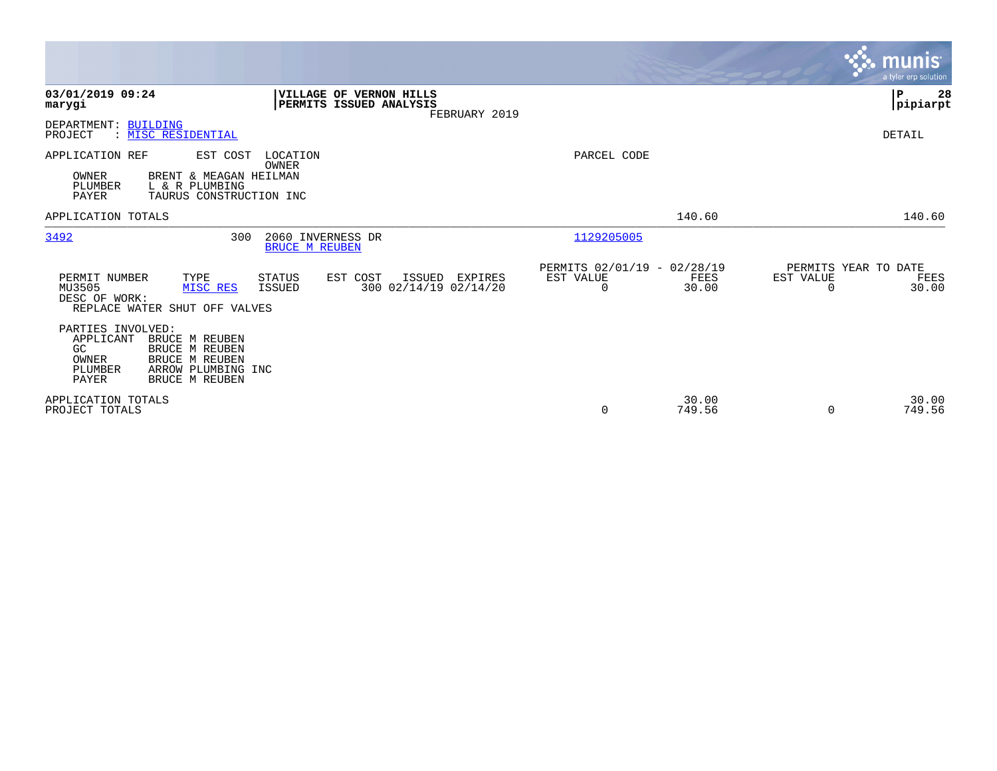|                                                                                                                                                                                    |                                                                | munis<br>a tyler erp solution                                  |
|------------------------------------------------------------------------------------------------------------------------------------------------------------------------------------|----------------------------------------------------------------|----------------------------------------------------------------|
| 03/01/2019 09:24<br><b>VILLAGE OF VERNON HILLS</b><br>PERMITS ISSUED ANALYSIS<br>marygi<br>FEBRUARY 2019                                                                           |                                                                | P<br>28<br> pipiarpt                                           |
| DEPARTMENT: BUILDING<br>: MISC RESIDENTIAL<br>PROJECT                                                                                                                              |                                                                | DETAIL                                                         |
| APPLICATION REF<br>LOCATION<br>EST COST<br>OWNER<br>OWNER<br>BRENT & MEAGAN HEILMAN<br>PLUMBER<br>L & R PLUMBING<br>PAYER<br>TAURUS CONSTRUCTION INC                               | PARCEL CODE                                                    |                                                                |
| APPLICATION TOTALS                                                                                                                                                                 | 140.60                                                         | 140.60                                                         |
| 3492<br>300<br>2060 INVERNESS DR<br><b>BRUCE M REUBEN</b>                                                                                                                          | 1129205005                                                     |                                                                |
| PERMIT NUMBER<br>EST COST<br>TYPE<br><b>STATUS</b><br>ISSUED<br>EXPIRES<br>300 02/14/19 02/14/20<br>MU3505<br>MISC RES<br>ISSUED<br>DESC OF WORK:<br>REPLACE WATER SHUT OFF VALVES | PERMITS 02/01/19 - 02/28/19<br>EST VALUE<br>FEES<br>0<br>30.00 | PERMITS YEAR TO DATE<br>EST VALUE<br>FEES<br>30.00<br>$\Omega$ |
| PARTIES INVOLVED:<br>BRUCE M REUBEN<br>APPLICANT<br>GC<br>BRUCE M REUBEN<br>BRUCE M REUBEN<br><b>OWNER</b><br>PLUMBER<br>ARROW PLUMBING INC<br>PAYER<br>BRUCE M REUBEN             |                                                                |                                                                |
| APPLICATION TOTALS<br>PROJECT TOTALS                                                                                                                                               | 30.00<br>0<br>749.56                                           | 30.00<br>749.56<br>$\Omega$                                    |

 $\mathcal{L}^{\text{max}}$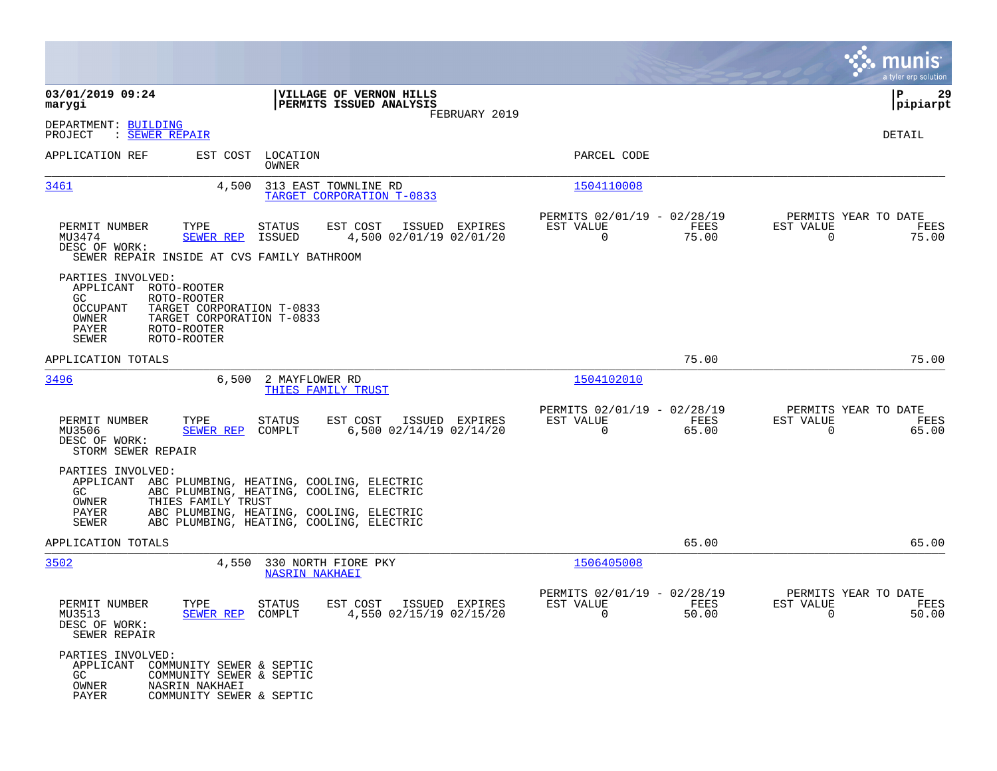|                                                                                                                                                                                                                  |                                                                                                                                  |                                                                             | munis<br>a tyler erp solution                                        |
|------------------------------------------------------------------------------------------------------------------------------------------------------------------------------------------------------------------|----------------------------------------------------------------------------------------------------------------------------------|-----------------------------------------------------------------------------|----------------------------------------------------------------------|
| 03/01/2019 09:24<br>marygi                                                                                                                                                                                       | <b>VILLAGE OF VERNON HILLS</b><br>PERMITS ISSUED ANALYSIS                                                                        |                                                                             | l P<br>29<br> pipiarpt                                               |
| DEPARTMENT: BUILDING<br>: <u>SEWER REPAIR</u><br>PROJECT                                                                                                                                                         | FEBRUARY 2019                                                                                                                    |                                                                             | DETAIL                                                               |
| APPLICATION REF                                                                                                                                                                                                  | EST COST LOCATION<br>OWNER                                                                                                       | PARCEL CODE                                                                 |                                                                      |
| <u>3461</u><br>4,500                                                                                                                                                                                             | 313 EAST TOWNLINE RD<br>TARGET CORPORATION T-0833                                                                                | 1504110008                                                                  |                                                                      |
| PERMIT NUMBER<br>TYPE<br>MU3474<br><b>SEWER REP</b><br>DESC OF WORK:<br>SEWER REPAIR INSIDE AT CVS FAMILY BATHROOM                                                                                               | EST COST<br>ISSUED EXPIRES<br>STATUS<br>ISSUED<br>4,500 02/01/19 02/01/20                                                        | PERMITS 02/01/19 - 02/28/19<br>EST VALUE<br>FEES<br>$\overline{0}$<br>75.00 | PERMITS YEAR TO DATE<br>EST VALUE<br>FEES<br>75.00<br>$\Omega$       |
| PARTIES INVOLVED:<br>APPLICANT<br>ROTO-ROOTER<br>ROTO-ROOTER<br>GC.<br><b>OCCUPANT</b><br>TARGET CORPORATION T-0833<br>OWNER<br>TARGET CORPORATION T-0833<br>PAYER<br>ROTO-ROOTER<br><b>SEWER</b><br>ROTO-ROOTER |                                                                                                                                  |                                                                             |                                                                      |
| APPLICATION TOTALS                                                                                                                                                                                               |                                                                                                                                  | 75.00                                                                       | 75.00                                                                |
| 3496                                                                                                                                                                                                             | 6,500 2 MAYFLOWER RD<br>THIES FAMILY TRUST                                                                                       | 1504102010                                                                  |                                                                      |
| PERMIT NUMBER<br>TYPE<br>MU3506<br>SEWER REP COMPLT<br>DESC OF WORK:<br>STORM SEWER REPAIR                                                                                                                       | EST COST<br>ISSUED EXPIRES<br>STATUS<br>6,500 02/14/19 02/14/20                                                                  | PERMITS 02/01/19 - 02/28/19<br>EST VALUE<br>FEES<br>$\mathbf 0$<br>65.00    | PERMITS YEAR TO DATE<br>EST VALUE<br>FEES<br>65.00<br>0              |
| PARTIES INVOLVED:<br>APPLICANT ABC PLUMBING, HEATING, COOLING, ELECTRIC<br>GC<br>THIES FAMILY TRUST<br>OWNER<br>PAYER<br>SEWER                                                                                   | ABC PLUMBING, HEATING, COOLING, ELECTRIC<br>ABC PLUMBING, HEATING, COOLING, ELECTRIC<br>ABC PLUMBING, HEATING, COOLING, ELECTRIC |                                                                             |                                                                      |
| APPLICATION TOTALS                                                                                                                                                                                               |                                                                                                                                  | 65.00                                                                       | 65.00                                                                |
| 3502                                                                                                                                                                                                             | 4,550 330 NORTH FIORE PKY<br><b>NASRIN NAKHAEI</b>                                                                               | 1506405008                                                                  |                                                                      |
| PERMIT NUMBER<br>TYPE<br>MU3513<br>SEWER REP COMPLT<br>DESC OF WORK:<br>SEWER REPAIR                                                                                                                             | ISSUED EXPIRES<br>STATUS<br>EST COST<br>4,550 02/15/19 02/15/20                                                                  | PERMITS 02/01/19 - 02/28/19<br>EST VALUE<br>FEES<br>$\sim$ 0<br>50.00       | PERMITS YEAR TO DATE<br>EST VALUE<br>FEES<br>50.00<br>$\overline{0}$ |
| PARTIES INVOLVED:<br>APPLICANT<br>COMMUNITY SEWER & SEPTIC<br>GC<br>COMMUNITY SEWER & SEPTIC<br>OWNER<br>NASRIN NAKHAEI<br>PAYER<br>COMMUNITY SEWER & SEPTIC                                                     |                                                                                                                                  |                                                                             |                                                                      |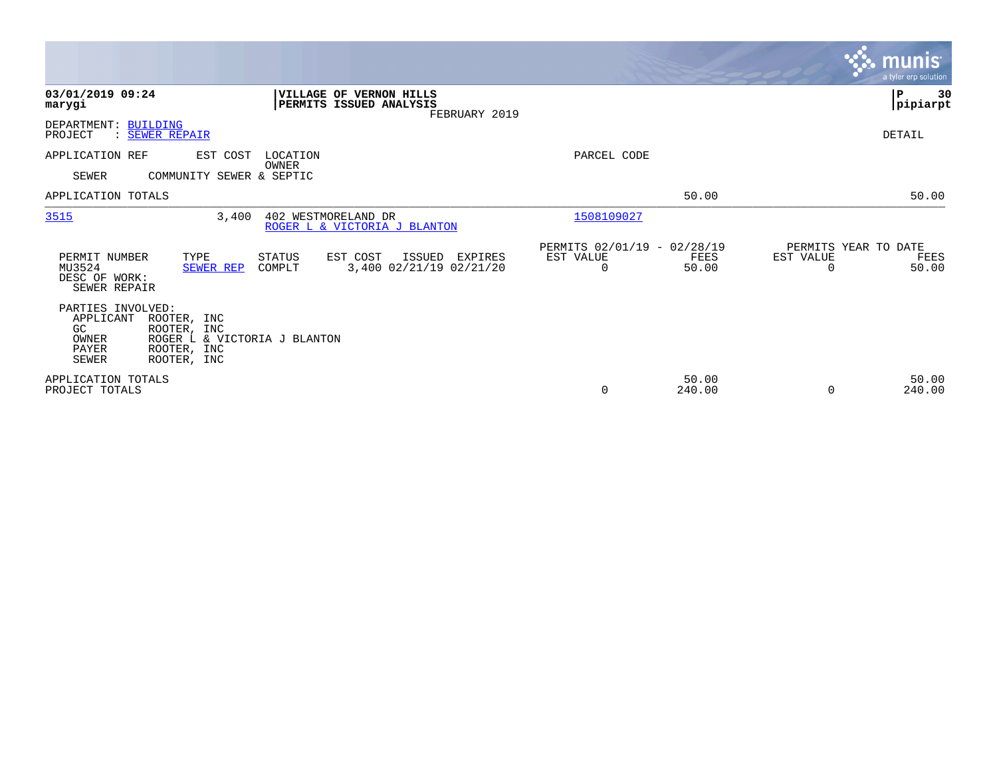|                                                                        |                                                                                          |                     |                                                    |               |                                               |                 |                                        | <b>munis</b><br>a tyler erp solution |
|------------------------------------------------------------------------|------------------------------------------------------------------------------------------|---------------------|----------------------------------------------------|---------------|-----------------------------------------------|-----------------|----------------------------------------|--------------------------------------|
| 03/01/2019 09:24<br>marygi                                             |                                                                                          |                     | VILLAGE OF VERNON HILLS<br>PERMITS ISSUED ANALYSIS | FEBRUARY 2019 |                                               |                 |                                        | ${\bf P}$<br>30<br> pipiarpt         |
| DEPARTMENT:<br>PROJECT<br>$\ddot{\cdot}$                               | <b>BUILDING</b><br><b>SEWER REPAIR</b>                                                   |                     |                                                    |               |                                               |                 |                                        | DETAIL                               |
| APPLICATION REF<br><b>SEWER</b>                                        | EST COST<br>COMMUNITY SEWER & SEPTIC                                                     | LOCATION<br>OWNER   |                                                    |               | PARCEL CODE                                   |                 |                                        |                                      |
| APPLICATION TOTALS                                                     |                                                                                          |                     |                                                    |               |                                               | 50.00           |                                        | 50.00                                |
| 3515                                                                   | 3,400                                                                                    | 402 WESTMORELAND DR | ROGER L & VICTORIA J BLANTON                       |               | 1508109027                                    |                 |                                        |                                      |
| PERMIT NUMBER<br>MU3524<br>DESC OF WORK:<br>SEWER REPAIR               | TYPE<br><b>SEWER REP</b>                                                                 | STATUS<br>COMPLT    | EST COST<br>ISSUED<br>3,400 02/21/19 02/21/20      | EXPIRES       | PERMITS 02/01/19 - 02/28/19<br>EST VALUE<br>0 | FEES<br>50.00   | PERMITS YEAR TO DATE<br>EST VALUE<br>O | FEES<br>50.00                        |
| PARTIES INVOLVED:<br>APPLICANT<br>GC<br>OWNER<br>PAYER<br><b>SEWER</b> | ROOTER, INC<br>ROOTER, INC<br>ROGER L & VICTORIA J BLANTON<br>ROOTER, INC<br>ROOTER, INC |                     |                                                    |               |                                               |                 |                                        |                                      |
| APPLICATION TOTALS<br>PROJECT TOTALS                                   |                                                                                          |                     |                                                    |               | 0                                             | 50.00<br>240.00 | $\Omega$                               | 50.00<br>240.00                      |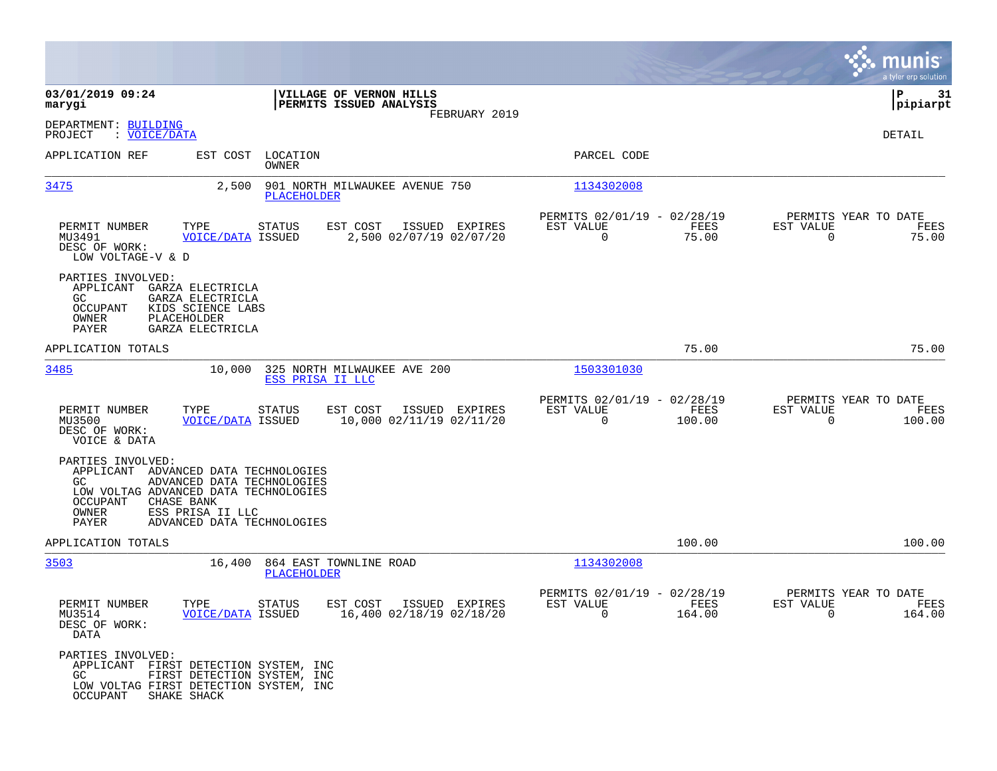|                                                                                                                                         |                                                                                              |                    |                                                        |               |                                                            |                |                                                     | munis<br>a tyler erp solution |
|-----------------------------------------------------------------------------------------------------------------------------------------|----------------------------------------------------------------------------------------------|--------------------|--------------------------------------------------------|---------------|------------------------------------------------------------|----------------|-----------------------------------------------------|-------------------------------|
| 03/01/2019 09:24<br>marygi                                                                                                              |                                                                                              |                    | VILLAGE OF VERNON HILLS<br>PERMITS ISSUED ANALYSIS     |               |                                                            |                |                                                     | l P<br>31<br> pipiarpt        |
| DEPARTMENT: BUILDING<br>PROJECT<br>: VOICE/DATA                                                                                         |                                                                                              |                    |                                                        | FEBRUARY 2019 |                                                            |                |                                                     | DETAIL                        |
| APPLICATION REF                                                                                                                         | EST COST LOCATION                                                                            | OWNER              |                                                        |               | PARCEL CODE                                                |                |                                                     |                               |
| 3475                                                                                                                                    | 2,500                                                                                        | <b>PLACEHOLDER</b> | 901 NORTH MILWAUKEE AVENUE 750                         |               | 1134302008                                                 |                |                                                     |                               |
| PERMIT NUMBER<br>MU3491<br>DESC OF WORK:<br>LOW VOLTAGE-V & D                                                                           | TYPE<br><b>VOICE/DATA ISSUED</b>                                                             | STATUS             | EST COST<br>ISSUED EXPIRES<br>2,500 02/07/19 02/07/20  |               | PERMITS 02/01/19 - 02/28/19<br>EST VALUE<br>$\Omega$       | FEES<br>75.00  | PERMITS YEAR TO DATE<br>EST VALUE<br>$\Omega$       | FEES<br>75.00                 |
| PARTIES INVOLVED:<br>APPLICANT<br>GC.<br>OCCUPANT<br>OWNER<br>PAYER                                                                     | GARZA ELECTRICLA<br>GARZA ELECTRICLA<br>KIDS SCIENCE LABS<br>PLACEHOLDER<br>GARZA ELECTRICLA |                    |                                                        |               |                                                            |                |                                                     |                               |
| APPLICATION TOTALS                                                                                                                      |                                                                                              |                    |                                                        |               |                                                            | 75.00          |                                                     | 75.00                         |
| 3485                                                                                                                                    | 10,000                                                                                       | ESS PRISA II LLC   | 325 NORTH MILWAUKEE AVE 200                            |               | 1503301030                                                 |                |                                                     |                               |
| PERMIT NUMBER<br>MU3500<br>DESC OF WORK:<br>VOICE & DATA                                                                                | TYPE<br><b>VOICE/DATA ISSUED</b>                                                             | STATUS             | EST COST<br>ISSUED EXPIRES<br>10,000 02/11/19 02/11/20 |               | PERMITS 02/01/19 - 02/28/19<br>EST VALUE<br>$\overline{0}$ | FEES<br>100.00 | PERMITS YEAR TO DATE<br>EST VALUE<br>$\Omega$       | FEES<br>100.00                |
| PARTIES INVOLVED:<br>APPLICANT ADVANCED DATA TECHNOLOGIES<br>GC.<br>LOW VOLTAG ADVANCED DATA TECHNOLOGIES<br>OCCUPANT<br>OWNER<br>PAYER | ADVANCED DATA TECHNOLOGIES<br>CHASE BANK<br>ESS PRISA II LLC<br>ADVANCED DATA TECHNOLOGIES   |                    |                                                        |               |                                                            |                |                                                     |                               |
| APPLICATION TOTALS                                                                                                                      |                                                                                              |                    |                                                        |               |                                                            | 100.00         |                                                     | 100.00                        |
| 3503                                                                                                                                    | 16,400                                                                                       | PLACEHOLDER        | 864 EAST TOWNLINE ROAD                                 |               | 1134302008                                                 |                |                                                     |                               |
| PERMIT NUMBER<br>MU3514<br>DESC OF WORK:<br>DATA                                                                                        | TYPE<br>VOICE/DATA ISSUED                                                                    | STATUS             | EST COST<br>ISSUED EXPIRES<br>16,400 02/18/19 02/18/20 |               | PERMITS 02/01/19 - 02/28/19<br>EST VALUE<br>$\sim$ 0       | FEES<br>164.00 | PERMITS YEAR TO DATE<br>EST VALUE<br>$\overline{0}$ | FEES<br>164.00                |
| PARTIES INVOLVED:<br>APPLICANT FIRST DETECTION SYSTEM, INC<br>GC<br>LOW VOLTAG FIRST DETECTION SYSTEM, INC<br>OCCUPANT SHAKE SHACK      | FIRST DETECTION SYSTEM, INC                                                                  |                    |                                                        |               |                                                            |                |                                                     |                               |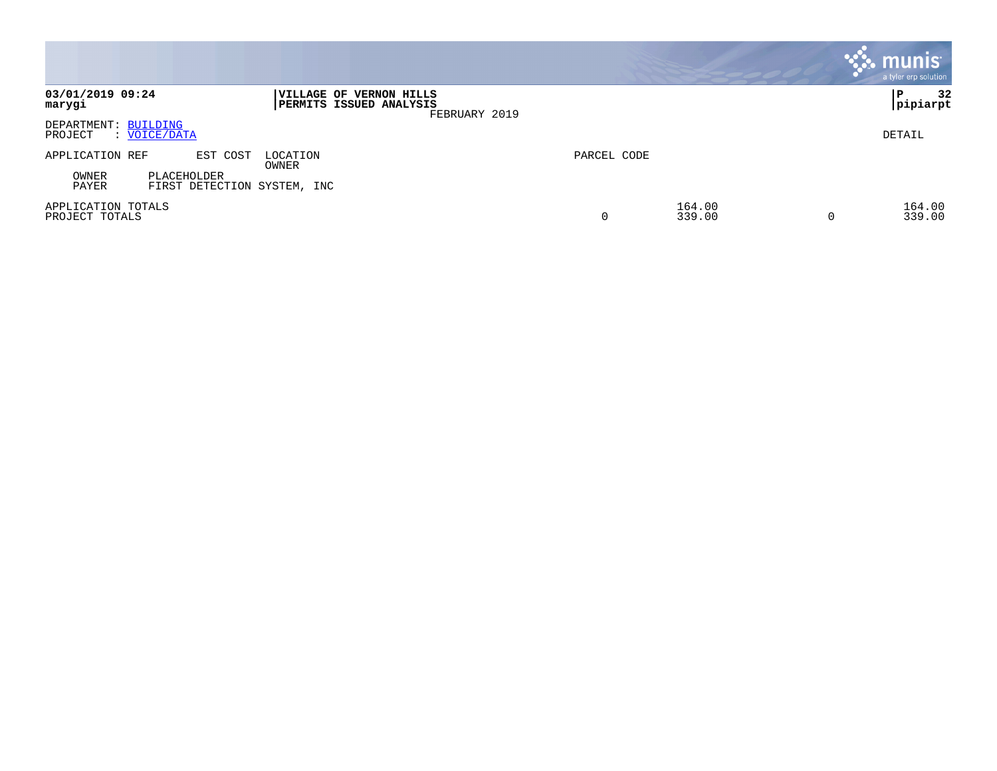|                                                              |                                                                     |             |                  | <b>munis</b><br>a tyler erp solution |
|--------------------------------------------------------------|---------------------------------------------------------------------|-------------|------------------|--------------------------------------|
| 03/01/2019 09:24<br>marygi                                   | VILLAGE OF VERNON HILLS<br>PERMITS ISSUED ANALYSIS<br>FEBRUARY 2019 |             |                  | 32<br>ΙP<br> pipiarpt                |
| DEPARTMENT: BUILDING<br>PROJECT<br>: VOICE/DATA              |                                                                     |             |                  | DETAIL                               |
| APPLICATION REF<br>EST COST                                  | LOCATION<br>OWNER                                                   | PARCEL CODE |                  |                                      |
| OWNER<br>PLACEHOLDER<br>PAYER<br>FIRST DETECTION SYSTEM, INC |                                                                     |             |                  |                                      |
| APPLICATION TOTALS<br>PROJECT TOTALS                         |                                                                     | 0           | 164.00<br>339.00 | 164.00<br>339.00                     |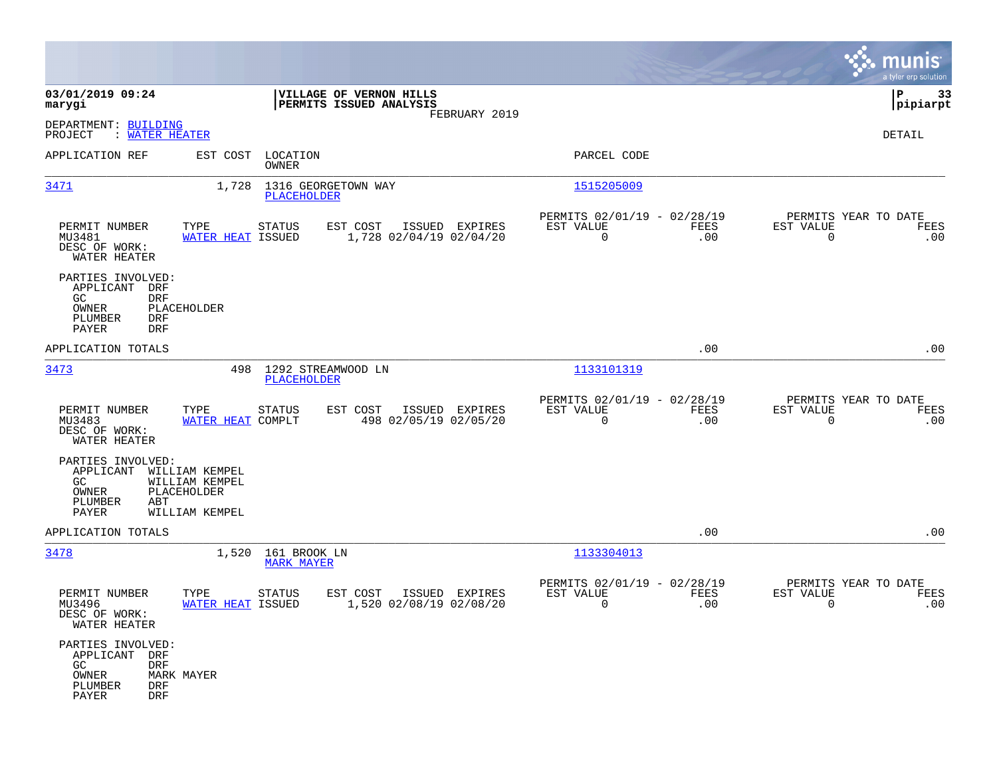|                                                                                                    |                                                                   |                                         |                                                    |                |                                                            |                    |                                                  | munis<br>a tyler erp solution |
|----------------------------------------------------------------------------------------------------|-------------------------------------------------------------------|-----------------------------------------|----------------------------------------------------|----------------|------------------------------------------------------------|--------------------|--------------------------------------------------|-------------------------------|
| 03/01/2019 09:24<br>marygi                                                                         |                                                                   |                                         | VILLAGE OF VERNON HILLS<br>PERMITS ISSUED ANALYSIS |                |                                                            |                    |                                                  | 33<br>IΡ<br> pipiarpt         |
| DEPARTMENT: BUILDING<br>: WATER HEATER<br>PROJECT                                                  |                                                                   |                                         |                                                    | FEBRUARY 2019  |                                                            |                    |                                                  | DETAIL                        |
| APPLICATION REF                                                                                    | EST COST                                                          | LOCATION<br>OWNER                       |                                                    |                | PARCEL CODE                                                |                    |                                                  |                               |
| 3471                                                                                               | 1,728                                                             | 1316 GEORGETOWN WAY<br>PLACEHOLDER      |                                                    |                | 1515205009                                                 |                    |                                                  |                               |
| PERMIT NUMBER<br>MU3481<br>DESC OF WORK:<br>WATER HEATER                                           | TYPE<br><b>WATER HEAT ISSUED</b>                                  | <b>STATUS</b>                           | EST COST<br>1,728 02/04/19 02/04/20                | ISSUED EXPIRES | PERMITS 02/01/19 - 02/28/19<br>EST VALUE<br>$\overline{0}$ | FEES<br>.00        | PERMITS YEAR TO DATE<br>EST VALUE<br>$\mathbf 0$ | FEES<br>.00                   |
| PARTIES INVOLVED:<br>APPLICANT DRF<br><b>DRF</b><br>GC.<br>OWNER<br>PLUMBER<br>DRF<br>PAYER<br>DRF | PLACEHOLDER                                                       |                                         |                                                    |                |                                                            |                    |                                                  |                               |
| APPLICATION TOTALS                                                                                 |                                                                   |                                         |                                                    |                |                                                            | .00                |                                                  | .00                           |
| 3473                                                                                               | 498                                                               | 1292 STREAMWOOD LN<br>PLACEHOLDER       |                                                    |                | 1133101319                                                 |                    |                                                  |                               |
| PERMIT NUMBER<br>MU3483<br>DESC OF WORK:<br>WATER HEATER                                           | TYPE<br><b>WATER HEAT COMPLT</b>                                  | <b>STATUS</b>                           | EST COST<br>498 02/05/19 02/05/20                  | ISSUED EXPIRES | PERMITS 02/01/19 - 02/28/19<br>EST VALUE<br>$\mathbf 0$    | FEES<br>.00        | PERMITS YEAR TO DATE<br>EST VALUE<br>$\mathbf 0$ | FEES<br>.00                   |
| PARTIES INVOLVED:<br>APPLICANT<br>GC.<br>OWNER<br>PLUMBER<br>ABT<br>PAYER                          | WILLIAM KEMPEL<br>WILLIAM KEMPEL<br>PLACEHOLDER<br>WILLIAM KEMPEL |                                         |                                                    |                |                                                            |                    |                                                  |                               |
| APPLICATION TOTALS                                                                                 |                                                                   |                                         |                                                    |                |                                                            | .00                |                                                  | .00                           |
| 3478                                                                                               |                                                                   | 1,520 161 BROOK LN<br><b>MARK MAYER</b> |                                                    |                | 1133304013                                                 |                    |                                                  |                               |
| PERMIT NUMBER<br>MU3496<br>DESC OF WORK:<br>WATER HEATER                                           | TYPE<br>WATER HEAT ISSUED                                         | <b>STATUS</b>                           | EST COST<br>1,520 02/08/19 02/08/20                | ISSUED EXPIRES | PERMITS 02/01/19 - 02/28/19<br>EST VALUE<br>0              | <b>FEES</b><br>.00 | PERMITS YEAR TO DATE<br>EST VALUE<br>0           | FEES<br>.00                   |
| PARTIES INVOLVED:<br>APPLICANT DRF<br>GC<br>DRF<br>OWNER<br>PLUMBER<br>DRF<br>PAYER<br><b>DRF</b>  | MARK MAYER                                                        |                                         |                                                    |                |                                                            |                    |                                                  |                               |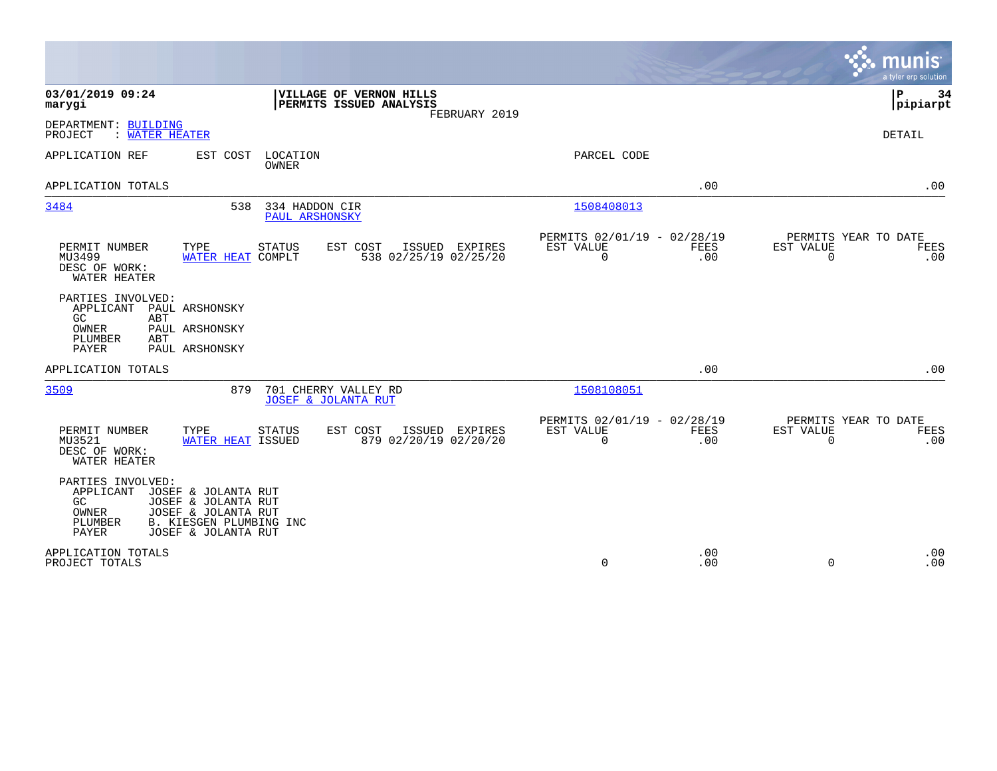|                                                                                                                                       |                                                                       |                                         |                                                      |             |                       | munis<br>a tyler erp solution       |
|---------------------------------------------------------------------------------------------------------------------------------------|-----------------------------------------------------------------------|-----------------------------------------|------------------------------------------------------|-------------|-----------------------|-------------------------------------|
| 03/01/2019 09:24<br>marygi                                                                                                            | VILLAGE OF VERNON HILLS<br><b>PERMITS ISSUED ANALYSIS</b>             | FEBRUARY 2019                           |                                                      |             |                       | l P<br>34<br> pipiarpt              |
| DEPARTMENT: BUILDING<br>PROJECT<br>: WATER HEATER                                                                                     |                                                                       |                                         |                                                      |             |                       | <b>DETAIL</b>                       |
| APPLICATION REF                                                                                                                       | EST COST<br>LOCATION<br><b>OWNER</b>                                  |                                         | PARCEL CODE                                          |             |                       |                                     |
| APPLICATION TOTALS                                                                                                                    |                                                                       |                                         |                                                      | .00         |                       | .00                                 |
| 3484                                                                                                                                  | 334 HADDON CIR<br>538<br><b>PAUL ARSHONSKY</b>                        |                                         | 1508408013                                           |             |                       |                                     |
| PERMIT NUMBER<br>TYPE<br>MU3499<br>DESC OF WORK:<br>WATER HEATER                                                                      | STATUS<br>EST COST<br>WATER HEAT COMPLT                               | ISSUED EXPIRES<br>538 02/25/19 02/25/20 | PERMITS 02/01/19 - 02/28/19<br>EST VALUE<br>0        | FEES<br>.00 | EST VALUE<br>0        | PERMITS YEAR TO DATE<br>FEES<br>.00 |
| PARTIES INVOLVED:<br>APPLICANT<br>PAUL ARSHONSKY<br>GC<br>ABT<br>PAUL ARSHONSKY<br>OWNER<br>PLUMBER<br>ABT<br>PAYER<br>PAUL ARSHONSKY |                                                                       |                                         |                                                      |             |                       |                                     |
| APPLICATION TOTALS                                                                                                                    |                                                                       |                                         |                                                      | .00         |                       | .00                                 |
| 3509                                                                                                                                  | 879<br>701 CHERRY VALLEY RD<br><b>JOSEF &amp; JOLANTA RUT</b>         |                                         | 1508108051                                           |             |                       |                                     |
| PERMIT NUMBER<br>TYPE<br>MU3521<br>DESC OF WORK:<br>WATER HEATER                                                                      | <b>STATUS</b><br>EST COST<br>WATER HEAT ISSUED                        | ISSUED EXPIRES<br>879 02/20/19 02/20/20 | PERMITS 02/01/19 - 02/28/19<br>EST VALUE<br>$\Omega$ | FEES<br>.00 | EST VALUE<br>$\Omega$ | PERMITS YEAR TO DATE<br>FEES<br>.00 |
| PARTIES INVOLVED:<br>APPLICANT<br>JOSEF & JOLANTA RUT<br>GC<br><b>OWNER</b><br>JOSEF & JOLANTA RUT<br>PLUMBER<br>PAYER                | JOSEF & JOLANTA RUT<br>B. KIESGEN PLUMBING INC<br>JOSEF & JOLANTA RUT |                                         |                                                      |             |                       |                                     |
| APPLICATION TOTALS<br>PROJECT TOTALS                                                                                                  |                                                                       |                                         | $\mathbf 0$                                          | .00<br>.00  | $\Omega$              | .00<br>.00                          |